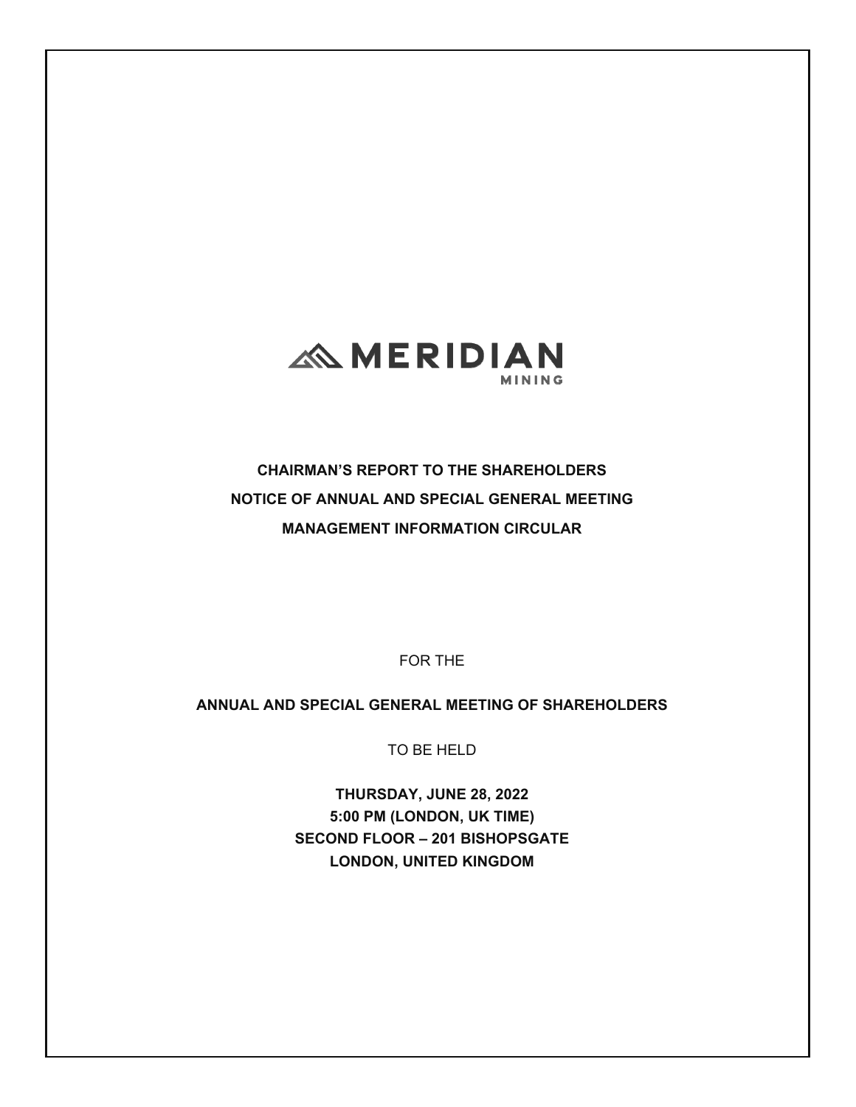

**CHAIRMAN'S REPORT TO THE SHAREHOLDERS NOTICE OF ANNUAL AND SPECIAL GENERAL MEETING MANAGEMENT INFORMATION CIRCULAR** 

FOR THE

**ANNUAL AND SPECIAL GENERAL MEETING OF SHAREHOLDERS** 

TO BE HELD

**THURSDAY, JUNE 28, 2022 5:00 PM (LONDON, UK TIME) SECOND FLOOR – 201 BISHOPSGATE LONDON, UNITED KINGDOM**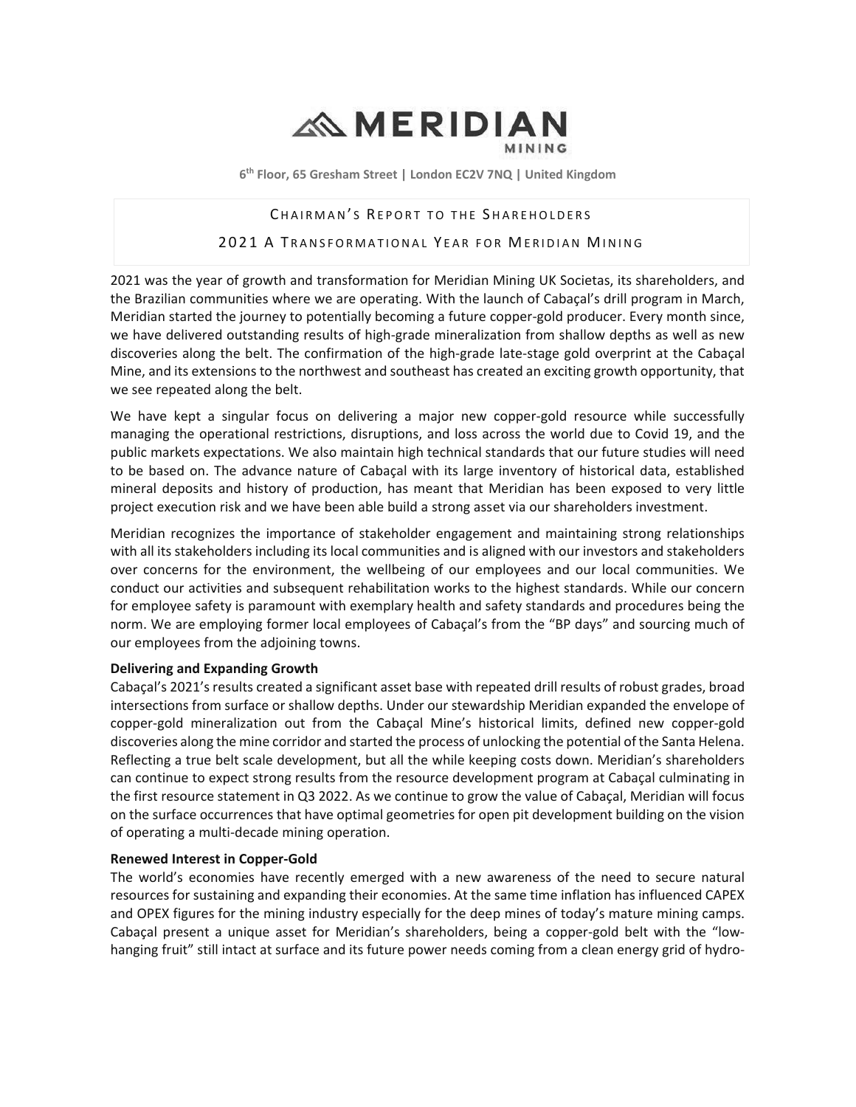# **AMERIDIAN**

6<sup>th</sup> Floor, 65 Gresham Street | London EC2V 7NQ | United Kingdom

#### CHAIRMAN'S REPORT TO THE SHAREHOLDERS

#### 2021 A TRANSFORMATIONAL YEAR FOR MERIDIAN MINING

2021 was the year of growth and transformation for Meridian Mining UK Societas, its shareholders, and the Brazilian communities where we are operating. With the launch of Cabaçal's drill program in March, Meridian started the journey to potentially becoming a future copper-gold producer. Every month since, we have delivered outstanding results of high-grade mineralization from shallow depths as well as new discoveries along the belt. The confirmation of the high-grade late-stage gold overprint at the Cabaçal Mine, and its extensions to the northwest and southeast has created an exciting growth opportunity, that we see repeated along the belt.

We have kept a singular focus on delivering a major new copper-gold resource while successfully managing the operational restrictions, disruptions, and loss across the world due to Covid 19, and the public markets expectations. We also maintain high technical standards that our future studies will need to be based on. The advance nature of Cabacal with its large inventory of historical data, established mineral deposits and history of production, has meant that Meridian has been exposed to very little project execution risk and we have been able build a strong asset via our shareholders investment.

Meridian recognizes the importance of stakeholder engagement and maintaining strong relationships with all its stakeholders including its local communities and is aligned with our investors and stakeholders over concerns for the environment, the wellbeing of our employees and our local communities. We conduct our activities and subsequent rehabilitation works to the highest standards. While our concern for employee safety is paramount with exemplary health and safety standards and procedures being the norm. We are employing former local employees of Cabaçal's from the "BP days" and sourcing much of our employees from the adioining towns.

#### **Delivering and Expanding Growth**

Cabaçal's 2021's results created a significant asset base with repeated drill results of robust grades, broad intersections from surface or shallow depths. Under our stewardship Meridian expanded the envelope of copper-gold mineralization out from the Cabaçal Mine's historical limits, defined new copper-gold discoveries along the mine corridor and started the process of unlocking the potential of the Santa Helena. Reflecting a true belt scale development, but all the while keeping costs down. Meridian's shareholders can continue to expect strong results from the resource development program at Cabaçal culminating in the first resource statement in Q3 2022. As we continue to grow the value of Cabaçal, Meridian will focus on the surface occurrences that have optimal geometries for open pit development building on the vision of operating a multi-decade mining operation.

#### **Renewed Interest in Copper-Gold**

The world's economies have recently emerged with a new awareness of the need to secure natural resources for sustaining and expanding their economies. At the same time inflation has influenced CAPEX and OPEX figures for the mining industry especially for the deep mines of today's mature mining camps. Cabacal present a unique asset for Meridian's shareholders, being a copper-gold belt with the "lowhanging fruit" still intact at surface and its future power needs coming from a clean energy grid of hydro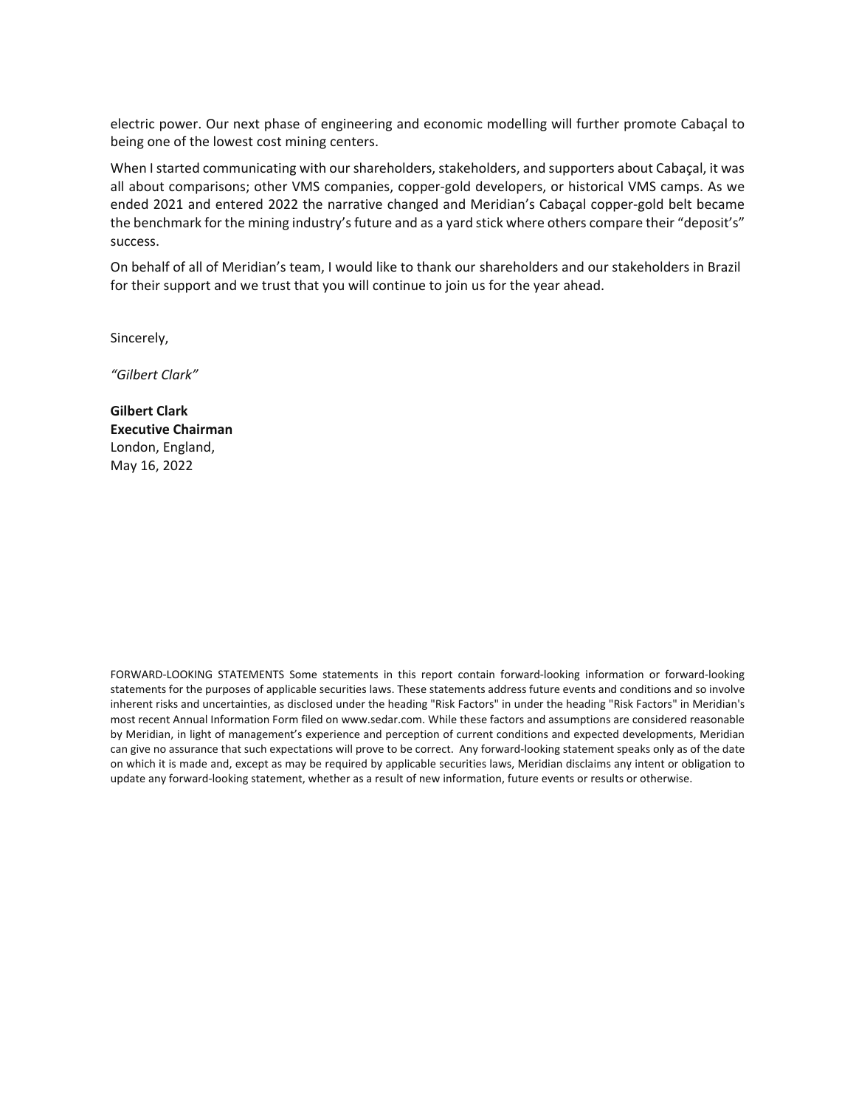electric power. Our next phase of engineering and economic modelling will further promote Cabaçal to being one of the lowest cost mining centers.

When I started communicating with our shareholders, stakeholders, and supporters about Cabaçal, it was all about comparisons; other VMS companies, copper-gold developers, or historical VMS camps. As we ended 2021 and entered 2022 the narrative changed and Meridian's Cabaçal copper-gold belt became the benchmark for the mining industry's future and as a yard stick where others compare their "deposit's" success.

On behalf of all of Meridian's team, I would like to thank our shareholders and our stakeholders in Brazil for their support and we trust that you will continue to join us for the year ahead.

Sincerely,

*͞'ŝůďĞƌƚůĂƌŬ͟*

**Gilbert Clark Executive Chairman** London, England, May 16, 2022

FORWARD-LOOKING STATEMENTS Some statements in this report contain forward-looking information or forward-looking statements for the purposes of applicable securities laws. These statements address future events and conditions and so involve inherent risks and uncertainties, as disclosed under the heading "Risk Factors" in under the heading "Risk Factors" in Meridian's most recent Annual Information Form filed on www.sedar.com. While these factors and assumptions are considered reasonable by Meridian, in light of management's experience and perception of current conditions and expected developments, Meridian can give no assurance that such expectations will prove to be correct. Any forward-looking statement speaks only as of the date on which it is made and, except as may be required by applicable securities laws, Meridian disclaims any intent or obligation to update any forward-looking statement, whether as a result of new information, future events or results or otherwise.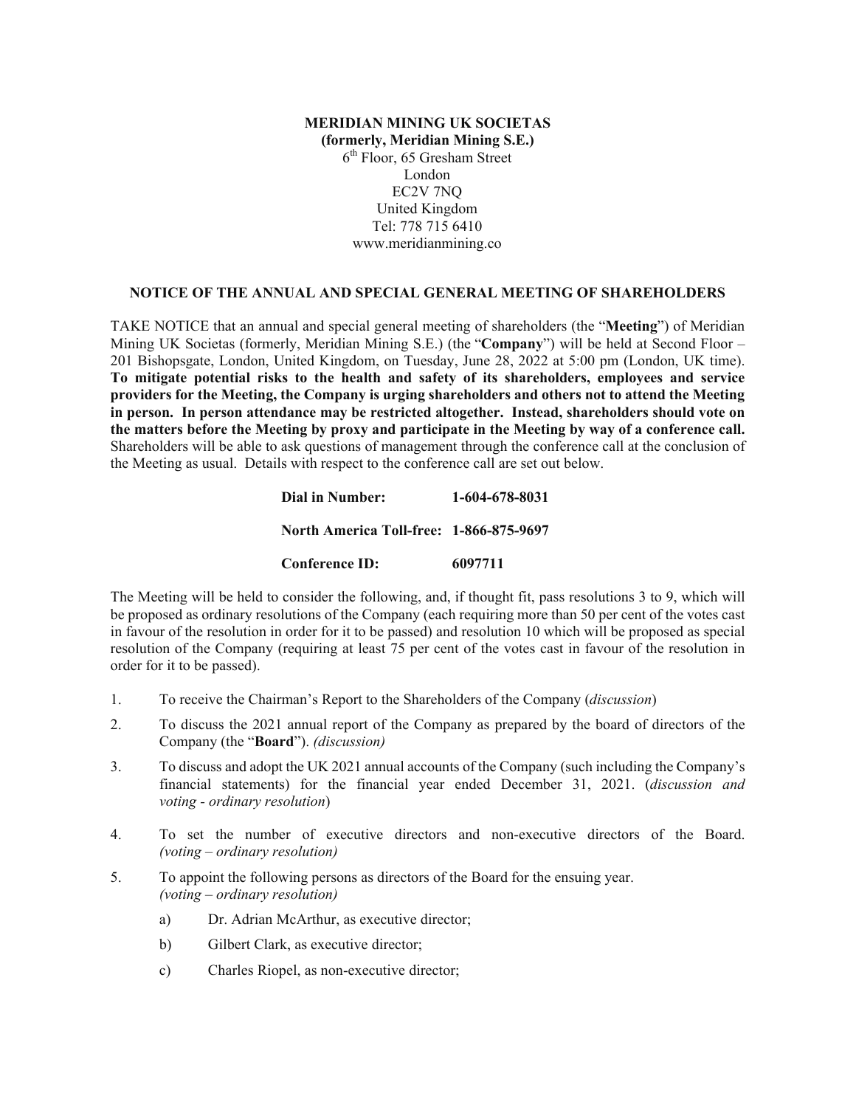# **(formerly, Meridian Mining S.E.)**  6th Floor, 65 Gresham Street London EC2V 7NQ United Kingdom Tel: 778 715 6410 www.meridianmining.co

#### **NOTICE OF THE ANNUAL AND SPECIAL GENERAL MEETING OF SHAREHOLDERS**

**MERIDIAN MINING UK SOCIETAS**<br> **MERIDIAN MINING UK SOCIETAS**<br> **(formerly, Meridian Mining S.E.)**<br> **Contains** Treet<br> **Matter Contains**<br> **Matter Contains 1998**<br> **MATE TO THE ANNUAL AND SPECIAL CENERAL MERITHE AVERT TO THE AN** TAKE NOTICE that an annual and special general meeting of shareholders (the "**Meeting**") of Meridian Mining UK Societas (formerly, Meridian Mining S.E.) (the "**Company**") will be held at Second Floor – 201 Bishopsgate, London, United Kingdom, on Tuesday, June 28, 2022 at 5:00 pm (London, UK time). **To mitigate potential risks to the health and safety of its shareholders, employees and service providers for the Meeting, the Company is urging shareholders and others not to attend the Meeting in person. In person attendance may be restricted altogether. Instead, shareholders should vote on the matters before the Meeting by proxy and participate in the Meeting by way of a conference call.** Shareholders will be able to ask questions of management through the conference call at the conclusion of the Meeting as usual. Details with respect to the conference call are set out below.

# **Dial in Number: 1-604-678-8031 North America Toll-free: 1-866-875-9697 Conference ID: 6097711**

The Meeting will be held to consider the following, and, if thought fit, pass resolutions 3 to 9, which will be proposed as ordinary resolutions of the Company (each requiring more than 50 per cent of the votes cast in favour of the resolution in order for it to be passed) and resolution 10 which will be proposed as special resolution of the Company (requiring at least 75 per cent of the votes cast in favour of the resolution in order for it to be passed).

- 1. To receive the Chairman's Report to the Shareholders of the Company (*discussion*)
- 2. To discuss the 2021 annual report of the Company as prepared by the board of directors of the Company (the "**Board**"). *(discussion)*
- 3. To discuss and adopt the UK 2021 annual accounts of the Company (such including the Company's financial statements) for the financial year ended December 31, 2021. (*discussion and voting - ordinary resolution*)
- 4. To set the number of executive directors and non-executive directors of the Board. *(voting – ordinary resolution)*
- 5. To appoint the following persons as directors of the Board for the ensuing year. *(voting – ordinary resolution)*
	- a) Dr. Adrian McArthur, as executive director;
	- b) Gilbert Clark, as executive director;
	- c) Charles Riopel, as non-executive director;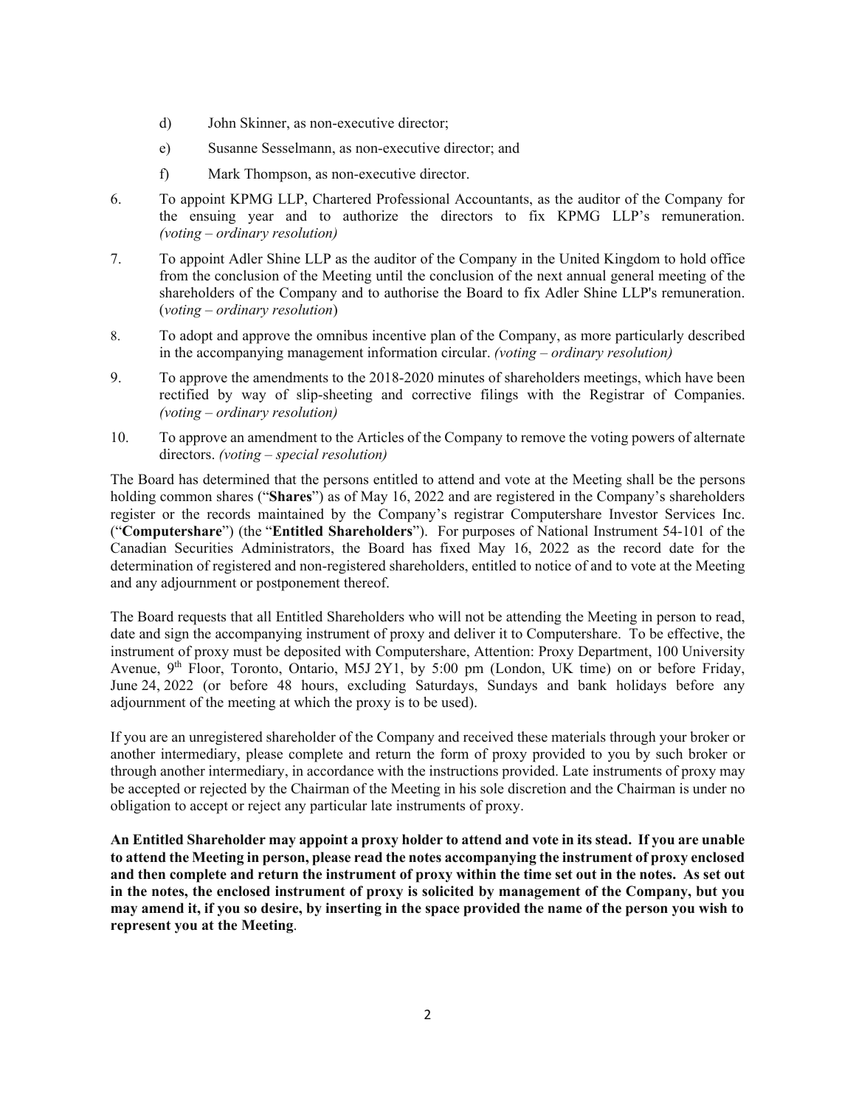- d) John Skinner, as non-executive director;
- e) Susanne Sesselmann, as non-executive director; and
- f) Mark Thompson, as non-executive director.
- 6. To appoint KPMG LLP, Chartered Professional Accountants, as the auditor of the Company for the ensuing year and to authorize the directors to fix KPMG LLP's remuneration. *(voting – ordinary resolution)*
- 7. To appoint Adler Shine LLP as the auditor of the Company in the United Kingdom to hold office from the conclusion of the Meeting until the conclusion of the next annual general meeting of the shareholders of the Company and to authorise the Board to fix Adler Shine LLP's remuneration. (*voting – ordinary resolution*)
- 8. To adopt and approve the omnibus incentive plan of the Company, as more particularly described in the accompanying management information circular. *(voting – ordinary resolution)*
- 9. To approve the amendments to the 2018-2020 minutes of shareholders meetings, which have been rectified by way of slip-sheeting and corrective filings with the Registrar of Companies. *(voting – ordinary resolution)*
- 10. To approve an amendment to the Articles of the Company to remove the voting powers of alternate directors. *(voting – special resolution)*

The Board has determined that the persons entitled to attend and vote at the Meeting shall be the persons holding common shares ("**Shares**") as of May 16, 2022 and are registered in the Company's shareholders register or the records maintained by the Company's registrar Computershare Investor Services Inc. ("**Computershare**") (the "**Entitled Shareholders**"). For purposes of National Instrument 54-101 of the Canadian Securities Administrators, the Board has fixed May 16, 2022 as the record date for the determination of registered and non-registered shareholders, entitled to notice of and to vote at the Meeting and any adjournment or postponement thereof.

The Board requests that all Entitled Shareholders who will not be attending the Meeting in person to read, date and sign the accompanying instrument of proxy and deliver it to Computershare. To be effective, the instrument of proxy must be deposited with Computershare, Attention: Proxy Department, 100 University Avenue,  $9<sup>th</sup>$  Floor, Toronto, Ontario, M5J 2Y1, by 5:00 pm (London, UK time) on or before Friday, June 24, 2022 (or before 48 hours, excluding Saturdays, Sundays and bank holidays before any adjournment of the meeting at which the proxy is to be used).

If you are an unregistered shareholder of the Company and received these materials through your broker or another intermediary, please complete and return the form of proxy provided to you by such broker or through another intermediary, in accordance with the instructions provided. Late instruments of proxy may be accepted or rejected by the Chairman of the Meeting in his sole discretion and the Chairman is under no obligation to accept or reject any particular late instruments of proxy.

**An Entitled Shareholder may appoint a proxy holder to attend and vote in its stead. If you are unable to attend the Meeting in person, please read the notes accompanying the instrument of proxy enclosed and then complete and return the instrument of proxy within the time set out in the notes. As set out in the notes, the enclosed instrument of proxy is solicited by management of the Company, but you may amend it, if you so desire, by inserting in the space provided the name of the person you wish to represent you at the Meeting**.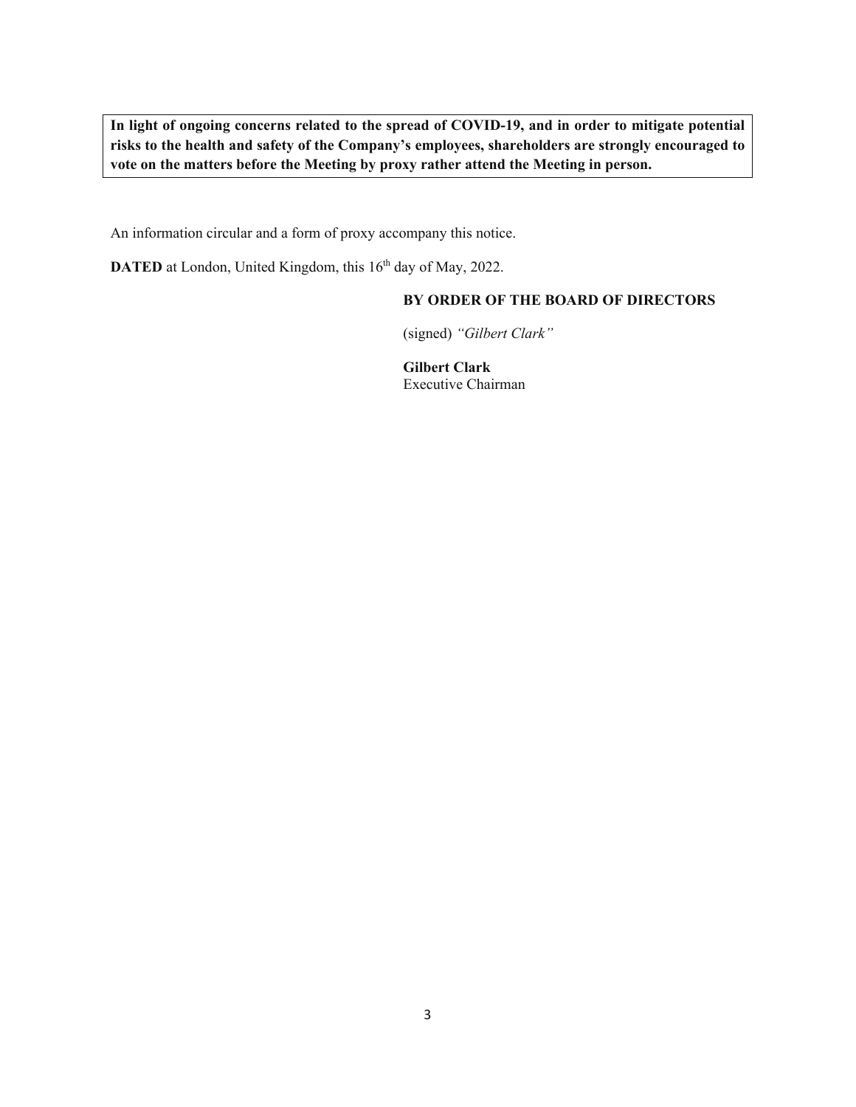**In light of ongoing concerns related to the spread of COVID-19, and in order to mitigate potential risks to the health and safety of the Company's employees, shareholders are strongly encouraged to vote on the matters before the Meeting by proxy rather attend the Meeting in person.** 

An information circular and a form of proxy accompany this notice.

**DATED** at London, United Kingdom, this 16<sup>th</sup> day of May, 2022.

# **BY ORDER OF THE BOARD OF DIRECTORS**

(signed) *"Gilbert Clark"* 

**Gilbert Clark** Executive Chairman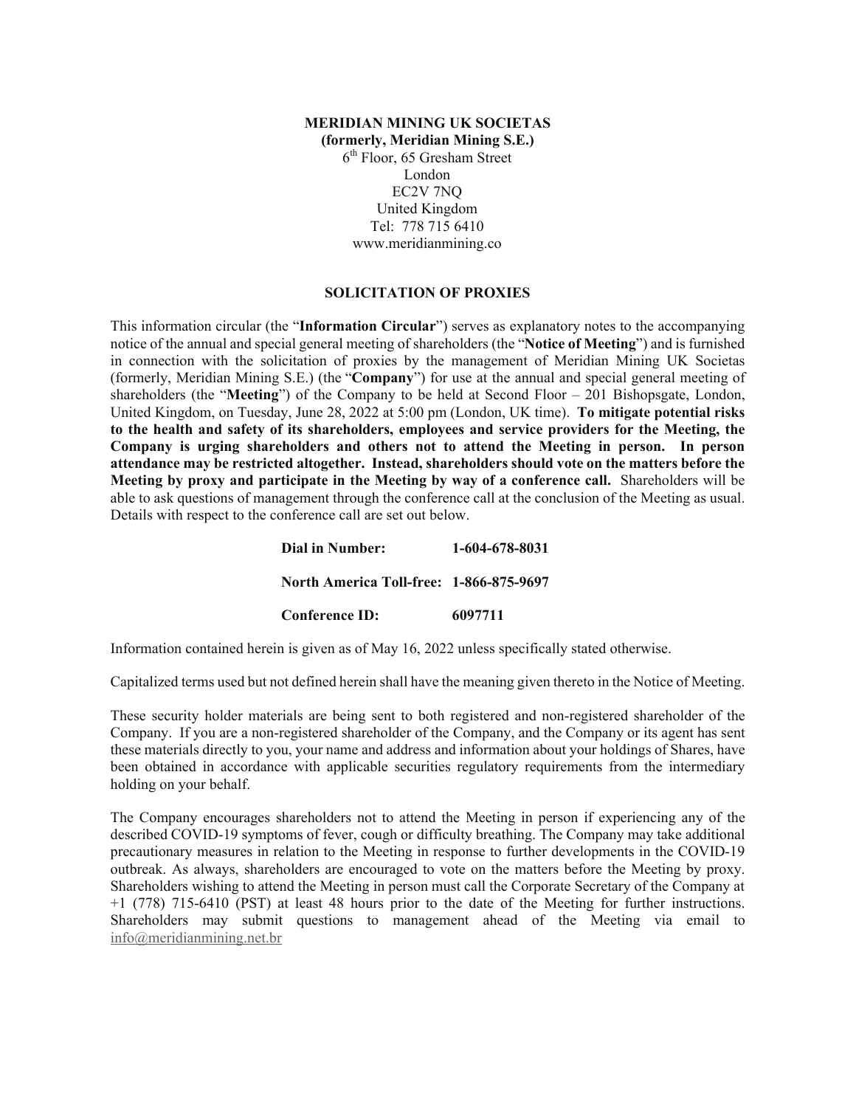# **(formerly, Meridian Mining S.E.)**  6th Floor, 65 Gresham Street London EC2V 7NQ United Kingdom Tel: 778 715 6410 www.meridianmining.co

# **SOLICITATION OF PROXIES**

**MERIDIAN MINING UK SOCIETAS**<br>
(**formerly, McTalian Mining S.F..)**<br>
(**formerly, McTalian Mining S.F..)**<br>
(**formerly, McTalian Mining S.F..)**<br>
(**formerly, Thendom** True (**i.e.**  $\frac{1}{2}$  (**7**)  $\frac{1}{2}$  (**1**)  $\frac{1}{2}$  (**1** This information circular (the "**Information Circular**") serves as explanatory notes to the accompanying notice of the annual and special general meeting of shareholders (the "**Notice of Meeting**") and is furnished in connection with the solicitation of proxies by the management of Meridian Mining UK Societas (formerly, Meridian Mining S.E.) (the "**Company**") for use at the annual and special general meeting of shareholders (the "**Meeting**") of the Company to be held at Second Floor – 201 Bishopsgate, London, United Kingdom, on Tuesday, June 28, 2022 at 5:00 pm (London, UK time). **To mitigate potential risks to the health and safety of its shareholders, employees and service providers for the Meeting, the Company is urging shareholders and others not to attend the Meeting in person. In person attendance may be restricted altogether. Instead, shareholders should vote on the matters before the Meeting by proxy and participate in the Meeting by way of a conference call.** Shareholders will be able to ask questions of management through the conference call at the conclusion of the Meeting as usual. Details with respect to the conference call are set out below.

**Dial in Number: 1-604-678-8031 North America Toll-free: 1-866-875-9697 Conference ID: 6097711** 

Information contained herein is given as of May 16, 2022 unless specifically stated otherwise.

Capitalized terms used but not defined herein shall have the meaning given thereto in the Notice of Meeting.

These security holder materials are being sent to both registered and non-registered shareholder of the Company. If you are a non-registered shareholder of the Company, and the Company or its agent has sent these materials directly to you, your name and address and information about your holdings of Shares, have been obtained in accordance with applicable securities regulatory requirements from the intermediary holding on your behalf.

The Company encourages shareholders not to attend the Meeting in person if experiencing any of the described COVID-19 symptoms of fever, cough or difficulty breathing. The Company may take additional precautionary measures in relation to the Meeting in response to further developments in the COVID-19 outbreak. As always, shareholders are encouraged to vote on the matters before the Meeting by proxy. Shareholders wishing to attend the Meeting in person must call the Corporate Secretary of the Company at +1 (778) 715-6410 (PST) at least 48 hours prior to the date of the Meeting for further instructions. Shareholders may submit questions to management ahead of the Meeting via email to info@meridianmining.net.br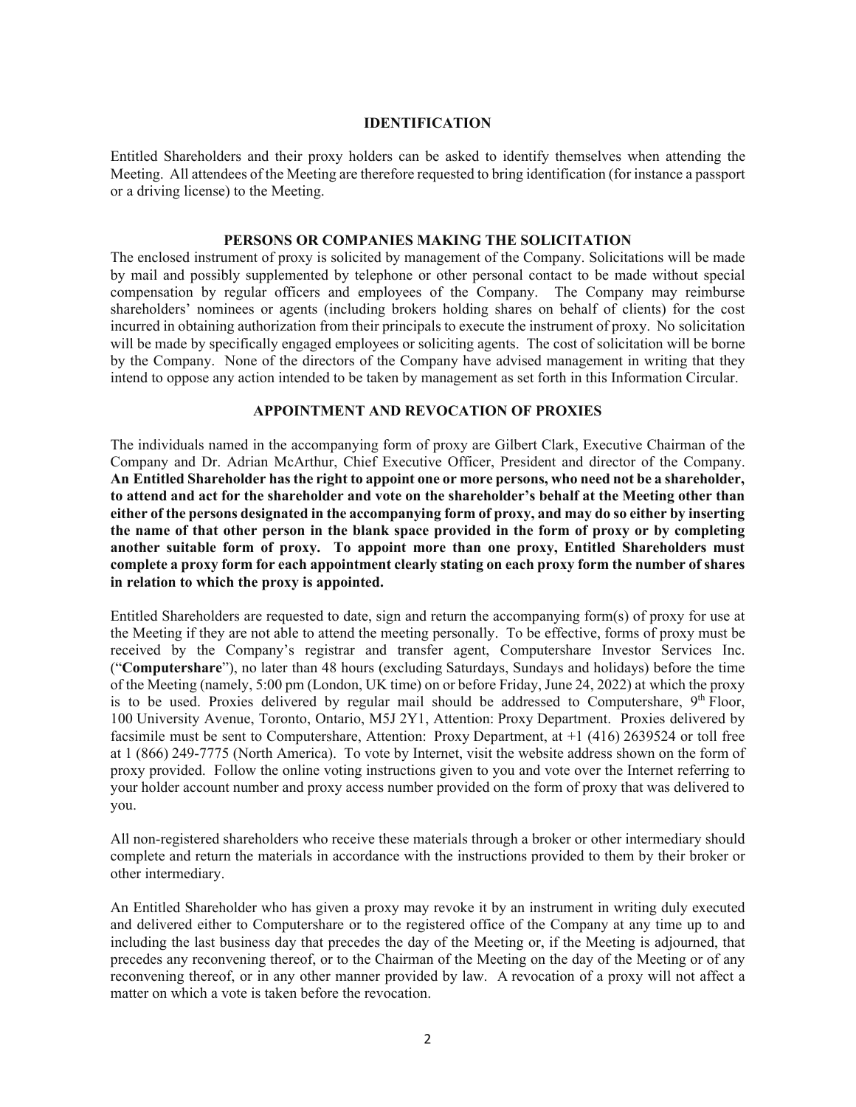#### **IDENTIFICATION**

Entitled Shareholders and their proxy holders can be asked to identify themselves when attending the Meeting. All attendees of the Meeting are therefore requested to bring identification (for instance a passport or a driving license) to the Meeting.

#### **PERSONS OR COMPANIES MAKING THE SOLICITATION**

The enclosed instrument of proxy is solicited by management of the Company. Solicitations will be made by mail and possibly supplemented by telephone or other personal contact to be made without special compensation by regular officers and employees of the Company. The Company may reimburse shareholders' nominees or agents (including brokers holding shares on behalf of clients) for the cost incurred in obtaining authorization from their principals to execute the instrument of proxy. No solicitation will be made by specifically engaged employees or soliciting agents. The cost of solicitation will be borne by the Company. None of the directors of the Company have advised management in writing that they intend to oppose any action intended to be taken by management as set forth in this Information Circular.

### **APPOINTMENT AND REVOCATION OF PROXIES**

The individuals named in the accompanying form of proxy are Gilbert Clark, Executive Chairman of the Company and Dr. Adrian McArthur, Chief Executive Officer, President and director of the Company. **An Entitled Shareholder has the right to appoint one or more persons, who need not be a shareholder, to attend and act for the shareholder and vote on the shareholder's behalf at the Meeting other than either of the persons designated in the accompanying form of proxy, and may do so either by inserting the name of that other person in the blank space provided in the form of proxy or by completing another suitable form of proxy. To appoint more than one proxy, Entitled Shareholders must complete a proxy form for each appointment clearly stating on each proxy form the number of shares in relation to which the proxy is appointed.** 

Entitled Shareholders are requested to date, sign and return the accompanying form(s) of proxy for use at the Meeting if they are not able to attend the meeting personally. To be effective, forms of proxy must be received by the Company's registrar and transfer agent, Computershare Investor Services Inc. ("**Computershare**"), no later than 48 hours (excluding Saturdays, Sundays and holidays) before the time of the Meeting (namely, 5:00 pm (London, UK time) on or before Friday, June 24, 2022) at which the proxy is to be used. Proxies delivered by regular mail should be addressed to Computershare,  $9<sup>th</sup>$  Floor, 100 University Avenue, Toronto, Ontario, M5J 2Y1, Attention: Proxy Department. Proxies delivered by facsimile must be sent to Computershare, Attention: Proxy Department, at +1 (416) 2639524 or toll free at 1 (866) 249-7775 (North America). To vote by Internet, visit the website address shown on the form of proxy provided. Follow the online voting instructions given to you and vote over the Internet referring to your holder account number and proxy access number provided on the form of proxy that was delivered to you.

All non-registered shareholders who receive these materials through a broker or other intermediary should complete and return the materials in accordance with the instructions provided to them by their broker or other intermediary.

An Entitled Shareholder who has given a proxy may revoke it by an instrument in writing duly executed and delivered either to Computershare or to the registered office of the Company at any time up to and including the last business day that precedes the day of the Meeting or, if the Meeting is adjourned, that precedes any reconvening thereof, or to the Chairman of the Meeting on the day of the Meeting or of any reconvening thereof, or in any other manner provided by law. A revocation of a proxy will not affect a matter on which a vote is taken before the revocation.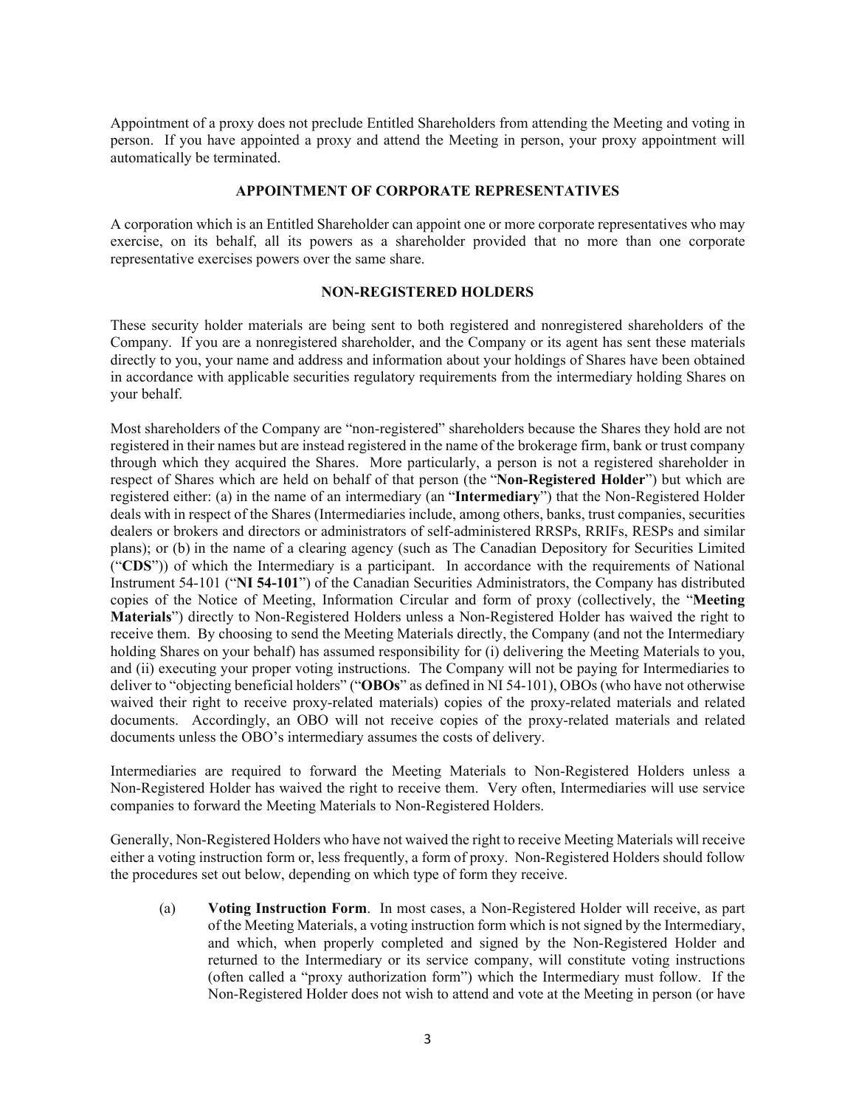Appointment of a proxy does not preclude Entitled Shareholders from attending the Meeting and voting in person. If you have appointed a proxy and attend the Meeting in person, your proxy appointment will automatically be terminated.

#### **APPOINTMENT OF CORPORATE REPRESENTATIVES**

A corporation which is an Entitled Shareholder can appoint one or more corporate representatives who may exercise, on its behalf, all its powers as a shareholder provided that no more than one corporate representative exercises powers over the same share.

#### **NON-REGISTERED HOLDERS**

These security holder materials are being sent to both registered and nonregistered shareholders of the Company. If you are a nonregistered shareholder, and the Company or its agent has sent these materials directly to you, your name and address and information about your holdings of Shares have been obtained in accordance with applicable securities regulatory requirements from the intermediary holding Shares on your behalf.

Most shareholders of the Company are "non-registered" shareholders because the Shares they hold are not registered in their names but are instead registered in the name of the brokerage firm, bank or trust company through which they acquired the Shares. More particularly, a person is not a registered shareholder in respect of Shares which are held on behalf of that person (the "**Non-Registered Holder**") but which are registered either: (a) in the name of an intermediary (an "**Intermediary**") that the Non-Registered Holder deals with in respect of the Shares (Intermediaries include, among others, banks, trust companies, securities dealers or brokers and directors or administrators of self-administered RRSPs, RRIFs, RESPs and similar plans); or (b) in the name of a clearing agency (such as The Canadian Depository for Securities Limited ("**CDS**")) of which the Intermediary is a participant. In accordance with the requirements of National Instrument 54-101 ("**NI 54-101**") of the Canadian Securities Administrators, the Company has distributed copies of the Notice of Meeting, Information Circular and form of proxy (collectively, the "**Meeting Materials**") directly to Non-Registered Holders unless a Non-Registered Holder has waived the right to receive them. By choosing to send the Meeting Materials directly, the Company (and not the Intermediary holding Shares on your behalf) has assumed responsibility for (i) delivering the Meeting Materials to you, and (ii) executing your proper voting instructions. The Company will not be paying for Intermediaries to deliver to "objecting beneficial holders" ("**OBOs**" as defined in NI 54-101), OBOs (who have not otherwise waived their right to receive proxy-related materials) copies of the proxy-related materials and related documents. Accordingly, an OBO will not receive copies of the proxy-related materials and related documents unless the OBO's intermediary assumes the costs of delivery.

Intermediaries are required to forward the Meeting Materials to Non-Registered Holders unless a Non-Registered Holder has waived the right to receive them. Very often, Intermediaries will use service companies to forward the Meeting Materials to Non-Registered Holders.

Generally, Non-Registered Holders who have not waived the right to receive Meeting Materials will receive either a voting instruction form or, less frequently, a form of proxy. Non-Registered Holders should follow the procedures set out below, depending on which type of form they receive.

(a) **Voting Instruction Form**. In most cases, a Non-Registered Holder will receive, as part of the Meeting Materials, a voting instruction form which is not signed by the Intermediary, and which, when properly completed and signed by the Non-Registered Holder and returned to the Intermediary or its service company, will constitute voting instructions (often called a "proxy authorization form") which the Intermediary must follow. If the Non-Registered Holder does not wish to attend and vote at the Meeting in person (or have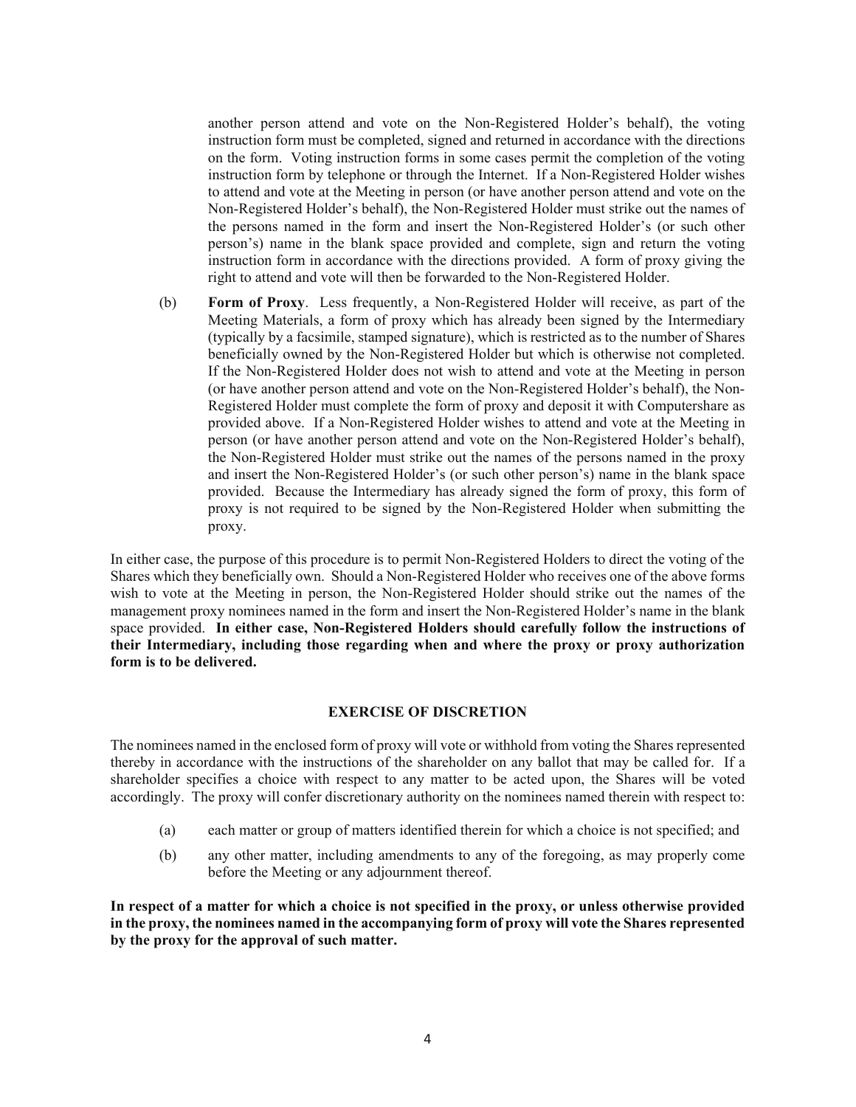another person attend and vote on the Non-Registered Holder's behalf), the voting instruction form must be completed, signed and returned in accordance with the directions on the form. Voting instruction forms in some cases permit the completion of the voting instruction form by telephone or through the Internet. If a Non-Registered Holder wishes to attend and vote at the Meeting in person (or have another person attend and vote on the Non-Registered Holder's behalf), the Non-Registered Holder must strike out the names of the persons named in the form and insert the Non-Registered Holder's (or such other person's) name in the blank space provided and complete, sign and return the voting instruction form in accordance with the directions provided. A form of proxy giving the right to attend and vote will then be forwarded to the Non-Registered Holder.

(b) **Form of Proxy**. Less frequently, a Non-Registered Holder will receive, as part of the Meeting Materials, a form of proxy which has already been signed by the Intermediary (typically by a facsimile, stamped signature), which is restricted as to the number of Shares beneficially owned by the Non-Registered Holder but which is otherwise not completed. If the Non-Registered Holder does not wish to attend and vote at the Meeting in person (or have another person attend and vote on the Non-Registered Holder's behalf), the Non-Registered Holder must complete the form of proxy and deposit it with Computershare as provided above. If a Non-Registered Holder wishes to attend and vote at the Meeting in person (or have another person attend and vote on the Non-Registered Holder's behalf), the Non-Registered Holder must strike out the names of the persons named in the proxy and insert the Non-Registered Holder's (or such other person's) name in the blank space provided. Because the Intermediary has already signed the form of proxy, this form of proxy is not required to be signed by the Non-Registered Holder when submitting the proxy.

In either case, the purpose of this procedure is to permit Non-Registered Holders to direct the voting of the Shares which they beneficially own. Should a Non-Registered Holder who receives one of the above forms wish to vote at the Meeting in person, the Non-Registered Holder should strike out the names of the management proxy nominees named in the form and insert the Non-Registered Holder's name in the blank space provided. **In either case, Non-Registered Holders should carefully follow the instructions of their Intermediary, including those regarding when and where the proxy or proxy authorization form is to be delivered.**

#### **EXERCISE OF DISCRETION**

The nominees named in the enclosed form of proxy will vote or withhold from voting the Shares represented thereby in accordance with the instructions of the shareholder on any ballot that may be called for. If a shareholder specifies a choice with respect to any matter to be acted upon, the Shares will be voted accordingly. The proxy will confer discretionary authority on the nominees named therein with respect to:

- (a) each matter or group of matters identified therein for which a choice is not specified; and
- (b) any other matter, including amendments to any of the foregoing, as may properly come before the Meeting or any adjournment thereof.

**In respect of a matter for which a choice is not specified in the proxy, or unless otherwise provided in the proxy, the nominees named in the accompanying form of proxy will vote the Shares represented by the proxy for the approval of such matter.**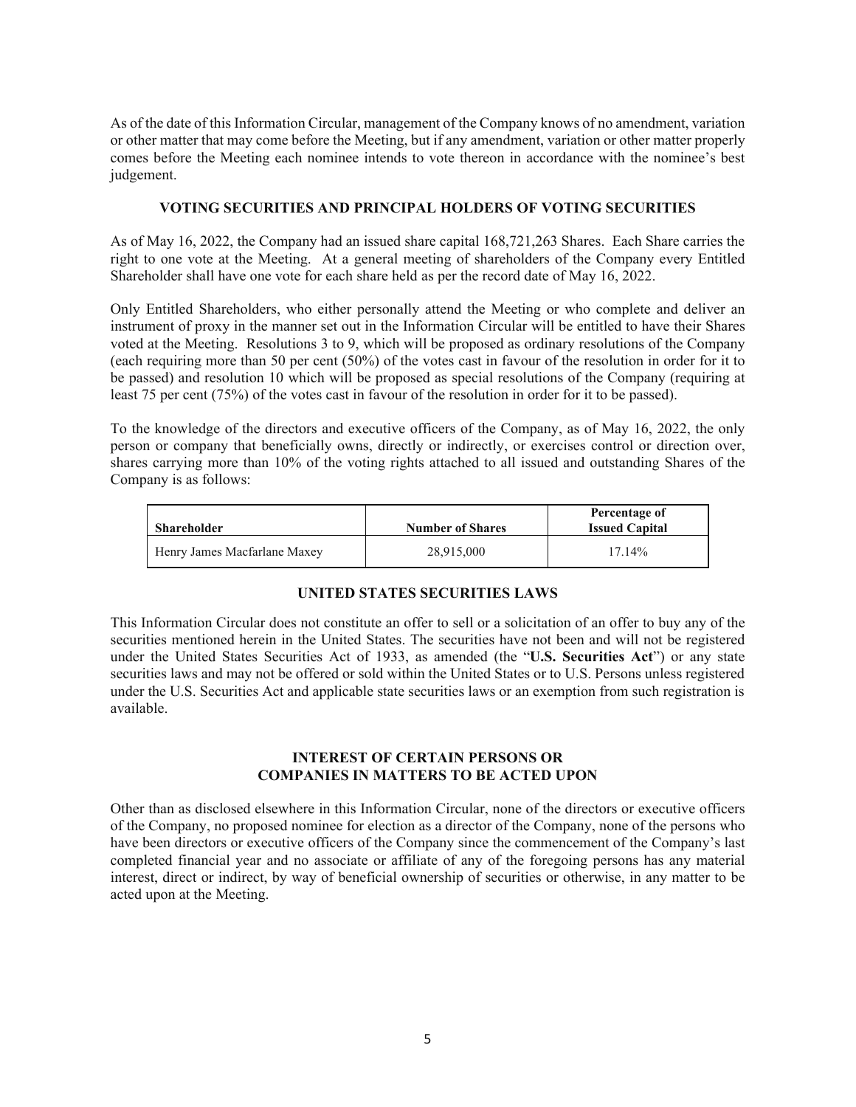As of the date of this Information Circular, management of the Company knows of no amendment, variation or other matter that may come before the Meeting, but if any amendment, variation or other matter properly comes before the Meeting each nominee intends to vote thereon in accordance with the nominee's best judgement.

#### **VOTING SECURITIES AND PRINCIPAL HOLDERS OF VOTING SECURITIES**

As of May 16, 2022, the Company had an issued share capital 168,721,263 Shares. Each Share carries the right to one vote at the Meeting. At a general meeting of shareholders of the Company every Entitled Shareholder shall have one vote for each share held as per the record date of May 16, 2022.

Only Entitled Shareholders, who either personally attend the Meeting or who complete and deliver an instrument of proxy in the manner set out in the Information Circular will be entitled to have their Shares voted at the Meeting. Resolutions 3 to 9, which will be proposed as ordinary resolutions of the Company (each requiring more than 50 per cent (50%) of the votes cast in favour of the resolution in order for it to be passed) and resolution 10 which will be proposed as special resolutions of the Company (requiring at least 75 per cent (75%) of the votes cast in favour of the resolution in order for it to be passed).

To the knowledge of the directors and executive officers of the Company, as of May 16, 2022, the only person or company that beneficially owns, directly or indirectly, or exercises control or direction over, shares carrying more than 10% of the voting rights attached to all issued and outstanding Shares of the Company is as follows:

| <b>Shareholder</b>           | <b>Number of Shares</b> | Percentage of<br><b>Issued Capital</b> |
|------------------------------|-------------------------|----------------------------------------|
| Henry James Macfarlane Maxev | 28.915.000              | 17.14%                                 |

# **UNITED STATES SECURITIES LAWS**

This Information Circular does not constitute an offer to sell or a solicitation of an offer to buy any of the securities mentioned herein in the United States. The securities have not been and will not be registered under the United States Securities Act of 1933, as amended (the "**U.S. Securities Act**") or any state securities laws and may not be offered or sold within the United States or to U.S. Persons unless registered under the U.S. Securities Act and applicable state securities laws or an exemption from such registration is available.

#### **INTEREST OF CERTAIN PERSONS OR COMPANIES IN MATTERS TO BE ACTED UPON**

Other than as disclosed elsewhere in this Information Circular, none of the directors or executive officers of the Company, no proposed nominee for election as a director of the Company, none of the persons who have been directors or executive officers of the Company since the commencement of the Company's last completed financial year and no associate or affiliate of any of the foregoing persons has any material interest, direct or indirect, by way of beneficial ownership of securities or otherwise, in any matter to be acted upon at the Meeting.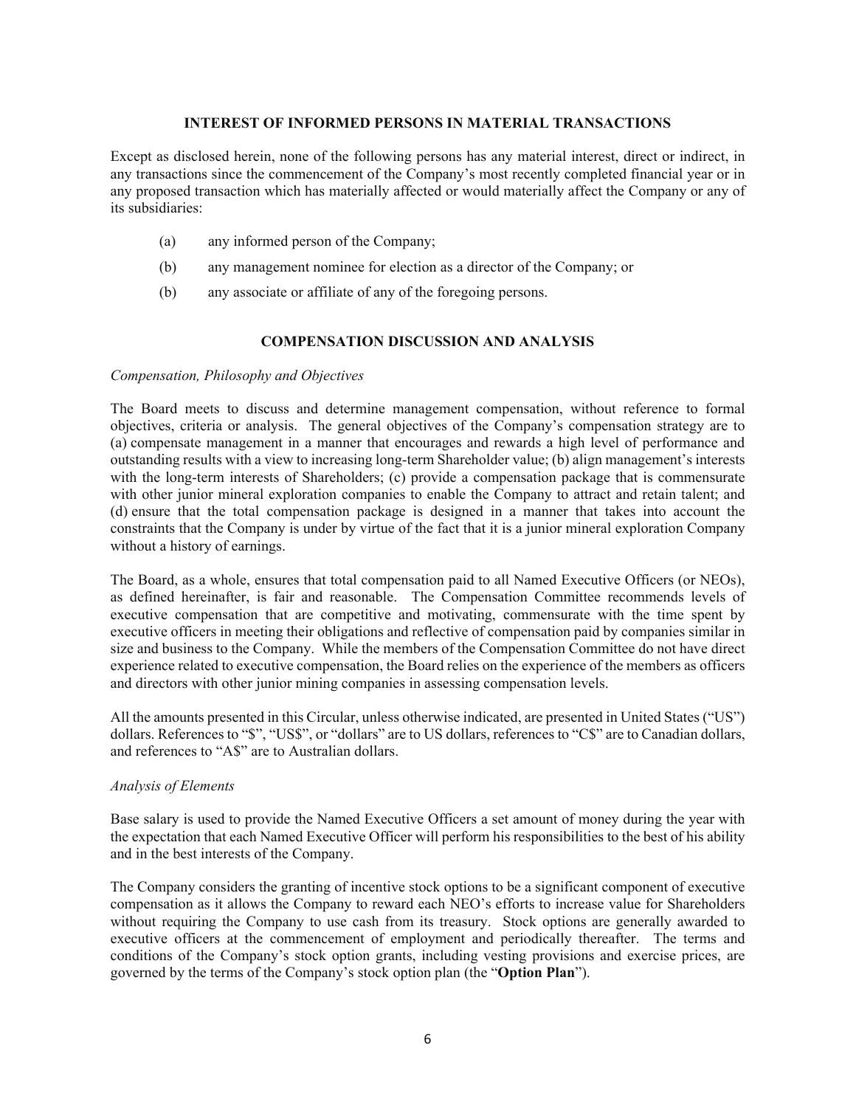#### **INTEREST OF INFORMED PERSONS IN MATERIAL TRANSACTIONS**

Except as disclosed herein, none of the following persons has any material interest, direct or indirect, in any transactions since the commencement of the Company's most recently completed financial year or in any proposed transaction which has materially affected or would materially affect the Company or any of its subsidiaries:

- (a) any informed person of the Company;
- (b) any management nominee for election as a director of the Company; or
- (b) any associate or affiliate of any of the foregoing persons.

# **COMPENSATION DISCUSSION AND ANALYSIS**

#### *Compensation, Philosophy and Objectives*

The Board meets to discuss and determine management compensation, without reference to formal objectives, criteria or analysis. The general objectives of the Company's compensation strategy are to (a) compensate management in a manner that encourages and rewards a high level of performance and outstanding results with a view to increasing long-term Shareholder value; (b) align management's interests with the long-term interests of Shareholders; (c) provide a compensation package that is commensurate with other junior mineral exploration companies to enable the Company to attract and retain talent; and (d) ensure that the total compensation package is designed in a manner that takes into account the constraints that the Company is under by virtue of the fact that it is a junior mineral exploration Company without a history of earnings.

The Board, as a whole, ensures that total compensation paid to all Named Executive Officers (or NEOs), as defined hereinafter, is fair and reasonable. The Compensation Committee recommends levels of executive compensation that are competitive and motivating, commensurate with the time spent by executive officers in meeting their obligations and reflective of compensation paid by companies similar in size and business to the Company. While the members of the Compensation Committee do not have direct experience related to executive compensation, the Board relies on the experience of the members as officers and directors with other junior mining companies in assessing compensation levels.

All the amounts presented in this Circular, unless otherwise indicated, are presented in United States ("US") dollars. References to "\$", "US\$", or "dollars" are to US dollars, references to "C\$" are to Canadian dollars, and references to "A\$" are to Australian dollars.

#### *Analysis of Elements*

Base salary is used to provide the Named Executive Officers a set amount of money during the year with the expectation that each Named Executive Officer will perform his responsibilities to the best of his ability and in the best interests of the Company.

The Company considers the granting of incentive stock options to be a significant component of executive compensation as it allows the Company to reward each NEO's efforts to increase value for Shareholders without requiring the Company to use cash from its treasury. Stock options are generally awarded to executive officers at the commencement of employment and periodically thereafter. The terms and conditions of the Company's stock option grants, including vesting provisions and exercise prices, are governed by the terms of the Company's stock option plan (the "**Option Plan**").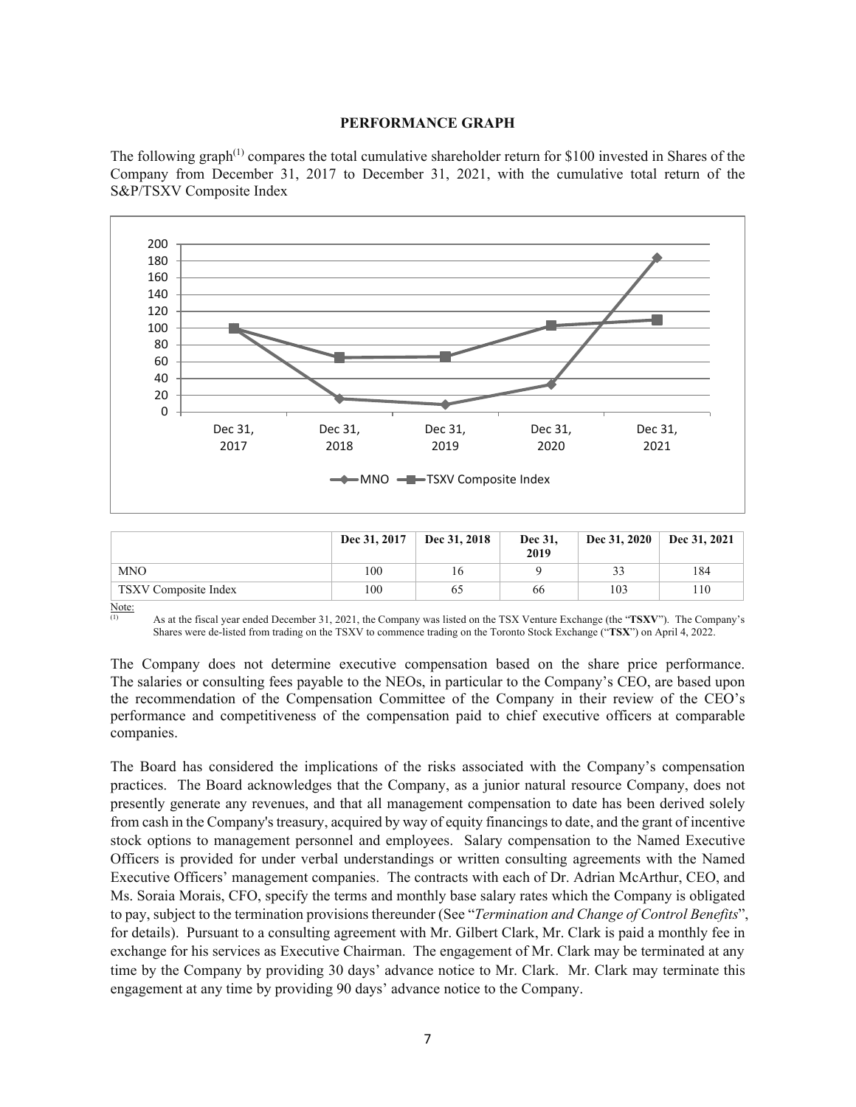#### **PERFORMANCE GRAPH**

The following graph<sup> $(1)$ </sup> compares the total cumulative shareholder return for \$100 invested in Shares of the Company from December 31, 2017 to December 31, 2021, with the cumulative total return of the S&P/TSXV Composite Index



|                      | Dec 31, 2017 | Dec 31, 2018 | Dec 31,<br>2019 | Dec 31, 2020 | Dec 31, 2021 |
|----------------------|--------------|--------------|-----------------|--------------|--------------|
| <b>MNO</b>           | 100          | 16           |                 | 33           | 184          |
| TSXV Composite Index | 100          |              | 66              | 103          | 10           |

Note:

The Company does not determine executive compensation based on the share price performance. The salaries or consulting fees payable to the NEOs, in particular to the Company's CEO, are based upon the recommendation of the Compensation Committee of the Company in their review of the CEO's performance and competitiveness of the compensation paid to chief executive officers at comparable companies.

The Board has considered the implications of the risks associated with the Company's compensation practices. The Board acknowledges that the Company, as a junior natural resource Company, does not presently generate any revenues, and that all management compensation to date has been derived solely from cash in the Company's treasury, acquired by way of equity financings to date, and the grant of incentive stock options to management personnel and employees. Salary compensation to the Named Executive Officers is provided for under verbal understandings or written consulting agreements with the Named Executive Officers' management companies. The contracts with each of Dr. Adrian McArthur, CEO, and Ms. Soraia Morais, CFO, specify the terms and monthly base salary rates which the Company is obligated to pay, subject to the termination provisions thereunder (See "*Termination and Change of Control Benefits*", for details). Pursuant to a consulting agreement with Mr. Gilbert Clark, Mr. Clark is paid a monthly fee in exchange for his services as Executive Chairman. The engagement of Mr. Clark may be terminated at any time by the Company by providing 30 days' advance notice to Mr. Clark. Mr. Clark may terminate this engagement at any time by providing 90 days' advance notice to the Company.

<sup>(1)</sup> As at the fiscal year ended December 31, 2021, the Company was listed on the TSX Venture Exchange (the "**TSXV**"). The Company's Shares were de-listed from trading on the TSXV to commence trading on the Toronto Stock Exchange ("**TSX**") on April 4, 2022.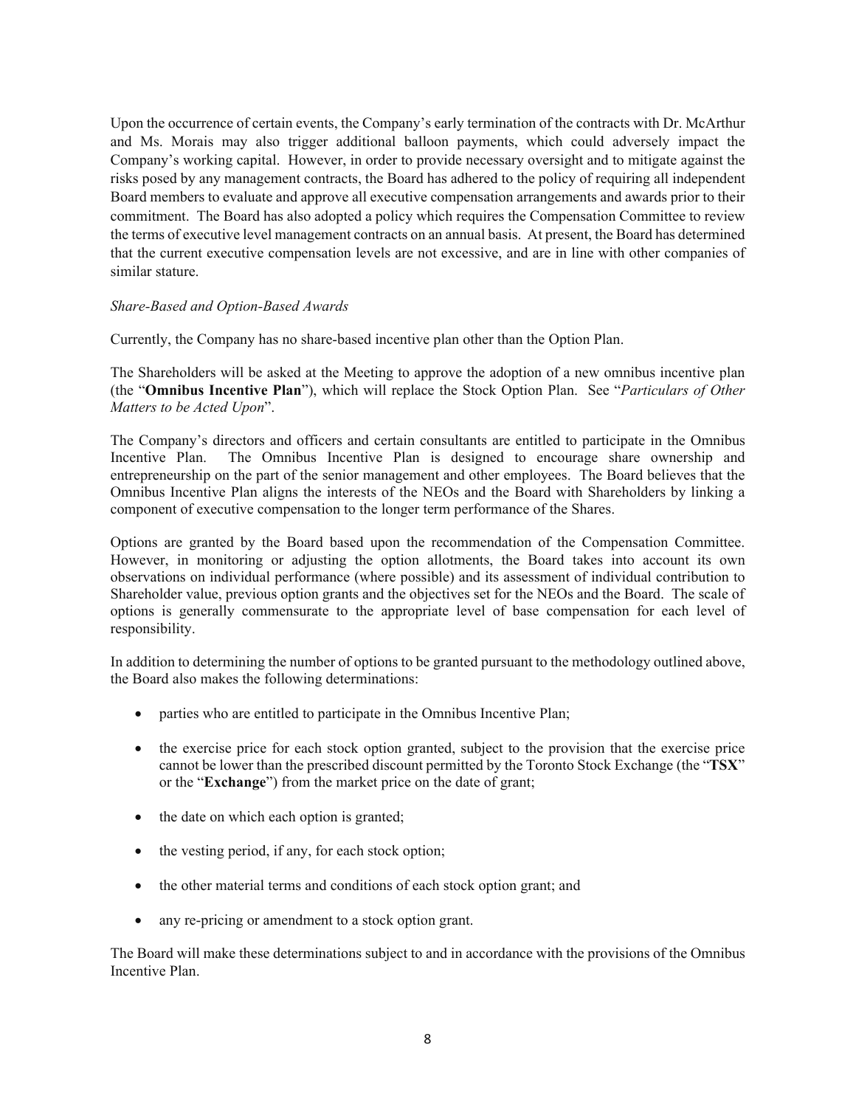Upon the occurrence of certain events, the Company's early termination of the contracts with Dr. McArthur and Ms. Morais may also trigger additional balloon payments, which could adversely impact the Company's working capital. However, in order to provide necessary oversight and to mitigate against the risks posed by any management contracts, the Board has adhered to the policy of requiring all independent Board members to evaluate and approve all executive compensation arrangements and awards prior to their commitment. The Board has also adopted a policy which requires the Compensation Committee to review the terms of executive level management contracts on an annual basis. At present, the Board has determined that the current executive compensation levels are not excessive, and are in line with other companies of similar stature.

#### *Share-Based and Option-Based Awards*

Currently, the Company has no share-based incentive plan other than the Option Plan.

The Shareholders will be asked at the Meeting to approve the adoption of a new omnibus incentive plan (the "**Omnibus Incentive Plan**"), which will replace the Stock Option Plan. See "*Particulars of Other Matters to be Acted Upon*".

The Company's directors and officers and certain consultants are entitled to participate in the Omnibus Incentive Plan. The Omnibus Incentive Plan is designed to encourage share ownership and entrepreneurship on the part of the senior management and other employees. The Board believes that the Omnibus Incentive Plan aligns the interests of the NEOs and the Board with Shareholders by linking a component of executive compensation to the longer term performance of the Shares.

Options are granted by the Board based upon the recommendation of the Compensation Committee. However, in monitoring or adjusting the option allotments, the Board takes into account its own observations on individual performance (where possible) and its assessment of individual contribution to Shareholder value, previous option grants and the objectives set for the NEOs and the Board. The scale of options is generally commensurate to the appropriate level of base compensation for each level of responsibility.

In addition to determining the number of options to be granted pursuant to the methodology outlined above, the Board also makes the following determinations:

- parties who are entitled to participate in the Omnibus Incentive Plan;
- x the exercise price for each stock option granted, subject to the provision that the exercise price cannot be lower than the prescribed discount permitted by the Toronto Stock Exchange (the "**TSX**" or the "**Exchange**") from the market price on the date of grant;
- the date on which each option is granted;
- the vesting period, if any, for each stock option;
- the other material terms and conditions of each stock option grant; and
- any re-pricing or amendment to a stock option grant.

The Board will make these determinations subject to and in accordance with the provisions of the Omnibus Incentive Plan.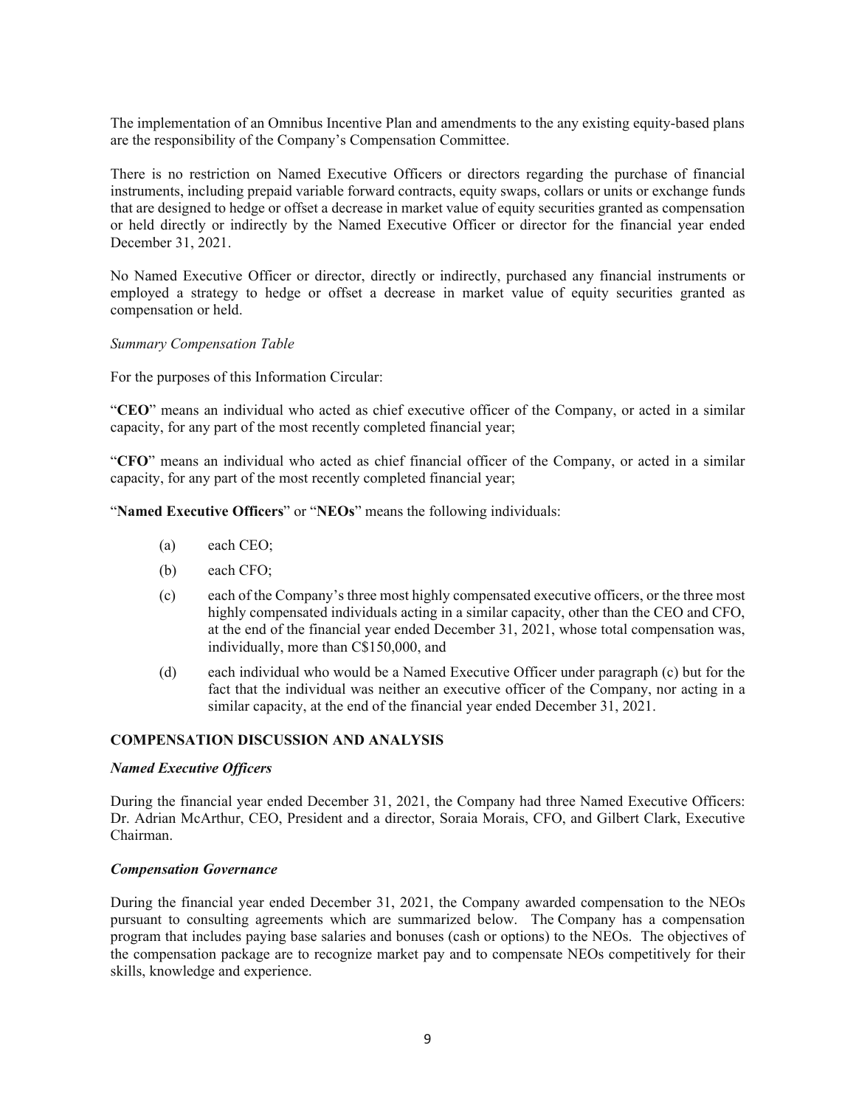The implementation of an Omnibus Incentive Plan and amendments to the any existing equity-based plans are the responsibility of the Company's Compensation Committee.

There is no restriction on Named Executive Officers or directors regarding the purchase of financial instruments, including prepaid variable forward contracts, equity swaps, collars or units or exchange funds that are designed to hedge or offset a decrease in market value of equity securities granted as compensation or held directly or indirectly by the Named Executive Officer or director for the financial year ended December 31, 2021.

No Named Executive Officer or director, directly or indirectly, purchased any financial instruments or employed a strategy to hedge or offset a decrease in market value of equity securities granted as compensation or held.

#### *Summary Compensation Table*

For the purposes of this Information Circular:

"**CEO**" means an individual who acted as chief executive officer of the Company, or acted in a similar capacity, for any part of the most recently completed financial year;

"**CFO**" means an individual who acted as chief financial officer of the Company, or acted in a similar capacity, for any part of the most recently completed financial year;

"**Named Executive Officers**" or "**NEOs**" means the following individuals:

- (a) each CEO;
- (b) each CFO;
- (c) each of the Company's three most highly compensated executive officers, or the three most highly compensated individuals acting in a similar capacity, other than the CEO and CFO, at the end of the financial year ended December 31, 2021, whose total compensation was, individually, more than C\$150,000, and
- (d) each individual who would be a Named Executive Officer under paragraph (c) but for the fact that the individual was neither an executive officer of the Company, nor acting in a similar capacity, at the end of the financial year ended December 31, 2021.

### **COMPENSATION DISCUSSION AND ANALYSIS**

#### *Named Executive Officers*

During the financial year ended December 31, 2021, the Company had three Named Executive Officers: Dr. Adrian McArthur, CEO, President and a director, Soraia Morais, CFO, and Gilbert Clark, Executive Chairman.

#### *Compensation Governance*

During the financial year ended December 31, 2021, the Company awarded compensation to the NEOs pursuant to consulting agreements which are summarized below. The Company has a compensation program that includes paying base salaries and bonuses (cash or options) to the NEOs. The objectives of the compensation package are to recognize market pay and to compensate NEOs competitively for their skills, knowledge and experience.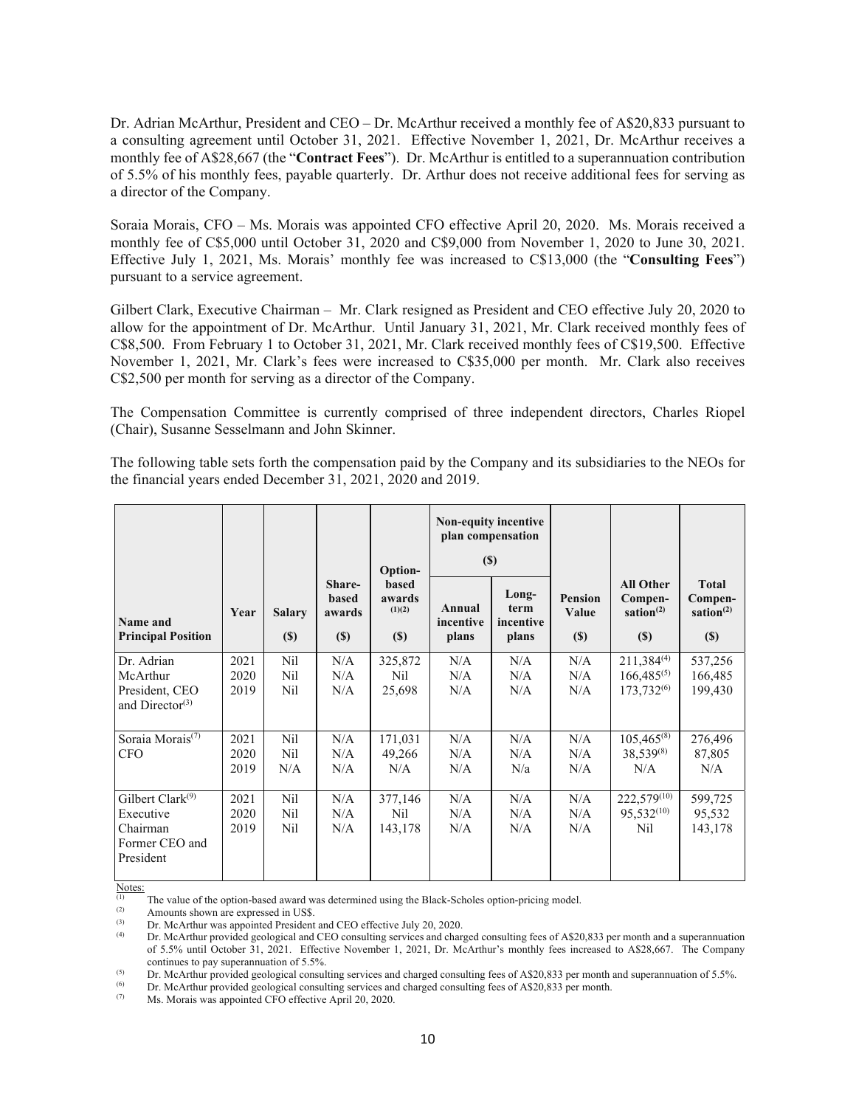Dr. Adrian McArthur, President and CEO – Dr. McArthur received a monthly fee of A\$20,833 pursuant to a consulting agreement until October 31, 2021. Effective November 1, 2021, Dr. McArthur receives a monthly fee of A\$28,667 (the "**Contract Fees**"). Dr. McArthur is entitled to a superannuation contribution of 5.5% of his monthly fees, payable quarterly. Dr. Arthur does not receive additional fees for serving as a director of the Company.

Soraia Morais, CFO – Ms. Morais was appointed CFO effective April 20, 2020. Ms. Morais received a monthly fee of C\$5,000 until October 31, 2020 and C\$9,000 from November 1, 2020 to June 30, 2021. Effective July 1, 2021, Ms. Morais' monthly fee was increased to C\$13,000 (the "**Consulting Fees**") pursuant to a service agreement.

Gilbert Clark, Executive Chairman – Mr. Clark resigned as President and CEO effective July 20, 2020 to allow for the appointment of Dr. McArthur. Until January 31, 2021, Mr. Clark received monthly fees of C\$8,500. From February 1 to October 31, 2021, Mr. Clark received monthly fees of C\$19,500. Effective November 1, 2021, Mr. Clark's fees were increased to C\$35,000 per month. Mr. Clark also receives C\$2,500 per month for serving as a director of the Company.

The Compensation Committee is currently comprised of three independent directors, Charles Riopel (Chair), Susanne Sesselmann and John Skinner.

The following table sets forth the compensation paid by the Company and its subsidiaries to the NEOs for the financial years ended December 31, 2021, 2020 and 2019.

|                                                                             |                      |                                            |                                         | Option-                                 | <b>Non-equity incentive</b><br>plan compensation<br>(S) |                                     |                                |                                                              |                                                   |
|-----------------------------------------------------------------------------|----------------------|--------------------------------------------|-----------------------------------------|-----------------------------------------|---------------------------------------------------------|-------------------------------------|--------------------------------|--------------------------------------------------------------|---------------------------------------------------|
| Name and<br><b>Principal Position</b>                                       | Year                 | <b>Salary</b><br>$(\$)$                    | Share-<br><b>based</b><br>awards<br>(S) | <b>based</b><br>awards<br>(1)(2)<br>(S) | Annual<br>incentive<br>plans                            | Long-<br>term<br>incentive<br>plans | <b>Pension</b><br>Value<br>(S) | <b>All Other</b><br>Compen-<br>sation $(2)$<br>(S)           | <b>Total</b><br>Compen-<br>sation $^{(2)}$<br>(S) |
| Dr. Adrian<br>McArthur<br>President, CEO<br>and Director <sup>(3)</sup>     | 2021<br>2020<br>2019 | Nil<br>Nil<br>N <sub>il</sub>              | N/A<br>N/A<br>N/A                       | 325,872<br>N <sub>il</sub><br>25,698    | N/A<br>N/A<br>N/A                                       | N/A<br>N/A<br>N/A                   | N/A<br>N/A<br>N/A              | $211,384^{(4)}$<br>$166,485^{(5)}$<br>173,732 <sup>(6)</sup> | 537,256<br>166,485<br>199,430                     |
| Soraia Morais <sup>(7)</sup><br><b>CFO</b>                                  | 2021<br>2020<br>2019 | Nil<br>N <sub>il</sub><br>N/A              | N/A<br>N/A<br>N/A                       | 171,031<br>49,266<br>N/A                | N/A<br>N/A<br>N/A                                       | N/A<br>N/A<br>N/a                   | N/A<br>N/A<br>N/A              | $105,465^{(8)}$<br>$38,539^{(8)}$<br>N/A                     | 276,496<br>87,805<br>N/A                          |
| Gilbert Clark $(9)$<br>Executive<br>Chairman<br>Former CEO and<br>President | 2021<br>2020<br>2019 | Ni1<br>N <sub>il</sub><br>N <sub>i</sub> l | N/A<br>N/A<br>N/A                       | 377,146<br>N <sub>il</sub><br>143,178   | N/A<br>N/A<br>N/A                                       | N/A<br>N/A<br>N/A                   | N/A<br>N/A<br>N/A              | $222,579^{(10)}$<br>$95.532^{(10)}$<br>Nil                   | 599,725<br>95,532<br>143,178                      |

Notes:

(1) The value of the option-based award was determined using the Black-Scholes option-pricing model.<br>  $\Delta$  mounts chours are our recently US\$

(2) Amounts shown are expressed in US\$.<br>(3) Dr. McArthur was appointed President

(3) Dr. McArthur was appointed President and CEO effective July 20, 2020.<br>
(4) Dr. McArthur provided geological and CEO consulting services and charged consulting fees of A\$20,833 per month and a superannuation of 5.5% until October 31, 2021. Effective November 1, 2021, Dr. McArthur's monthly fees increased to A\$28,667. The Company

continues to pay superannuation of 5.5%.<br>
Dr. McArthur provided geological consulting services and charged consulting fees of A\$20,833 per month and superannuation of 5.5%.<br>
(6) Dr. McArthur provided geological consulting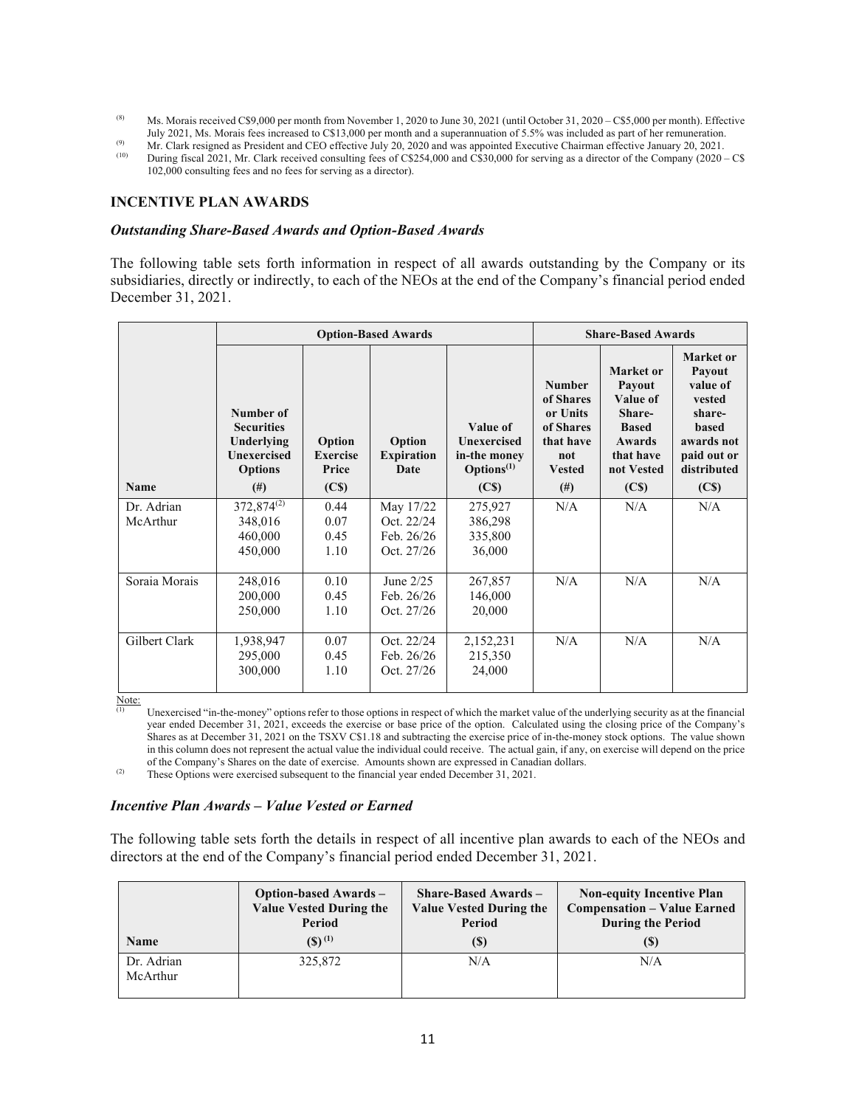- (8) Ms. Morais received C\$9,000 per month from November 1, 2020 to June 30, 2021 (until October 31, 2020 C\$5,000 per month). Effective July 2021, Ms. Morais fees increased to C\$13,000 per month and a superannuation of 5
- 
- <sup>(9)</sup> Mr. Clark resigned as President and CEO effective July 20, 2020 and was appointed Executive Chairman effective January 20, 2021.<br>
During fiscal 2021, Mr. Clark received consulting fees of C\$254,000 and C\$30,000 for 102,000 consulting fees and no fees for serving as a director).

#### **INCENTIVE PLAN AWARDS**

#### *Outstanding Share-Based Awards and Option-Based Awards*

The following table sets forth information in respect of all awards outstanding by the Company or its subsidiaries, directly or indirectly, to each of the NEOs at the end of the Company's financial period ended December 31, 2021.

|               | <b>Option-Based Awards</b>                                                                       |                                                         |                                            |                                                                                               |                                                                                                      | <b>Share-Based Awards</b>                                                                                           |                                                                                                                                             |
|---------------|--------------------------------------------------------------------------------------------------|---------------------------------------------------------|--------------------------------------------|-----------------------------------------------------------------------------------------------|------------------------------------------------------------------------------------------------------|---------------------------------------------------------------------------------------------------------------------|---------------------------------------------------------------------------------------------------------------------------------------------|
| <b>Name</b>   | Number of<br><b>Securities</b><br>Underlying<br><b>Unexercised</b><br><b>Options</b><br>$^{(#)}$ | Option<br><b>Exercise</b><br>Price<br>(C <sub>s</sub> ) | Option<br><b>Expiration</b><br><b>Date</b> | Value of<br><b>Unexercised</b><br>in-the money<br>Options <sup>(1)</sup><br>(C <sub>s</sub> ) | <b>Number</b><br>of Shares<br>or Units<br>of Shares<br>that have<br>not<br><b>Vested</b><br>$^{(#)}$ | Market or<br>Payout<br>Value of<br>Share-<br><b>Based</b><br>Awards<br>that have<br>not Vested<br>(C <sub>s</sub> ) | Market or<br><b>Payout</b><br>value of<br>vested<br>share-<br><b>based</b><br>awards not<br>paid out or<br>distributed<br>(C <sub>s</sub> ) |
| Dr. Adrian    | 372,874 <sup>(2)</sup>                                                                           | 0.44                                                    | May 17/22                                  | 275,927                                                                                       | N/A                                                                                                  | N/A                                                                                                                 | N/A                                                                                                                                         |
| McArthur      | 348,016                                                                                          | 0.07                                                    | Oct. 22/24                                 | 386,298                                                                                       |                                                                                                      |                                                                                                                     |                                                                                                                                             |
|               | 460,000                                                                                          | 0.45                                                    | Feb. 26/26                                 | 335,800                                                                                       |                                                                                                      |                                                                                                                     |                                                                                                                                             |
|               | 450,000                                                                                          | 1.10                                                    | Oct. 27/26                                 | 36,000                                                                                        |                                                                                                      |                                                                                                                     |                                                                                                                                             |
| Soraia Morais | 248,016                                                                                          | 0.10                                                    | June $2/25$                                | 267,857                                                                                       | N/A                                                                                                  | N/A                                                                                                                 | N/A                                                                                                                                         |
|               | 200,000                                                                                          | 0.45                                                    | Feb. 26/26                                 | 146,000                                                                                       |                                                                                                      |                                                                                                                     |                                                                                                                                             |
|               | 250,000                                                                                          | 1.10                                                    | Oct. 27/26                                 | 20,000                                                                                        |                                                                                                      |                                                                                                                     |                                                                                                                                             |
| Gilbert Clark | 1,938,947                                                                                        | 0.07                                                    | Oct. 22/24                                 | 2,152,231                                                                                     | N/A                                                                                                  | N/A                                                                                                                 | N/A                                                                                                                                         |
|               | 295,000                                                                                          | 0.45                                                    | Feb. 26/26                                 | 215,350                                                                                       |                                                                                                      |                                                                                                                     |                                                                                                                                             |
|               | 300,000                                                                                          | 1.10                                                    | Oct. 27/26                                 | 24,000                                                                                        |                                                                                                      |                                                                                                                     |                                                                                                                                             |
| Note:         |                                                                                                  |                                                         |                                            |                                                                                               |                                                                                                      |                                                                                                                     |                                                                                                                                             |

(1) Unexercised "in-the-money" options refer to those options in respect of which the market value of the underlying security as at the financial year ended December 31, 2021, exceeds the exercise or base price of the option. Calculated using the closing price of the Company's Shares as at December 31, 2021 on the TSXV C\$1.18 and subtracting the exercise price of in-the-money stock options. The value shown in this column does not represent the actual value the individual could receive. The actual gain, if any, on exercise will depend on the price of the Company's Shares on the date of exercise. Amounts shown are expressed in Canadian dollars.<br>
(2) These Options were exercised subsequent to the financial year ended December 31, 2021.

#### *Incentive Plan Awards – Value Vested or Earned*

The following table sets forth the details in respect of all incentive plan awards to each of the NEOs and directors at the end of the Company's financial period ended December 31, 2021.

| <b>Name</b>            | <b>Option-based Awards –</b>   | <b>Share-Based Awards</b> $-$  | <b>Non-equity Incentive Plan</b>   |
|------------------------|--------------------------------|--------------------------------|------------------------------------|
|                        | <b>Value Vested During the</b> | <b>Value Vested During the</b> | <b>Compensation - Value Earned</b> |
|                        | Period                         | Period                         | <b>During the Period</b>           |
|                        | $(S)^{(1)}$                    | (S)                            | (\$)                               |
| Dr. Adrian<br>McArthur | 325,872                        | N/A                            | N/A                                |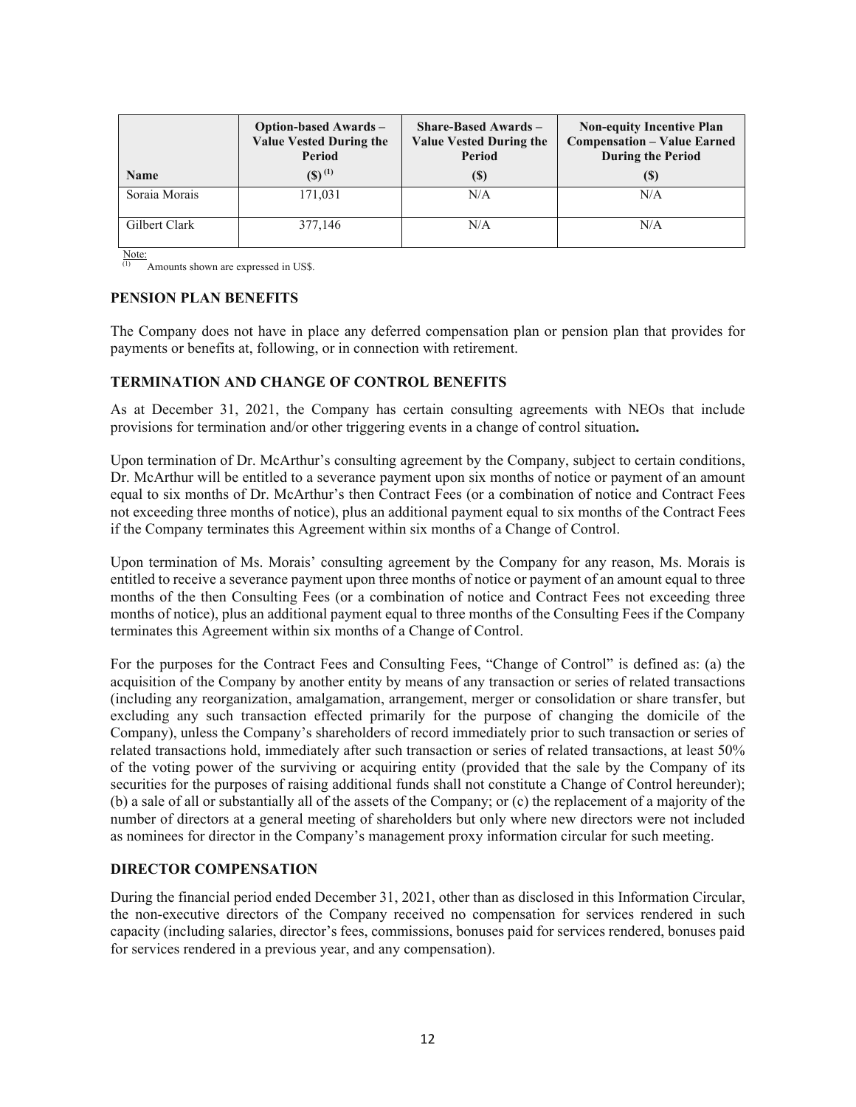| <b>Option-based Awards –</b><br><b>Value Vested During the</b><br>Period |             | <b>Share-Based Awards –</b><br><b>Value Vested During the</b><br>Period | <b>Non-equity Incentive Plan</b><br><b>Compensation - Value Earned</b><br><b>During the Period</b> |  |
|--------------------------------------------------------------------------|-------------|-------------------------------------------------------------------------|----------------------------------------------------------------------------------------------------|--|
| <b>Name</b>                                                              | $(S)^{(1)}$ | (S)                                                                     | $\left( \mathbb{S}\right)$                                                                         |  |
| Soraia Morais                                                            | 171,031     | N/A                                                                     | N/A                                                                                                |  |
| Gilbert Clark                                                            | 377,146     | N/A                                                                     | N/A                                                                                                |  |

Note:

(1) Amounts shown are expressed in US\$.

#### **PENSION PLAN BENEFITS**

The Company does not have in place any deferred compensation plan or pension plan that provides for payments or benefits at, following, or in connection with retirement.

#### **TERMINATION AND CHANGE OF CONTROL BENEFITS**

As at December 31, 2021, the Company has certain consulting agreements with NEOs that include provisions for termination and/or other triggering events in a change of control situation**.** 

Upon termination of Dr. McArthur's consulting agreement by the Company, subject to certain conditions, Dr. McArthur will be entitled to a severance payment upon six months of notice or payment of an amount equal to six months of Dr. McArthur's then Contract Fees (or a combination of notice and Contract Fees not exceeding three months of notice), plus an additional payment equal to six months of the Contract Fees if the Company terminates this Agreement within six months of a Change of Control.

Upon termination of Ms. Morais' consulting agreement by the Company for any reason, Ms. Morais is entitled to receive a severance payment upon three months of notice or payment of an amount equal to three months of the then Consulting Fees (or a combination of notice and Contract Fees not exceeding three months of notice), plus an additional payment equal to three months of the Consulting Fees if the Company terminates this Agreement within six months of a Change of Control.

For the purposes for the Contract Fees and Consulting Fees, "Change of Control" is defined as: (a) the acquisition of the Company by another entity by means of any transaction or series of related transactions (including any reorganization, amalgamation, arrangement, merger or consolidation or share transfer, but excluding any such transaction effected primarily for the purpose of changing the domicile of the Company), unless the Company's shareholders of record immediately prior to such transaction or series of related transactions hold, immediately after such transaction or series of related transactions, at least 50% of the voting power of the surviving or acquiring entity (provided that the sale by the Company of its securities for the purposes of raising additional funds shall not constitute a Change of Control hereunder); (b) a sale of all or substantially all of the assets of the Company; or (c) the replacement of a majority of the number of directors at a general meeting of shareholders but only where new directors were not included as nominees for director in the Company's management proxy information circular for such meeting.

# **DIRECTOR COMPENSATION**

During the financial period ended December 31, 2021, other than as disclosed in this Information Circular, the non-executive directors of the Company received no compensation for services rendered in such capacity (including salaries, director's fees, commissions, bonuses paid for services rendered, bonuses paid for services rendered in a previous year, and any compensation).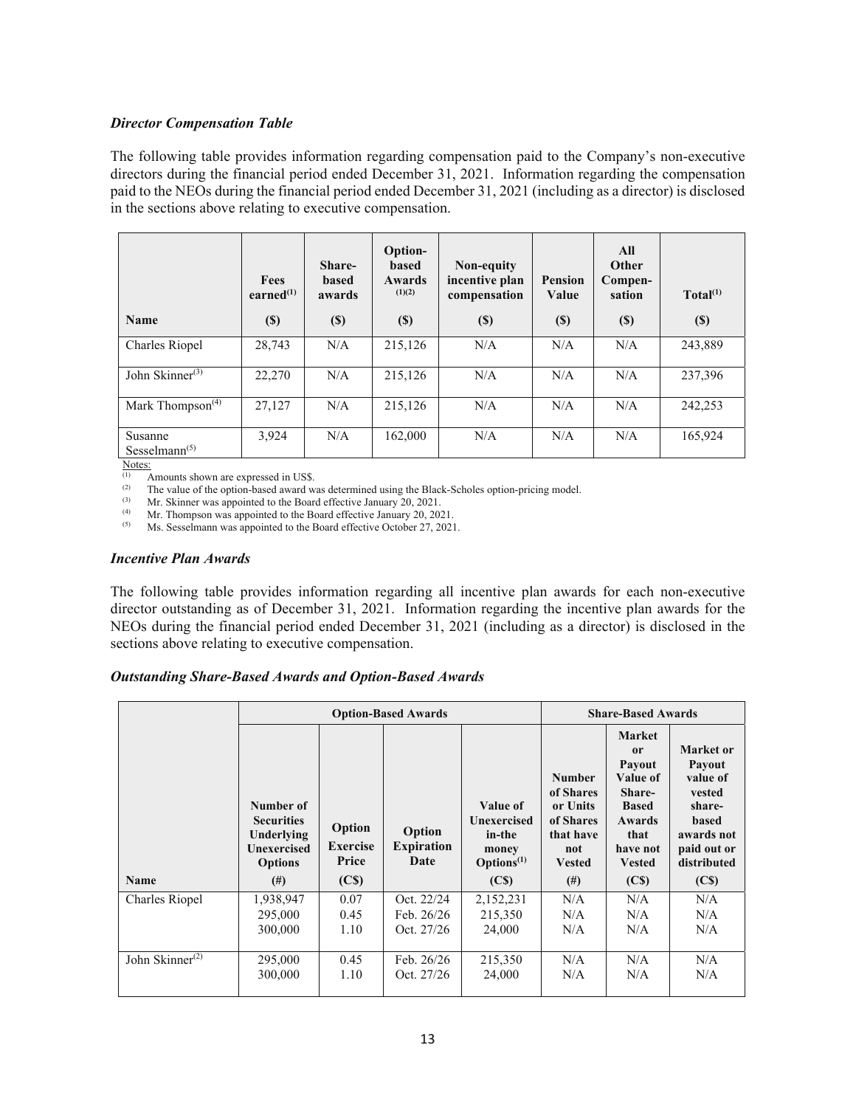### *Director Compensation Table*

The following table provides information regarding compensation paid to the Company's non-executive directors during the financial period ended December 31, 2021. Information regarding the compensation paid to the NEOs during the financial period ended December 31, 2021 (including as a director) is disclosed in the sections above relating to executive compensation.

| <b>Name</b>                               | Fees<br>earned $^{(1)}$<br>$(\$)$ | Share-<br><b>based</b><br>awards<br>$(\$)$ | Option-<br><b>based</b><br><b>Awards</b><br>(1)(2)<br>$(\$)$ | Non-equity<br>incentive plan<br>compensation<br>$(\$)$ | <b>Pension</b><br>Value<br>$(\$)$ | All<br><b>Other</b><br>Compen-<br>sation<br>$(\$)$ | Total <sup>(1)</sup><br>$(\$)$ |
|-------------------------------------------|-----------------------------------|--------------------------------------------|--------------------------------------------------------------|--------------------------------------------------------|-----------------------------------|----------------------------------------------------|--------------------------------|
| Charles Riopel                            | 28.743                            | N/A                                        | 215,126                                                      | N/A                                                    | N/A                               | N/A                                                | 243,889                        |
| John Skinner $(3)$                        | 22,270                            | N/A                                        | 215,126                                                      | N/A                                                    | N/A                               | N/A                                                | 237,396                        |
| Mark Thompson <sup><math>(4)</math></sup> | 27,127                            | N/A                                        | 215,126                                                      | N/A                                                    | N/A                               | N/A                                                | 242,253                        |
| Susanne<br>Sesselmann $(5)$               | 3,924                             | N/A                                        | 162,000                                                      | N/A                                                    | N/A                               | N/A                                                | 165,924                        |

 $\frac{\text{Notes:}}{\text{①}}$ 

(1) Amounts shown are expressed in US\$.<br>(2) The value of the option-based award w

(2) The value of the option-based award was determined using the Black-Scholes option-pricing model.<br>(3) Mr. Skinner was appointed to the Board effective January 20, 2021

(3) Mr. Skinner was appointed to the Board effective January 20, 2021.<br>  $\mu$  Mr. Thompson was appointed to the Board effective January 20, 2021.

(4) Mr. Thompson was appointed to the Board effective January  $20, 2021$ .<br>  $\frac{(5)}{100}$  Ms. Sesselmann was appointed to the Board effective October 27, 2021.

Ms. Sesselmann was appointed to the Board effective October 27, 2021.

#### *Incentive Plan Awards*

The following table provides information regarding all incentive plan awards for each non-executive director outstanding as of December 31, 2021. Information regarding the incentive plan awards for the NEOs during the financial period ended December 31, 2021 (including as a director) is disclosed in the sections above relating to executive compensation.

#### *Outstanding Share-Based Awards and Option-Based Awards*

|                       | <b>Option-Based Awards</b>                                                           |                                    |                                     |                                                                             |                                                                                          | <b>Share-Based Awards</b>                                                                                                 |                                                                                                                        |
|-----------------------|--------------------------------------------------------------------------------------|------------------------------------|-------------------------------------|-----------------------------------------------------------------------------|------------------------------------------------------------------------------------------|---------------------------------------------------------------------------------------------------------------------------|------------------------------------------------------------------------------------------------------------------------|
|                       | Number of<br><b>Securities</b><br>Underlying<br><b>Unexercised</b><br><b>Options</b> | Option<br><b>Exercise</b><br>Price | Option<br><b>Expiration</b><br>Date | Value of<br><b>Unexercised</b><br>in-the<br>money<br>Options <sup>(1)</sup> | <b>Number</b><br>of Shares<br>or Units<br>of Shares<br>that have<br>not<br><b>Vested</b> | <b>Market</b><br>0r<br>Payout<br>Value of<br>Share-<br><b>Based</b><br><b>Awards</b><br>that<br>have not<br><b>Vested</b> | Market or<br><b>Payout</b><br>value of<br>vested<br>share-<br><b>based</b><br>awards not<br>paid out or<br>distributed |
| <b>Name</b>           | $^{(#)}$                                                                             | (C <sub>s</sub> )                  |                                     | (C <sub>s</sub> )                                                           | $^{(#)}$                                                                                 | (C <sub>s</sub> )                                                                                                         | (C <sub>s</sub> )                                                                                                      |
| Charles Riopel        | 1,938,947                                                                            | 0.07                               | Oct. 22/24                          | 2,152,231                                                                   | N/A                                                                                      | N/A                                                                                                                       | N/A                                                                                                                    |
|                       | 295,000                                                                              | 0.45                               | Feb. $26/26$                        | 215,350                                                                     | N/A                                                                                      | N/A                                                                                                                       | N/A                                                                                                                    |
|                       | 300,000                                                                              | 1.10                               | Oct. 27/26                          | 24,000                                                                      | N/A                                                                                      | N/A                                                                                                                       | N/A                                                                                                                    |
| John Skinner $^{(2)}$ | 295,000<br>300,000                                                                   | 0.45<br>1.10                       | Feb. $26/26$<br>Oct. 27/26          | 215,350<br>24,000                                                           | N/A<br>N/A                                                                               | N/A<br>N/A                                                                                                                | N/A<br>N/A                                                                                                             |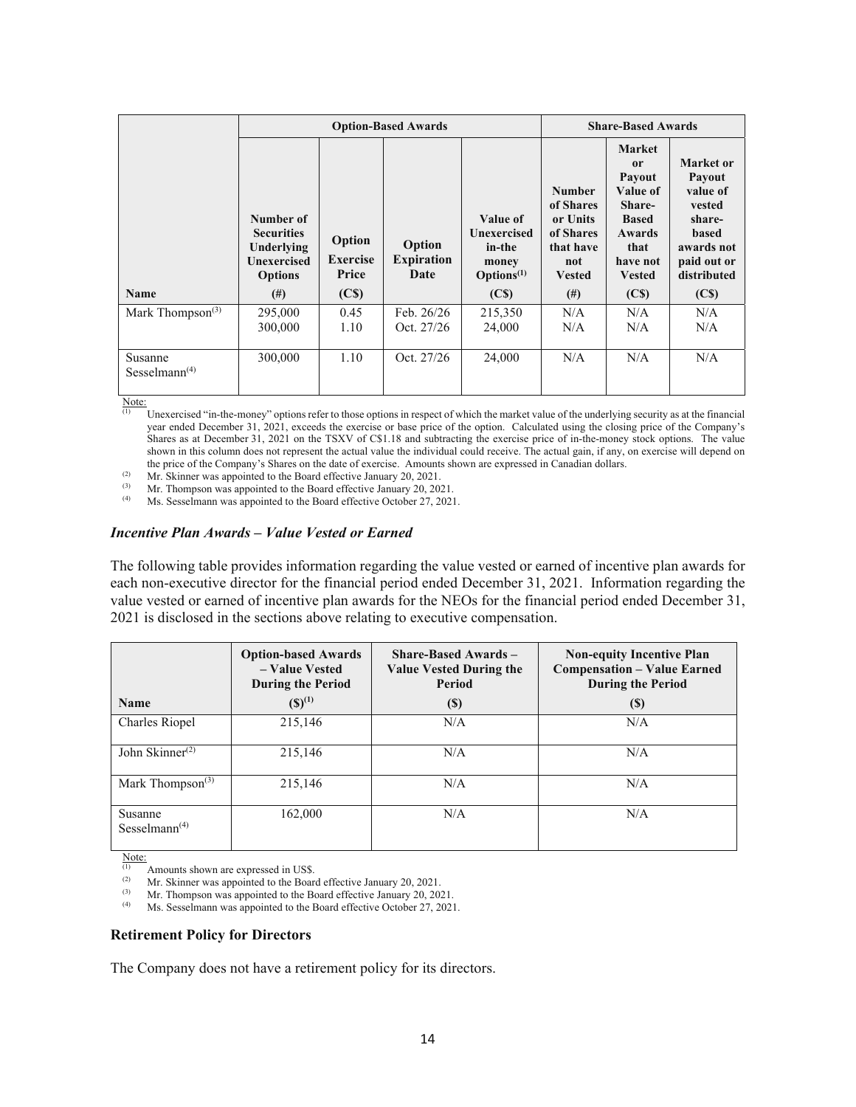|                                                   |                                                                                                  |                                                         | <b>Option-Based Awards</b>          |                                                                                           |                                                                                                      | <b>Share-Based Awards</b>                                                                                                                                 |                                                                                                                                             |  |
|---------------------------------------------------|--------------------------------------------------------------------------------------------------|---------------------------------------------------------|-------------------------------------|-------------------------------------------------------------------------------------------|------------------------------------------------------------------------------------------------------|-----------------------------------------------------------------------------------------------------------------------------------------------------------|---------------------------------------------------------------------------------------------------------------------------------------------|--|
| <b>Name</b>                                       | Number of<br><b>Securities</b><br>Underlying<br><b>Unexercised</b><br><b>Options</b><br>$^{(#)}$ | Option<br><b>Exercise</b><br>Price<br>(C <sub>s</sub> ) | Option<br><b>Expiration</b><br>Date | Value of<br>Unexercised<br>in-the<br>money<br>$\text{Options}^{(1)}$<br>(C <sub>s</sub> ) | <b>Number</b><br>of Shares<br>or Units<br>of Shares<br>that have<br>not<br><b>Vested</b><br>$^{(#)}$ | <b>Market</b><br><sub>or</sub><br>Payout<br>Value of<br>Share-<br><b>Based</b><br><b>Awards</b><br>that<br>have not<br><b>Vested</b><br>(C <sub>s</sub> ) | Market or<br><b>Payout</b><br>value of<br>vested<br>share-<br><b>based</b><br>awards not<br>paid out or<br>distributed<br>(C <sub>s</sub> ) |  |
|                                                   |                                                                                                  |                                                         |                                     |                                                                                           |                                                                                                      | N/A                                                                                                                                                       | N/A                                                                                                                                         |  |
| Mark Thompson <sup>(3)</sup>                      | 295,000<br>300,000                                                                               | 0.45<br>1.10                                            | Feb. $26/26$<br>Oct. 27/26          | 215,350<br>24,000                                                                         | N/A<br>N/A                                                                                           | N/A                                                                                                                                                       | N/A                                                                                                                                         |  |
| Susanne<br>Sesselmann <sup><math>(4)</math></sup> | 300,000                                                                                          | 1.10                                                    | Oct. 27/26                          | 24,000                                                                                    | N/A                                                                                                  | N/A                                                                                                                                                       | N/A                                                                                                                                         |  |

 $\frac{\text{Note:}}{\text{(1)}}$ 

Unexercised "in-the-money" options refer to those options in respect of which the market value of the underlying security as at the financial year ended December 31, 2021, exceeds the exercise or base price of the option. Calculated using the closing price of the Company's Shares as at December 31, 2021 on the TSXV of C\$1.18 and subtracting the exercise price of in-the-money stock options. The value shown in this column does not represent the actual value the individual could receive. The actual gain, if any, on exercise will depend on the price of the Company's Shares on the date of exercise. Amounts shown are expressed in Canadian dollars.<br>
(2) Mr. Skinner was appointed to the Board effective January 20, 2021.<br>
(3) Mr. Thompson was appointed to the Boa

(3) Mr. Thompson was appointed to the Board effective January 20, 2021.<br>  $\mu$  M<sub>s</sub> Sesselmann was appointed to the Board effective October 27, 2021.

Ms. Sesselmann was appointed to the Board effective October 27, 2021.

#### *Incentive Plan Awards – Value Vested or Earned*

The following table provides information regarding the value vested or earned of incentive plan awards for each non-executive director for the financial period ended December 31, 2021. Information regarding the value vested or earned of incentive plan awards for the NEOs for the financial period ended December 31, 2021 is disclosed in the sections above relating to executive compensation.

|                                                   | <b>Option-based Awards</b><br>- Value Vested<br><b>During the Period</b> | <b>Share-Based Awards -</b><br><b>Value Vested During the</b><br>Period | <b>Non-equity Incentive Plan</b><br><b>Compensation - Value Earned</b><br><b>During the Period</b> |
|---------------------------------------------------|--------------------------------------------------------------------------|-------------------------------------------------------------------------|----------------------------------------------------------------------------------------------------|
| <b>Name</b>                                       | $(S)^{(1)}$                                                              | $\left( \mathbb{S}\right)$                                              | $\left( \mathbb{S}\right)$                                                                         |
| Charles Riopel                                    | 215,146                                                                  | N/A                                                                     | N/A                                                                                                |
| John Skinner $^{(2)}$                             | 215,146                                                                  | N/A                                                                     | N/A                                                                                                |
| Mark Thompson <sup>(3)</sup>                      | 215,146                                                                  | N/A                                                                     | N/A                                                                                                |
| Susanne<br>Sesselmann <sup><math>(4)</math></sup> | 162,000                                                                  | N/A                                                                     | N/A                                                                                                |

 $\frac{\text{Note:}}{\text{(1)}}$ 

 $\mu$ <sup>(1)</sup> Amounts shown are expressed in US\$.<br>(2) Mr. Skinner was annointed to the Boar

(2) Mr. Skinner was appointed to the Board effective January 20, 2021.

(3) Mr. Thompson was appointed to the Board effective January 20, 2021.

Ms. Sesselmann was appointed to the Board effective October 27, 2021.

#### **Retirement Policy for Directors**

The Company does not have a retirement policy for its directors.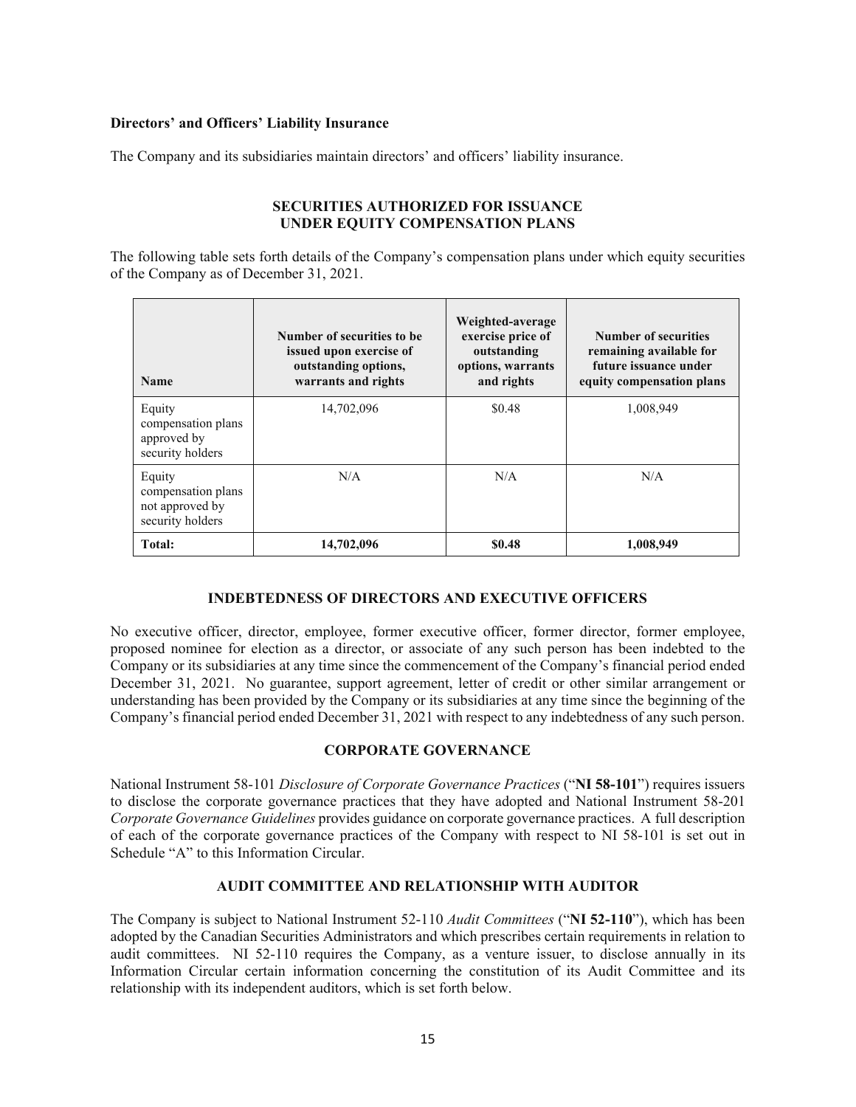### **Directors' and Officers' Liability Insurance**

The Company and its subsidiaries maintain directors' and officers' liability insurance.

### **SECURITIES AUTHORIZED FOR ISSUANCE UNDER EQUITY COMPENSATION PLANS**

The following table sets forth details of the Company's compensation plans under which equity securities of the Company as of December 31, 2021.

| <b>Name</b>                                                         | Number of securities to be.<br>issued upon exercise of<br>outstanding options,<br>warrants and rights | Weighted-average<br>exercise price of<br>outstanding<br>options, warrants<br>and rights | Number of securities<br>remaining available for<br>future issuance under<br>equity compensation plans |
|---------------------------------------------------------------------|-------------------------------------------------------------------------------------------------------|-----------------------------------------------------------------------------------------|-------------------------------------------------------------------------------------------------------|
| Equity<br>compensation plans<br>approved by<br>security holders     | 14,702,096                                                                                            | \$0.48                                                                                  | 1,008,949                                                                                             |
| Equity<br>compensation plans<br>not approved by<br>security holders | N/A                                                                                                   |                                                                                         | N/A                                                                                                   |
| Total:                                                              | 14,702,096                                                                                            | \$0.48                                                                                  | 1,008,949                                                                                             |

# **INDEBTEDNESS OF DIRECTORS AND EXECUTIVE OFFICERS**

No executive officer, director, employee, former executive officer, former director, former employee, proposed nominee for election as a director, or associate of any such person has been indebted to the Company or its subsidiaries at any time since the commencement of the Company's financial period ended December 31, 2021. No guarantee, support agreement, letter of credit or other similar arrangement or understanding has been provided by the Company or its subsidiaries at any time since the beginning of the Company's financial period ended December 31, 2021 with respect to any indebtedness of any such person.

#### **CORPORATE GOVERNANCE**

National Instrument 58-101 *Disclosure of Corporate Governance Practices* ("**NI 58-101**") requires issuers to disclose the corporate governance practices that they have adopted and National Instrument 58-201 *Corporate Governance Guidelines* provides guidance on corporate governance practices. A full description of each of the corporate governance practices of the Company with respect to NI 58-101 is set out in Schedule "A" to this Information Circular.

#### **AUDIT COMMITTEE AND RELATIONSHIP WITH AUDITOR**

The Company is subject to National Instrument 52-110 *Audit Committees* ("**NI 52-110**"), which has been adopted by the Canadian Securities Administrators and which prescribes certain requirements in relation to audit committees. NI 52-110 requires the Company, as a venture issuer, to disclose annually in its Information Circular certain information concerning the constitution of its Audit Committee and its relationship with its independent auditors, which is set forth below.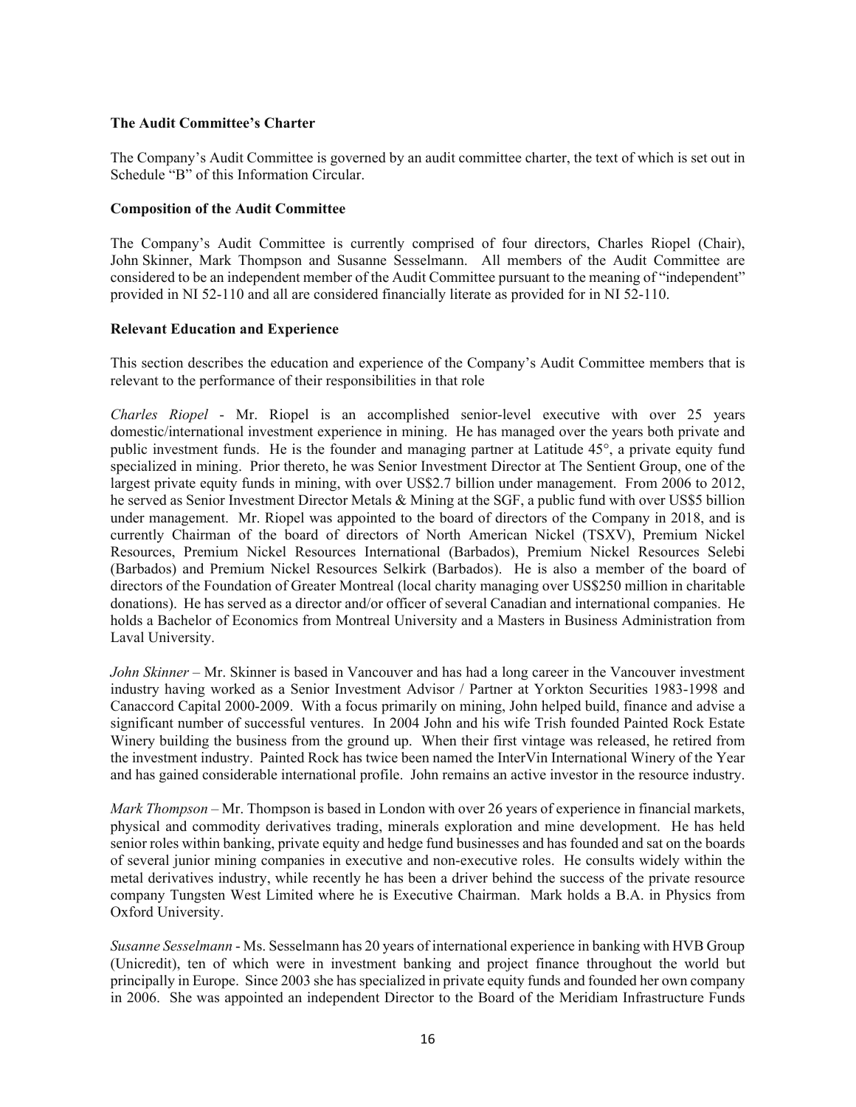#### **The Audit Committee's Charter**

The Company's Audit Committee is governed by an audit committee charter, the text of which is set out in Schedule "B" of this Information Circular.

#### **Composition of the Audit Committee**

The Company's Audit Committee is currently comprised of four directors, Charles Riopel (Chair), John Skinner, Mark Thompson and Susanne Sesselmann. All members of the Audit Committee are considered to be an independent member of the Audit Committee pursuant to the meaning of "independent" provided in NI 52-110 and all are considered financially literate as provided for in NI 52-110.

#### **Relevant Education and Experience**

This section describes the education and experience of the Company's Audit Committee members that is relevant to the performance of their responsibilities in that role

*Charles Riopel* - Mr. Riopel is an accomplished senior-level executive with over 25 years domestic/international investment experience in mining. He has managed over the years both private and public investment funds. He is the founder and managing partner at Latitude 45°, a private equity fund specialized in mining. Prior thereto, he was Senior Investment Director at The Sentient Group, one of the largest private equity funds in mining, with over US\$2.7 billion under management. From 2006 to 2012, he served as Senior Investment Director Metals & Mining at the SGF, a public fund with over US\$5 billion under management. Mr. Riopel was appointed to the board of directors of the Company in 2018, and is currently Chairman of the board of directors of North American Nickel (TSXV), Premium Nickel Resources, Premium Nickel Resources International (Barbados), Premium Nickel Resources Selebi (Barbados) and Premium Nickel Resources Selkirk (Barbados). He is also a member of the board of directors of the Foundation of Greater Montreal (local charity managing over US\$250 million in charitable donations). He has served as a director and/or officer of several Canadian and international companies. He holds a Bachelor of Economics from Montreal University and a Masters in Business Administration from Laval University.

*John Skinner* – Mr. Skinner is based in Vancouver and has had a long career in the Vancouver investment industry having worked as a Senior Investment Advisor / Partner at Yorkton Securities 1983-1998 and Canaccord Capital 2000-2009. With a focus primarily on mining, John helped build, finance and advise a significant number of successful ventures. In 2004 John and his wife Trish founded Painted Rock Estate Winery building the business from the ground up. When their first vintage was released, he retired from the investment industry. Painted Rock has twice been named the InterVin International Winery of the Year and has gained considerable international profile. John remains an active investor in the resource industry.

*Mark Thompson* – Mr. Thompson is based in London with over 26 years of experience in financial markets, physical and commodity derivatives trading, minerals exploration and mine development. He has held senior roles within banking, private equity and hedge fund businesses and has founded and sat on the boards of several junior mining companies in executive and non-executive roles. He consults widely within the metal derivatives industry, while recently he has been a driver behind the success of the private resource company Tungsten West Limited where he is Executive Chairman. Mark holds a B.A. in Physics from Oxford University.

*Susanne Sesselmann* - Ms. Sesselmann has 20 years of international experience in banking with HVB Group (Unicredit), ten of which were in investment banking and project finance throughout the world but principally in Europe. Since 2003 she has specialized in private equity funds and founded her own company in 2006. She was appointed an independent Director to the Board of the Meridiam Infrastructure Funds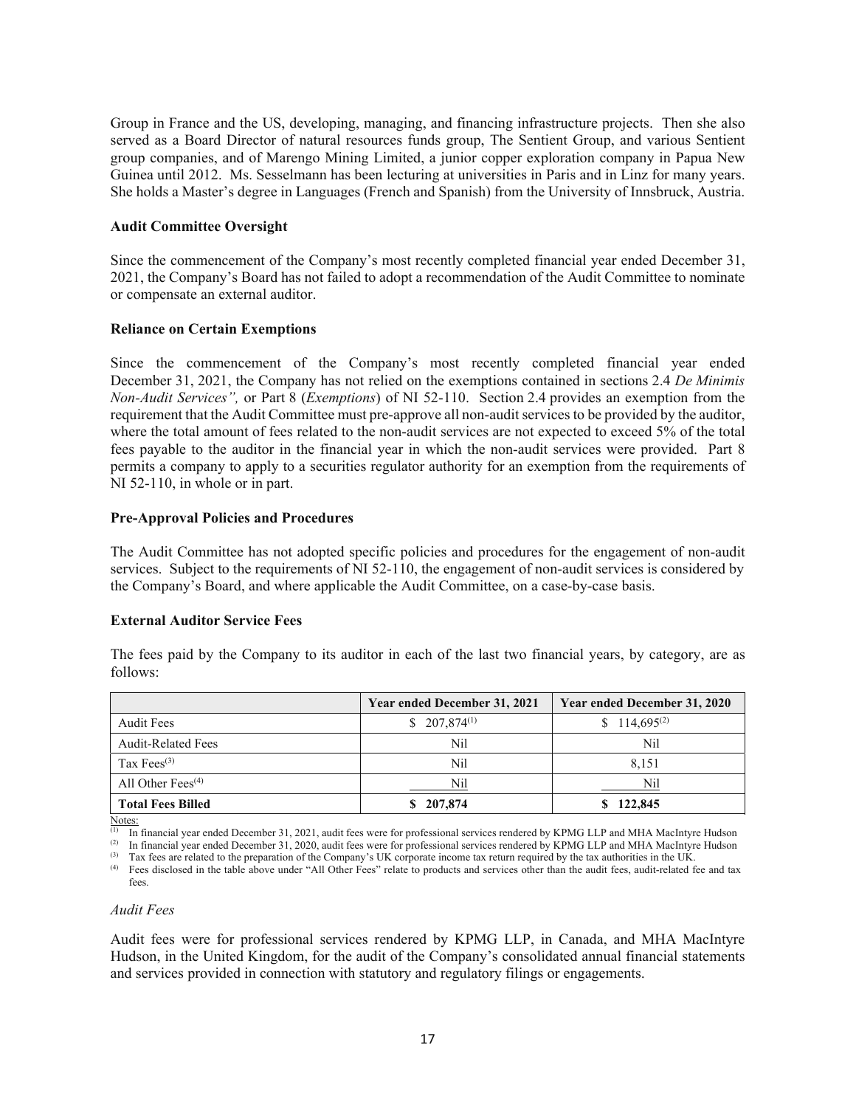Group in France and the US, developing, managing, and financing infrastructure projects. Then she also served as a Board Director of natural resources funds group, The Sentient Group, and various Sentient group companies, and of Marengo Mining Limited, a junior copper exploration company in Papua New Guinea until 2012. Ms. Sesselmann has been lecturing at universities in Paris and in Linz for many years. She holds a Master's degree in Languages (French and Spanish) from the University of Innsbruck, Austria.

#### **Audit Committee Oversight**

Since the commencement of the Company's most recently completed financial year ended December 31, 2021, the Company's Board has not failed to adopt a recommendation of the Audit Committee to nominate or compensate an external auditor.

#### **Reliance on Certain Exemptions**

Since the commencement of the Company's most recently completed financial year ended December 31, 2021, the Company has not relied on the exemptions contained in sections 2.4 *De Minimis Non-Audit Services",* or Part 8 (*Exemptions*) of NI 52-110. Section 2.4 provides an exemption from the requirement that the Audit Committee must pre-approve all non-audit services to be provided by the auditor, where the total amount of fees related to the non-audit services are not expected to exceed 5% of the total fees payable to the auditor in the financial year in which the non-audit services were provided. Part 8 permits a company to apply to a securities regulator authority for an exemption from the requirements of NI 52-110, in whole or in part.

#### **Pre-Approval Policies and Procedures**

The Audit Committee has not adopted specific policies and procedures for the engagement of non-audit services. Subject to the requirements of NI 52-110, the engagement of non-audit services is considered by the Company's Board, and where applicable the Audit Committee, on a case-by-case basis.

# **External Auditor Service Fees**

The fees paid by the Company to its auditor in each of the last two financial years, by category, are as follows:

|                           | Year ended December 31, 2021 | Year ended December 31, 2020 |
|---------------------------|------------------------------|------------------------------|
| Audit Fees                | $$207,874^{(1)}$$            | $$114,695^{(2)}$             |
| <b>Audit-Related Fees</b> | Nil                          | Nil                          |
| Tax Fees <sup>(3)</sup>   | Nil                          | 8.151                        |
| All Other Fees $(4)$      | Nil                          | Nil                          |
| <b>Total Fees Billed</b>  | \$207,874                    | 122,845                      |

Notes:

<sup>(1)</sup> In financial year ended December 31, 2021, audit fees were for professional services rendered by KPMG LLP and MHA MacIntyre Hudson <sup>(2)</sup> In financial year ended December 31, 2020, audit fees were for professional se

fees.

#### *Audit Fees*

Audit fees were for professional services rendered by KPMG LLP, in Canada, and MHA MacIntyre Hudson, in the United Kingdom, for the audit of the Company's consolidated annual financial statements and services provided in connection with statutory and regulatory filings or engagements.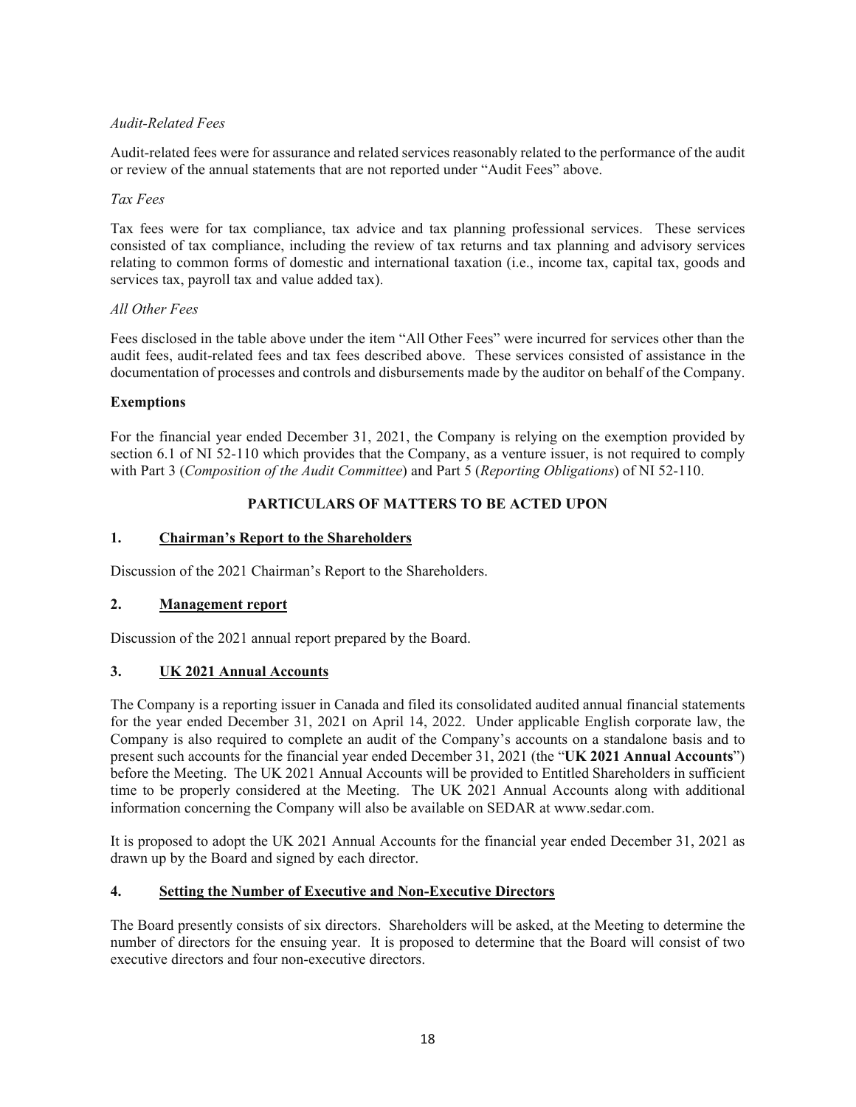# *Audit-Related Fees*

Audit-related fees were for assurance and related services reasonably related to the performance of the audit or review of the annual statements that are not reported under "Audit Fees" above.

#### *Tax Fees*

Tax fees were for tax compliance, tax advice and tax planning professional services. These services consisted of tax compliance, including the review of tax returns and tax planning and advisory services relating to common forms of domestic and international taxation (i.e., income tax, capital tax, goods and services tax, payroll tax and value added tax).

#### *All Other Fees*

Fees disclosed in the table above under the item "All Other Fees" were incurred for services other than the audit fees, audit-related fees and tax fees described above. These services consisted of assistance in the documentation of processes and controls and disbursements made by the auditor on behalf of the Company.

#### **Exemptions**

For the financial year ended December 31, 2021, the Company is relying on the exemption provided by section 6.1 of NI 52-110 which provides that the Company, as a venture issuer, is not required to comply with Part 3 (*Composition of the Audit Committee*) and Part 5 (*Reporting Obligations*) of NI 52-110.

# **PARTICULARS OF MATTERS TO BE ACTED UPON**

# **1. Chairman's Report to the Shareholders**

Discussion of the 2021 Chairman's Report to the Shareholders.

# **2. Management report**

Discussion of the 2021 annual report prepared by the Board.

# **3. UK 2021 Annual Accounts**

The Company is a reporting issuer in Canada and filed its consolidated audited annual financial statements for the year ended December 31, 2021 on April 14, 2022. Under applicable English corporate law, the Company is also required to complete an audit of the Company's accounts on a standalone basis and to present such accounts for the financial year ended December 31, 2021 (the "**UK 2021 Annual Accounts**") before the Meeting. The UK 2021 Annual Accounts will be provided to Entitled Shareholders in sufficient time to be properly considered at the Meeting. The UK 2021 Annual Accounts along with additional information concerning the Company will also be available on SEDAR at www.sedar.com.

It is proposed to adopt the UK 2021 Annual Accounts for the financial year ended December 31, 2021 as drawn up by the Board and signed by each director.

# **4. Setting the Number of Executive and Non-Executive Directors**

The Board presently consists of six directors. Shareholders will be asked, at the Meeting to determine the number of directors for the ensuing year. It is proposed to determine that the Board will consist of two executive directors and four non-executive directors.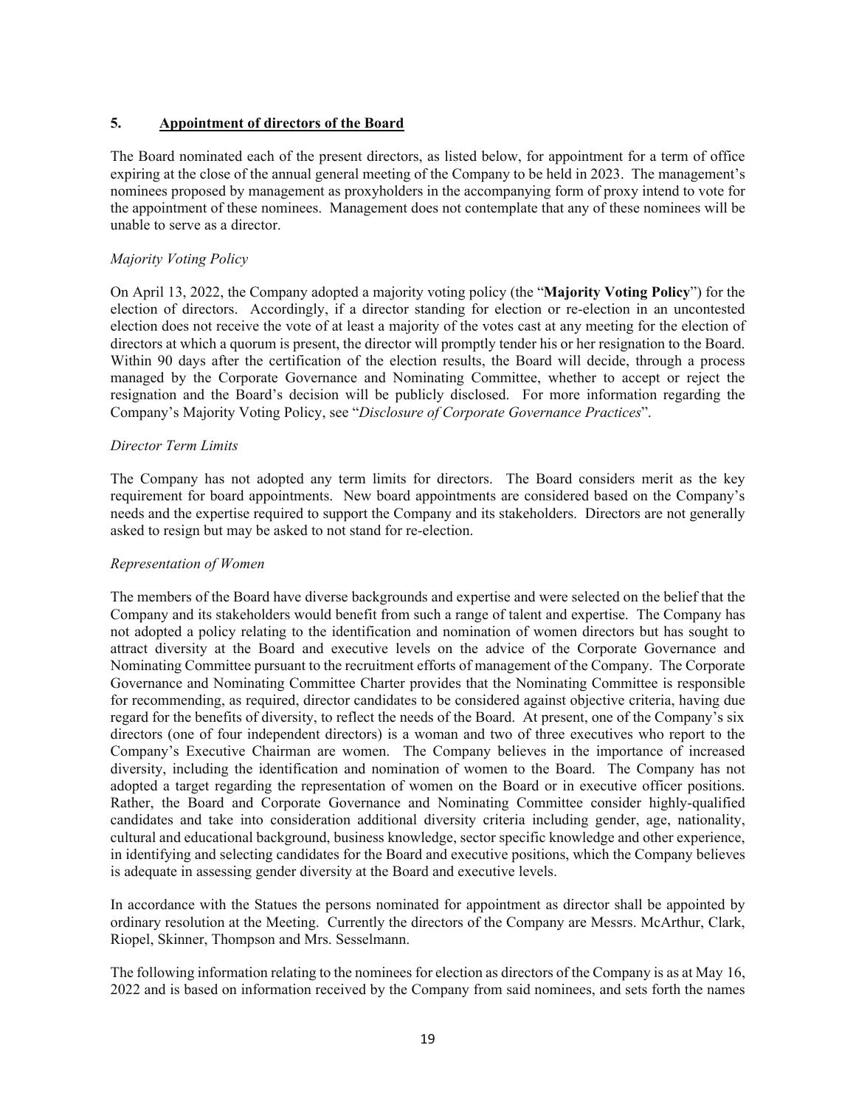# **5. Appointment of directors of the Board**

The Board nominated each of the present directors, as listed below, for appointment for a term of office expiring at the close of the annual general meeting of the Company to be held in 2023. The management's nominees proposed by management as proxyholders in the accompanying form of proxy intend to vote for the appointment of these nominees. Management does not contemplate that any of these nominees will be unable to serve as a director.

# *Majority Voting Policy*

On April 13, 2022, the Company adopted a majority voting policy (the "**Majority Voting Policy**") for the election of directors. Accordingly, if a director standing for election or re-election in an uncontested election does not receive the vote of at least a majority of the votes cast at any meeting for the election of directors at which a quorum is present, the director will promptly tender his or her resignation to the Board. Within 90 days after the certification of the election results, the Board will decide, through a process managed by the Corporate Governance and Nominating Committee, whether to accept or reject the resignation and the Board's decision will be publicly disclosed. For more information regarding the Company's Majority Voting Policy, see "*Disclosure of Corporate Governance Practices*".

# *Director Term Limits*

The Company has not adopted any term limits for directors. The Board considers merit as the key requirement for board appointments. New board appointments are considered based on the Company's needs and the expertise required to support the Company and its stakeholders. Directors are not generally asked to resign but may be asked to not stand for re-election.

#### *Representation of Women*

The members of the Board have diverse backgrounds and expertise and were selected on the belief that the Company and its stakeholders would benefit from such a range of talent and expertise. The Company has not adopted a policy relating to the identification and nomination of women directors but has sought to attract diversity at the Board and executive levels on the advice of the Corporate Governance and Nominating Committee pursuant to the recruitment efforts of management of the Company. The Corporate Governance and Nominating Committee Charter provides that the Nominating Committee is responsible for recommending, as required, director candidates to be considered against objective criteria, having due regard for the benefits of diversity, to reflect the needs of the Board. At present, one of the Company's six directors (one of four independent directors) is a woman and two of three executives who report to the Company's Executive Chairman are women. The Company believes in the importance of increased diversity, including the identification and nomination of women to the Board. The Company has not adopted a target regarding the representation of women on the Board or in executive officer positions. Rather, the Board and Corporate Governance and Nominating Committee consider highly-qualified candidates and take into consideration additional diversity criteria including gender, age, nationality, cultural and educational background, business knowledge, sector specific knowledge and other experience, in identifying and selecting candidates for the Board and executive positions, which the Company believes is adequate in assessing gender diversity at the Board and executive levels.

In accordance with the Statues the persons nominated for appointment as director shall be appointed by ordinary resolution at the Meeting. Currently the directors of the Company are Messrs. McArthur, Clark, Riopel, Skinner, Thompson and Mrs. Sesselmann.

The following information relating to the nominees for election as directors of the Company is as at May 16, 2022 and is based on information received by the Company from said nominees, and sets forth the names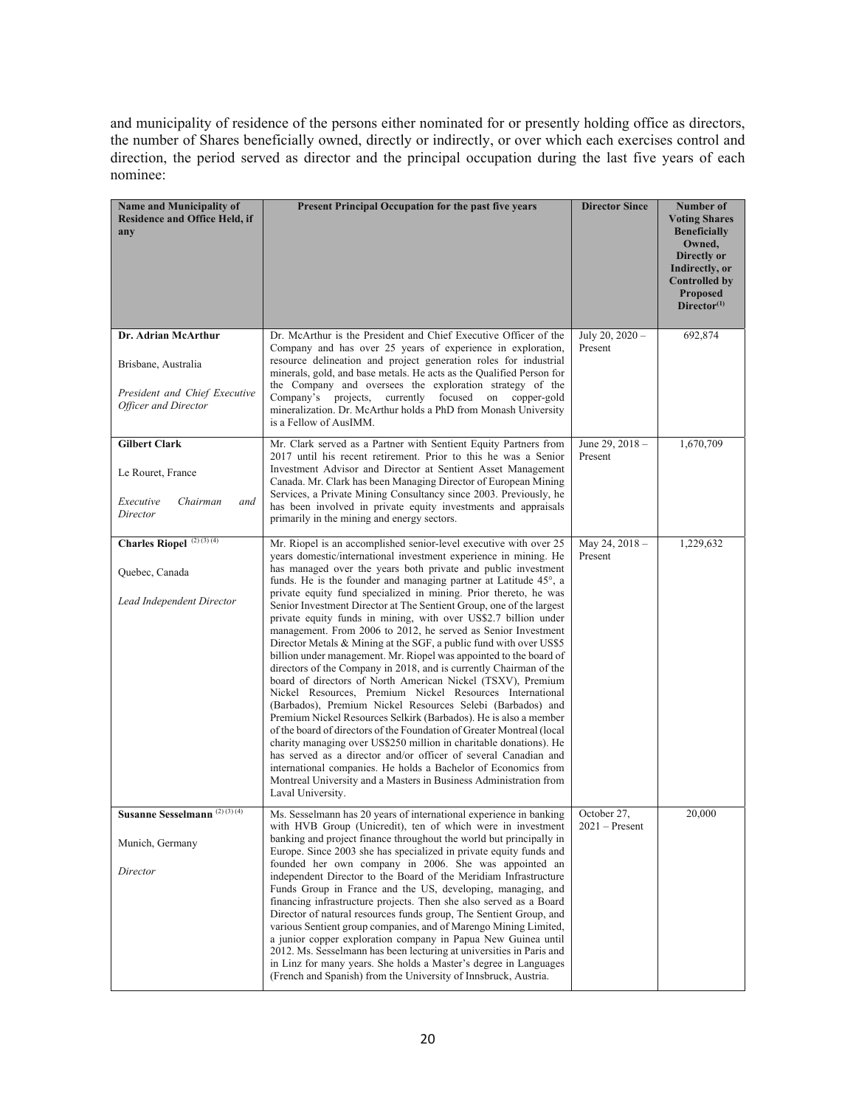and municipality of residence of the persons either nominated for or presently holding office as directors, the number of Shares beneficially owned, directly or indirectly, or over which each exercises control and direction, the period served as director and the principal occupation during the last five years of each nominee:

| Name and Municipality of<br>Residence and Office Held, if<br>any                                    | Present Principal Occupation for the past five years                                                                                                                                                                                                                                                                                                                                                                                                                                                                                                                                                                                                                                                                                                                                                                                                                                                                                                                                                                                                                                                                                                                                                                                                                                                                                                                                                                     | <b>Director Since</b>           | Number of<br><b>Voting Shares</b><br><b>Beneficially</b><br>Owned,<br>Directly or<br>Indirectly, or<br><b>Controlled by</b><br><b>Proposed</b><br>Director <sup>(1)</sup> |
|-----------------------------------------------------------------------------------------------------|--------------------------------------------------------------------------------------------------------------------------------------------------------------------------------------------------------------------------------------------------------------------------------------------------------------------------------------------------------------------------------------------------------------------------------------------------------------------------------------------------------------------------------------------------------------------------------------------------------------------------------------------------------------------------------------------------------------------------------------------------------------------------------------------------------------------------------------------------------------------------------------------------------------------------------------------------------------------------------------------------------------------------------------------------------------------------------------------------------------------------------------------------------------------------------------------------------------------------------------------------------------------------------------------------------------------------------------------------------------------------------------------------------------------------|---------------------------------|---------------------------------------------------------------------------------------------------------------------------------------------------------------------------|
| Dr. Adrian McArthur<br>Brisbane, Australia<br>President and Chief Executive<br>Officer and Director | Dr. McArthur is the President and Chief Executive Officer of the<br>Company and has over 25 years of experience in exploration,<br>resource delineation and project generation roles for industrial<br>minerals, gold, and base metals. He acts as the Qualified Person for<br>the Company and oversees the exploration strategy of the<br>currently focused on<br>Company's projects,<br>copper-gold<br>mineralization. Dr. McArthur holds a PhD from Monash University<br>is a Fellow of AusIMM.                                                                                                                                                                                                                                                                                                                                                                                                                                                                                                                                                                                                                                                                                                                                                                                                                                                                                                                       | July 20, 2020 -<br>Present      | 692,874                                                                                                                                                                   |
| <b>Gilbert Clark</b><br>Le Rouret, France<br>Executive<br>Chairman<br>and<br>Director               | Mr. Clark served as a Partner with Sentient Equity Partners from<br>2017 until his recent retirement. Prior to this he was a Senior<br>Investment Advisor and Director at Sentient Asset Management<br>Canada. Mr. Clark has been Managing Director of European Mining<br>Services, a Private Mining Consultancy since 2003. Previously, he<br>has been involved in private equity investments and appraisals<br>primarily in the mining and energy sectors.                                                                                                                                                                                                                                                                                                                                                                                                                                                                                                                                                                                                                                                                                                                                                                                                                                                                                                                                                             | June 29, 2018 -<br>Present      | 1,670,709                                                                                                                                                                 |
| Charles Riopel $^{(2)(3)(4)}$<br>Quebec, Canada<br>Lead Independent Director                        | Mr. Riopel is an accomplished senior-level executive with over 25<br>years domestic/international investment experience in mining. He<br>has managed over the years both private and public investment<br>funds. He is the founder and managing partner at Latitude 45°, a<br>private equity fund specialized in mining. Prior thereto, he was<br>Senior Investment Director at The Sentient Group, one of the largest<br>private equity funds in mining, with over US\$2.7 billion under<br>management. From 2006 to 2012, he served as Senior Investment<br>Director Metals & Mining at the SGF, a public fund with over US\$5<br>billion under management. Mr. Riopel was appointed to the board of<br>directors of the Company in 2018, and is currently Chairman of the<br>board of directors of North American Nickel (TSXV), Premium<br>Nickel Resources, Premium Nickel Resources International<br>(Barbados), Premium Nickel Resources Selebi (Barbados) and<br>Premium Nickel Resources Selkirk (Barbados). He is also a member<br>of the board of directors of the Foundation of Greater Montreal (local<br>charity managing over US\$250 million in charitable donations). He<br>has served as a director and/or officer of several Canadian and<br>international companies. He holds a Bachelor of Economics from<br>Montreal University and a Masters in Business Administration from<br>Laval University. | May 24, $2018 -$<br>Present     | 1,229,632                                                                                                                                                                 |
| Susanne Sesselmann <sup>(2)(3)(4)</sup><br>Munich, Germany<br>Director                              | Ms. Sesselmann has 20 years of international experience in banking<br>with HVB Group (Unicredit), ten of which were in investment<br>banking and project finance throughout the world but principally in<br>Europe. Since 2003 she has specialized in private equity funds and<br>founded her own company in 2006. She was appointed an<br>independent Director to the Board of the Meridiam Infrastructure<br>Funds Group in France and the US, developing, managing, and<br>financing infrastructure projects. Then she also served as a Board<br>Director of natural resources funds group, The Sentient Group, and<br>various Sentient group companies, and of Marengo Mining Limited,<br>a junior copper exploration company in Papua New Guinea until<br>2012. Ms. Sesselmann has been lecturing at universities in Paris and<br>in Linz for many years. She holds a Master's degree in Languages<br>(French and Spanish) from the University of Innsbruck, Austria.                                                                                                                                                                                                                                                                                                                                                                                                                                               | October 27,<br>$2021 -$ Present | 20,000                                                                                                                                                                    |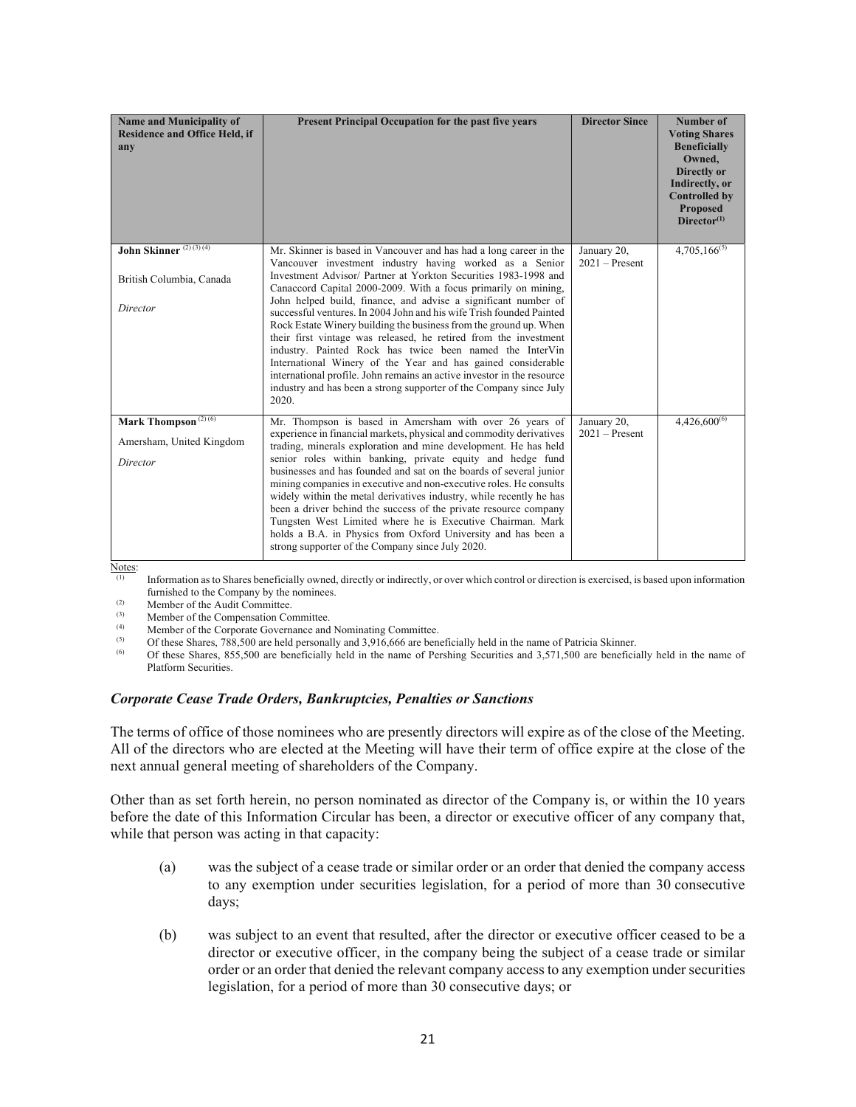| <b>Name and Municipality of</b><br><b>Residence and Office Held, if</b><br>any | Present Principal Occupation for the past five years                                                                                                                                                                                                                                                                                                                                                                                                                                                                                                                                                                                   | <b>Director Since</b>           | Number of<br><b>Voting Shares</b><br><b>Beneficially</b><br>Owned,<br>Directly or<br>Indirectly, or<br><b>Controlled by</b><br><b>Proposed</b><br>$Director^{(1)}$ |
|--------------------------------------------------------------------------------|----------------------------------------------------------------------------------------------------------------------------------------------------------------------------------------------------------------------------------------------------------------------------------------------------------------------------------------------------------------------------------------------------------------------------------------------------------------------------------------------------------------------------------------------------------------------------------------------------------------------------------------|---------------------------------|--------------------------------------------------------------------------------------------------------------------------------------------------------------------|
| John Skinner <sup>(2)(3)(4)</sup><br>British Columbia, Canada                  | Mr. Skinner is based in Vancouver and has had a long career in the<br>Vancouver investment industry having worked as a Senior<br>Investment Advisor/ Partner at Yorkton Securities 1983-1998 and                                                                                                                                                                                                                                                                                                                                                                                                                                       | January 20,<br>$2021 -$ Present | $4,705,166^{(5)}$                                                                                                                                                  |
| Director                                                                       | Canaccord Capital 2000-2009. With a focus primarily on mining,<br>John helped build, finance, and advise a significant number of<br>successful ventures. In 2004 John and his wife Trish founded Painted<br>Rock Estate Winery building the business from the ground up. When<br>their first vintage was released, he retired from the investment<br>industry. Painted Rock has twice been named the InterVin<br>International Winery of the Year and has gained considerable<br>international profile. John remains an active investor in the resource<br>industry and has been a strong supporter of the Company since July<br>2020. |                                 |                                                                                                                                                                    |
| Mark Thompson <sup>(2)(6)</sup>                                                | Mr. Thompson is based in Amersham with over 26 years of                                                                                                                                                                                                                                                                                                                                                                                                                                                                                                                                                                                | January 20,                     | $4,426,600^{(6)}$                                                                                                                                                  |
| Amersham, United Kingdom                                                       | experience in financial markets, physical and commodity derivatives<br>trading, minerals exploration and mine development. He has held                                                                                                                                                                                                                                                                                                                                                                                                                                                                                                 | $2021 -$ Present                |                                                                                                                                                                    |
| Director                                                                       | senior roles within banking, private equity and hedge fund<br>businesses and has founded and sat on the boards of several junior<br>mining companies in executive and non-executive roles. He consults<br>widely within the metal derivatives industry, while recently he has<br>been a driver behind the success of the private resource company<br>Tungsten West Limited where he is Executive Chairman. Mark<br>holds a B.A. in Physics from Oxford University and has been a<br>strong supporter of the Company since July 2020.                                                                                                   |                                 |                                                                                                                                                                    |

Notes:

(1) Information as to Shares beneficially owned, directly or indirectly, or over which control or direction is exercised, is based upon information furnished to the Company by the nominees.<br>(2) Member of the Audit Committee.<br>(3) Momber of the Companeation Committee.

 $(3)$  Member of the Compensation Committee.

(4) Member of the Corporate Governance and Nominating Committee.<br>  $\frac{(5)}{25}$  Of these Shares 788,500 are held personally and 3,016,666 are bending

(5) Of these Shares, 788,500 are held personally and 3,916,666 are beneficially held in the name of Patricia Skinner.<br>  $\frac{(6)}{255}$  Of these Shares, 855,500 are beneficially held in the name of Particias Sequesting and 2,

(6) Of these Shares, 855,500 are beneficially held in the name of Pershing Securities and 3,571,500 are beneficially held in the name of Platform Securities.

#### *Corporate Cease Trade Orders, Bankruptcies, Penalties or Sanctions*

The terms of office of those nominees who are presently directors will expire as of the close of the Meeting. All of the directors who are elected at the Meeting will have their term of office expire at the close of the next annual general meeting of shareholders of the Company.

Other than as set forth herein, no person nominated as director of the Company is, or within the 10 years before the date of this Information Circular has been, a director or executive officer of any company that, while that person was acting in that capacity:

- (a) was the subject of a cease trade or similar order or an order that denied the company access to any exemption under securities legislation, for a period of more than 30 consecutive days;
- (b) was subject to an event that resulted, after the director or executive officer ceased to be a director or executive officer, in the company being the subject of a cease trade or similar order or an order that denied the relevant company access to any exemption under securities legislation, for a period of more than 30 consecutive days; or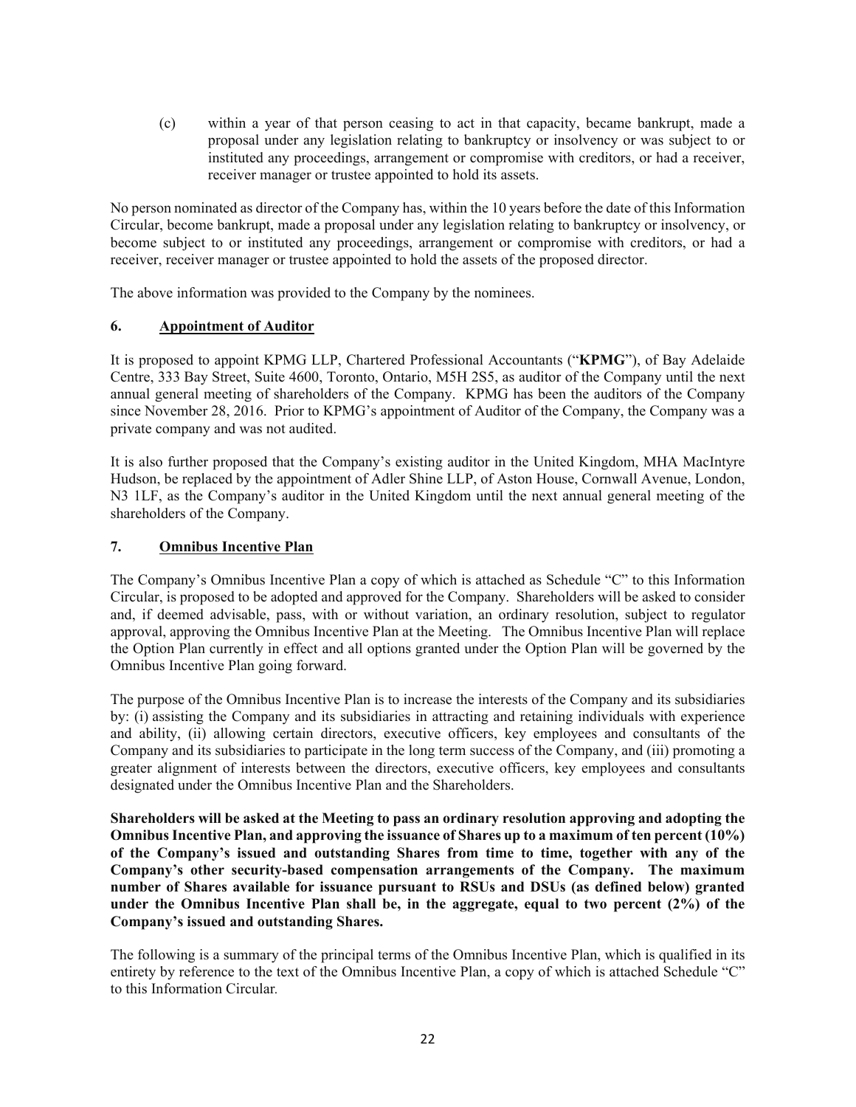(c) within a year of that person ceasing to act in that capacity, became bankrupt, made a proposal under any legislation relating to bankruptcy or insolvency or was subject to or instituted any proceedings, arrangement or compromise with creditors, or had a receiver, receiver manager or trustee appointed to hold its assets.

No person nominated as director of the Company has, within the 10 years before the date of this Information Circular, become bankrupt, made a proposal under any legislation relating to bankruptcy or insolvency, or become subject to or instituted any proceedings, arrangement or compromise with creditors, or had a receiver, receiver manager or trustee appointed to hold the assets of the proposed director.

The above information was provided to the Company by the nominees.

# **6. Appointment of Auditor**

It is proposed to appoint KPMG LLP, Chartered Professional Accountants ("**KPMG**"), of Bay Adelaide Centre, 333 Bay Street, Suite 4600, Toronto, Ontario, M5H 2S5, as auditor of the Company until the next annual general meeting of shareholders of the Company. KPMG has been the auditors of the Company since November 28, 2016. Prior to KPMG's appointment of Auditor of the Company, the Company was a private company and was not audited.

It is also further proposed that the Company's existing auditor in the United Kingdom, MHA MacIntyre Hudson, be replaced by the appointment of Adler Shine LLP, of Aston House, Cornwall Avenue, London, N3 1LF, as the Company's auditor in the United Kingdom until the next annual general meeting of the shareholders of the Company.

# **7. Omnibus Incentive Plan**

The Company's Omnibus Incentive Plan a copy of which is attached as Schedule "C" to this Information Circular, is proposed to be adopted and approved for the Company. Shareholders will be asked to consider and, if deemed advisable, pass, with or without variation, an ordinary resolution, subject to regulator approval, approving the Omnibus Incentive Plan at the Meeting. The Omnibus Incentive Plan will replace the Option Plan currently in effect and all options granted under the Option Plan will be governed by the Omnibus Incentive Plan going forward.

The purpose of the Omnibus Incentive Plan is to increase the interests of the Company and its subsidiaries by: (i) assisting the Company and its subsidiaries in attracting and retaining individuals with experience and ability, (ii) allowing certain directors, executive officers, key employees and consultants of the Company and its subsidiaries to participate in the long term success of the Company, and (iii) promoting a greater alignment of interests between the directors, executive officers, key employees and consultants designated under the Omnibus Incentive Plan and the Shareholders.

**Shareholders will be asked at the Meeting to pass an ordinary resolution approving and adopting the Omnibus Incentive Plan, and approving the issuance of Shares up to a maximum of ten percent (10%) of the Company's issued and outstanding Shares from time to time, together with any of the Company's other security-based compensation arrangements of the Company. The maximum number of Shares available for issuance pursuant to RSUs and DSUs (as defined below) granted under the Omnibus Incentive Plan shall be, in the aggregate, equal to two percent (2%) of the Company's issued and outstanding Shares.** 

The following is a summary of the principal terms of the Omnibus Incentive Plan, which is qualified in its entirety by reference to the text of the Omnibus Incentive Plan, a copy of which is attached Schedule "C" to this Information Circular*.*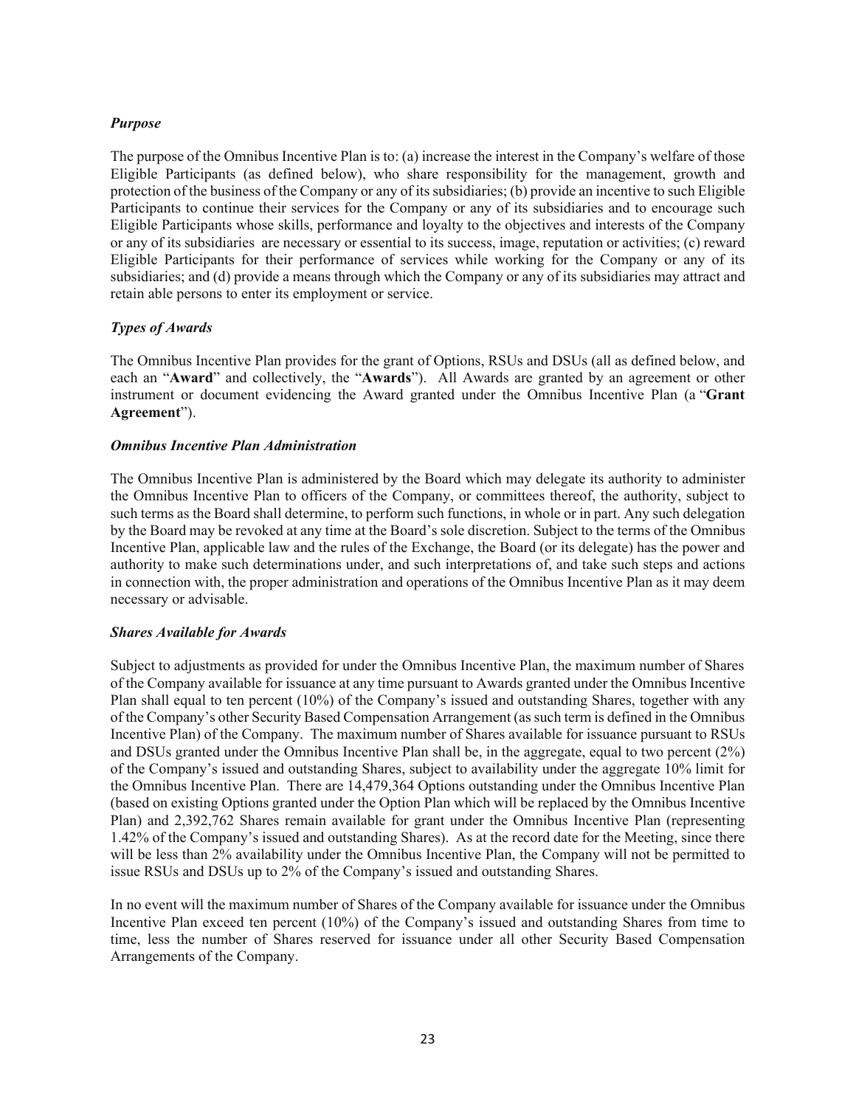# *Purpose*

The purpose of the Omnibus Incentive Plan is to: (a) increase the interest in the Company's welfare of those Eligible Participants (as defined below), who share responsibility for the management, growth and protection of the business of the Company or any of its subsidiaries; (b) provide an incentive to such Eligible Participants to continue their services for the Company or any of its subsidiaries and to encourage such Eligible Participants whose skills, performance and loyalty to the objectives and interests of the Company or any of its subsidiaries are necessary or essential to its success, image, reputation or activities; (c) reward Eligible Participants for their performance of services while working for the Company or any of its subsidiaries; and (d) provide a means through which the Company or any of its subsidiaries may attract and retain able persons to enter its employment or service.

# *Types of Awards*

The Omnibus Incentive Plan provides for the grant of Options, RSUs and DSUs (all as defined below, and each an "**Award**" and collectively, the "**Awards**"). All Awards are granted by an agreement or other instrument or document evidencing the Award granted under the Omnibus Incentive Plan (a "**Grant Agreement**").

# *Omnibus Incentive Plan Administration*

The Omnibus Incentive Plan is administered by the Board which may delegate its authority to administer the Omnibus Incentive Plan to officers of the Company, or committees thereof, the authority, subject to such terms as the Board shall determine, to perform such functions, in whole or in part. Any such delegation by the Board may be revoked at any time at the Board's sole discretion. Subject to the terms of the Omnibus Incentive Plan, applicable law and the rules of the Exchange, the Board (or its delegate) has the power and authority to make such determinations under, and such interpretations of, and take such steps and actions in connection with, the proper administration and operations of the Omnibus Incentive Plan as it may deem necessary or advisable.

# *Shares Available for Awards*

Subject to adjustments as provided for under the Omnibus Incentive Plan, the maximum number of Shares of the Company available for issuance at any time pursuant to Awards granted under the Omnibus Incentive Plan shall equal to ten percent (10%) of the Company's issued and outstanding Shares, together with any of the Company's other Security Based Compensation Arrangement (as such term is defined in the Omnibus Incentive Plan) of the Company. The maximum number of Shares available for issuance pursuant to RSUs and DSUs granted under the Omnibus Incentive Plan shall be, in the aggregate, equal to two percent (2%) of the Company's issued and outstanding Shares, subject to availability under the aggregate 10% limit for the Omnibus Incentive Plan. There are 14,479,364 Options outstanding under the Omnibus Incentive Plan (based on existing Options granted under the Option Plan which will be replaced by the Omnibus Incentive Plan) and 2,392,762 Shares remain available for grant under the Omnibus Incentive Plan (representing 1.42% of the Company's issued and outstanding Shares). As at the record date for the Meeting, since there will be less than 2% availability under the Omnibus Incentive Plan, the Company will not be permitted to issue RSUs and DSUs up to 2% of the Company's issued and outstanding Shares.

In no event will the maximum number of Shares of the Company available for issuance under the Omnibus Incentive Plan exceed ten percent (10%) of the Company's issued and outstanding Shares from time to time, less the number of Shares reserved for issuance under all other Security Based Compensation Arrangements of the Company.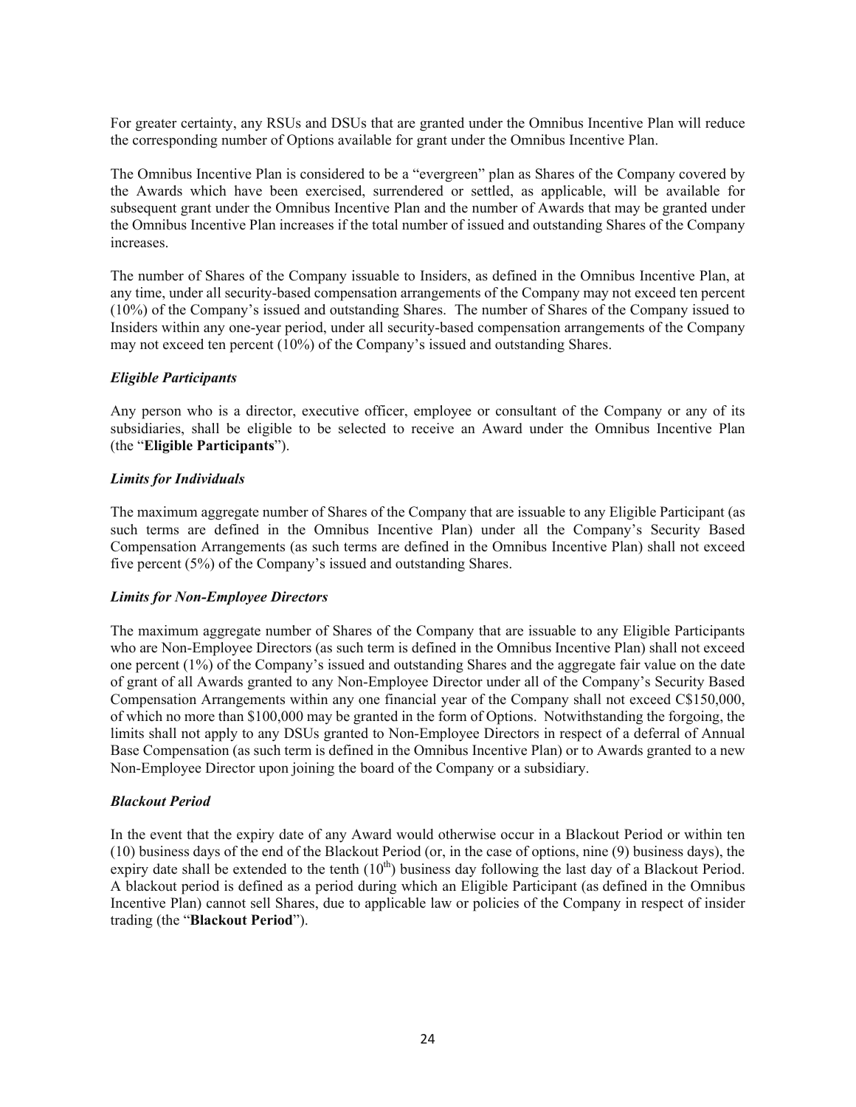For greater certainty, any RSUs and DSUs that are granted under the Omnibus Incentive Plan will reduce the corresponding number of Options available for grant under the Omnibus Incentive Plan.

The Omnibus Incentive Plan is considered to be a "evergreen" plan as Shares of the Company covered by the Awards which have been exercised, surrendered or settled, as applicable, will be available for subsequent grant under the Omnibus Incentive Plan and the number of Awards that may be granted under the Omnibus Incentive Plan increases if the total number of issued and outstanding Shares of the Company increases.

The number of Shares of the Company issuable to Insiders, as defined in the Omnibus Incentive Plan, at any time, under all security-based compensation arrangements of the Company may not exceed ten percent (10%) of the Company's issued and outstanding Shares. The number of Shares of the Company issued to Insiders within any one-year period, under all security-based compensation arrangements of the Company may not exceed ten percent (10%) of the Company's issued and outstanding Shares.

#### *Eligible Participants*

Any person who is a director, executive officer, employee or consultant of the Company or any of its subsidiaries, shall be eligible to be selected to receive an Award under the Omnibus Incentive Plan (the "**Eligible Participants**").

#### *Limits for Individuals*

The maximum aggregate number of Shares of the Company that are issuable to any Eligible Participant (as such terms are defined in the Omnibus Incentive Plan) under all the Company's Security Based Compensation Arrangements (as such terms are defined in the Omnibus Incentive Plan) shall not exceed five percent (5%) of the Company's issued and outstanding Shares.

#### *Limits for Non-Employee Directors*

The maximum aggregate number of Shares of the Company that are issuable to any Eligible Participants who are Non-Employee Directors (as such term is defined in the Omnibus Incentive Plan) shall not exceed one percent (1%) of the Company's issued and outstanding Shares and the aggregate fair value on the date of grant of all Awards granted to any Non-Employee Director under all of the Company's Security Based Compensation Arrangements within any one financial year of the Company shall not exceed C\$150,000, of which no more than \$100,000 may be granted in the form of Options. Notwithstanding the forgoing, the limits shall not apply to any DSUs granted to Non-Employee Directors in respect of a deferral of Annual Base Compensation (as such term is defined in the Omnibus Incentive Plan) or to Awards granted to a new Non-Employee Director upon joining the board of the Company or a subsidiary.

#### *Blackout Period*

In the event that the expiry date of any Award would otherwise occur in a Blackout Period or within ten (10) business days of the end of the Blackout Period (or, in the case of options, nine (9) business days), the expiry date shall be extended to the tenth  $(10<sup>th</sup>)$  business day following the last day of a Blackout Period. A blackout period is defined as a period during which an Eligible Participant (as defined in the Omnibus Incentive Plan) cannot sell Shares, due to applicable law or policies of the Company in respect of insider trading (the "**Blackout Period**").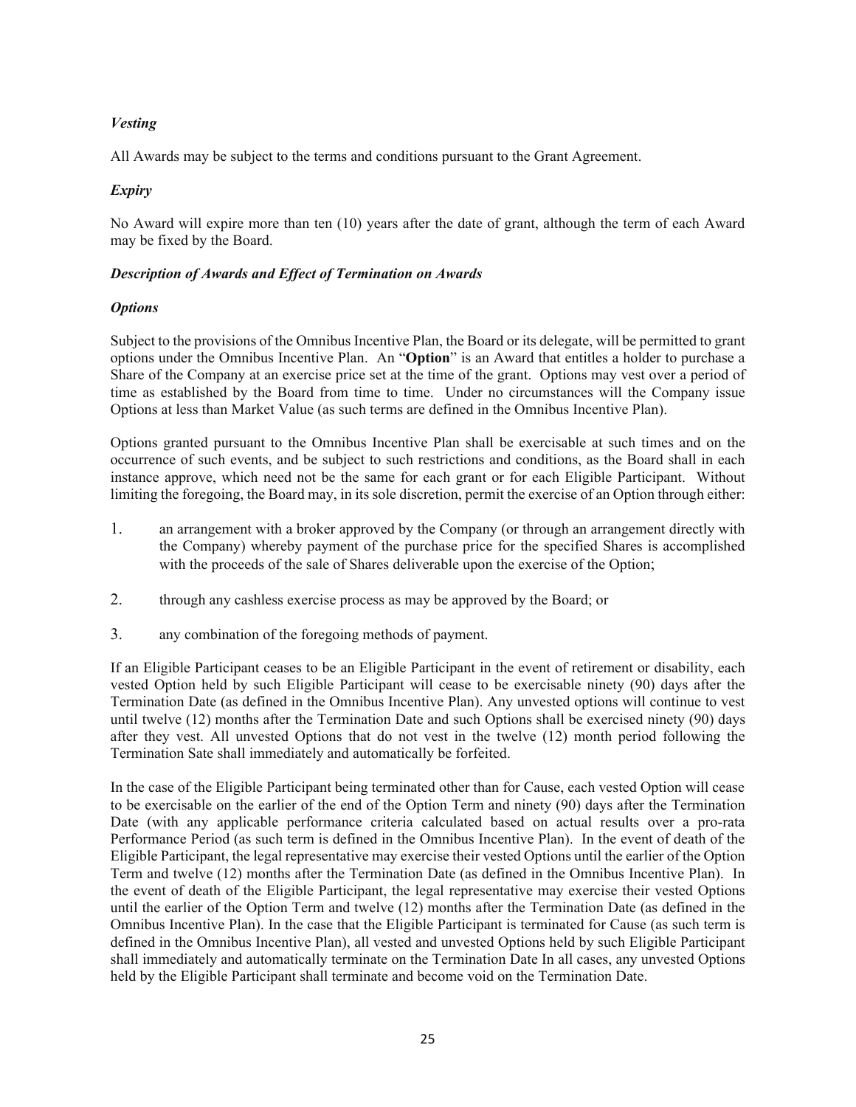# *Vesting*

All Awards may be subject to the terms and conditions pursuant to the Grant Agreement.

# *Expiry*

No Award will expire more than ten (10) years after the date of grant, although the term of each Award may be fixed by the Board.

# *Description of Awards and Effect of Termination on Awards*

# *Options*

Subject to the provisions of the Omnibus Incentive Plan, the Board or its delegate, will be permitted to grant options under the Omnibus Incentive Plan. An "**Option**" is an Award that entitles a holder to purchase a Share of the Company at an exercise price set at the time of the grant. Options may vest over a period of time as established by the Board from time to time. Under no circumstances will the Company issue Options at less than Market Value (as such terms are defined in the Omnibus Incentive Plan).

Options granted pursuant to the Omnibus Incentive Plan shall be exercisable at such times and on the occurrence of such events, and be subject to such restrictions and conditions, as the Board shall in each instance approve, which need not be the same for each grant or for each Eligible Participant. Without limiting the foregoing, the Board may, in its sole discretion, permit the exercise of an Option through either:

- 1. an arrangement with a broker approved by the Company (or through an arrangement directly with the Company) whereby payment of the purchase price for the specified Shares is accomplished with the proceeds of the sale of Shares deliverable upon the exercise of the Option;
- 2. through any cashless exercise process as may be approved by the Board; or
- 3. any combination of the foregoing methods of payment.

If an Eligible Participant ceases to be an Eligible Participant in the event of retirement or disability, each vested Option held by such Eligible Participant will cease to be exercisable ninety (90) days after the Termination Date (as defined in the Omnibus Incentive Plan). Any unvested options will continue to vest until twelve (12) months after the Termination Date and such Options shall be exercised ninety (90) days after they vest. All unvested Options that do not vest in the twelve (12) month period following the Termination Sate shall immediately and automatically be forfeited.

In the case of the Eligible Participant being terminated other than for Cause, each vested Option will cease to be exercisable on the earlier of the end of the Option Term and ninety (90) days after the Termination Date (with any applicable performance criteria calculated based on actual results over a pro-rata Performance Period (as such term is defined in the Omnibus Incentive Plan). In the event of death of the Eligible Participant, the legal representative may exercise their vested Options until the earlier of the Option Term and twelve (12) months after the Termination Date (as defined in the Omnibus Incentive Plan). In the event of death of the Eligible Participant, the legal representative may exercise their vested Options until the earlier of the Option Term and twelve (12) months after the Termination Date (as defined in the Omnibus Incentive Plan). In the case that the Eligible Participant is terminated for Cause (as such term is defined in the Omnibus Incentive Plan), all vested and unvested Options held by such Eligible Participant shall immediately and automatically terminate on the Termination Date In all cases, any unvested Options held by the Eligible Participant shall terminate and become void on the Termination Date.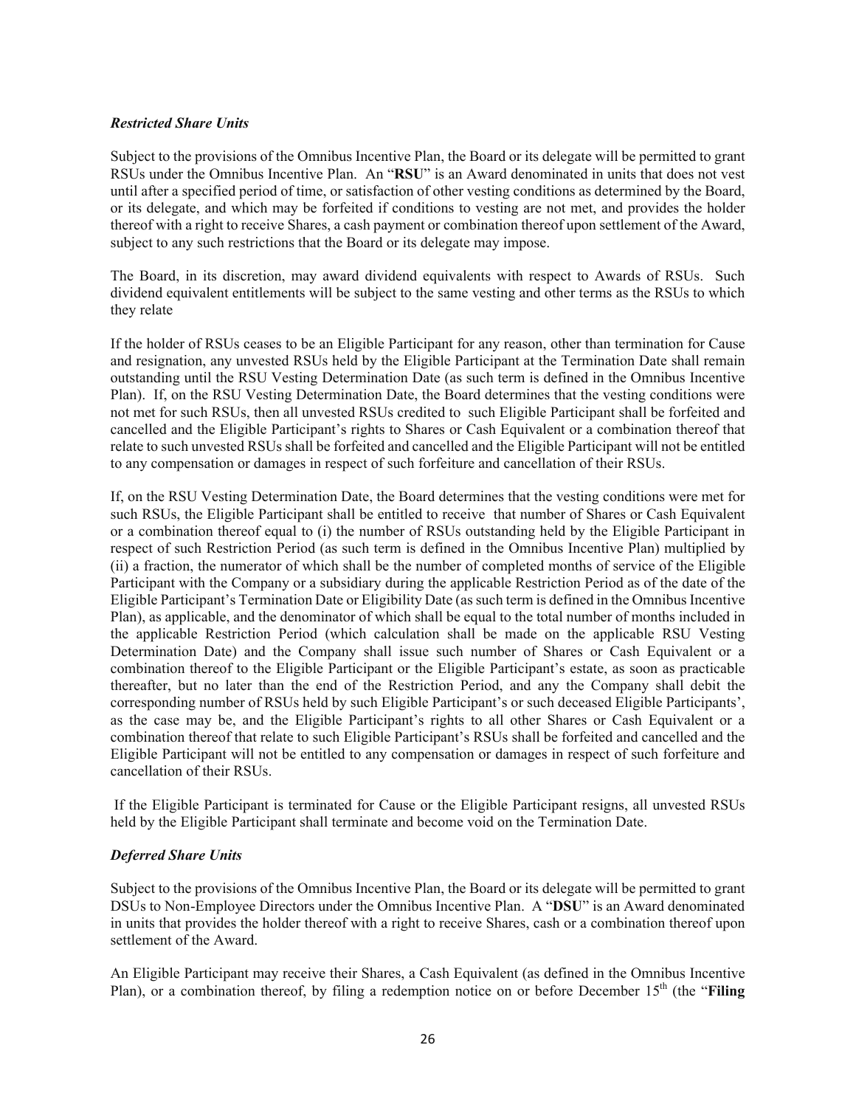# *Restricted Share Units*

Subject to the provisions of the Omnibus Incentive Plan, the Board or its delegate will be permitted to grant RSUs under the Omnibus Incentive Plan. An "**RSU**" is an Award denominated in units that does not vest until after a specified period of time, or satisfaction of other vesting conditions as determined by the Board, or its delegate, and which may be forfeited if conditions to vesting are not met, and provides the holder thereof with a right to receive Shares, a cash payment or combination thereof upon settlement of the Award, subject to any such restrictions that the Board or its delegate may impose.

The Board, in its discretion, may award dividend equivalents with respect to Awards of RSUs. Such dividend equivalent entitlements will be subject to the same vesting and other terms as the RSUs to which they relate

If the holder of RSUs ceases to be an Eligible Participant for any reason, other than termination for Cause and resignation, any unvested RSUs held by the Eligible Participant at the Termination Date shall remain outstanding until the RSU Vesting Determination Date (as such term is defined in the Omnibus Incentive Plan). If, on the RSU Vesting Determination Date, the Board determines that the vesting conditions were not met for such RSUs, then all unvested RSUs credited to such Eligible Participant shall be forfeited and cancelled and the Eligible Participant's rights to Shares or Cash Equivalent or a combination thereof that relate to such unvested RSUs shall be forfeited and cancelled and the Eligible Participant will not be entitled to any compensation or damages in respect of such forfeiture and cancellation of their RSUs.

If, on the RSU Vesting Determination Date, the Board determines that the vesting conditions were met for such RSUs, the Eligible Participant shall be entitled to receive that number of Shares or Cash Equivalent or a combination thereof equal to (i) the number of RSUs outstanding held by the Eligible Participant in respect of such Restriction Period (as such term is defined in the Omnibus Incentive Plan) multiplied by (ii) a fraction, the numerator of which shall be the number of completed months of service of the Eligible Participant with the Company or a subsidiary during the applicable Restriction Period as of the date of the Eligible Participant's Termination Date or Eligibility Date (as such term is defined in the Omnibus Incentive Plan), as applicable, and the denominator of which shall be equal to the total number of months included in the applicable Restriction Period (which calculation shall be made on the applicable RSU Vesting Determination Date) and the Company shall issue such number of Shares or Cash Equivalent or a combination thereof to the Eligible Participant or the Eligible Participant's estate, as soon as practicable thereafter, but no later than the end of the Restriction Period, and any the Company shall debit the corresponding number of RSUs held by such Eligible Participant's or such deceased Eligible Participants', as the case may be, and the Eligible Participant's rights to all other Shares or Cash Equivalent or a combination thereof that relate to such Eligible Participant's RSUs shall be forfeited and cancelled and the Eligible Participant will not be entitled to any compensation or damages in respect of such forfeiture and cancellation of their RSUs.

 If the Eligible Participant is terminated for Cause or the Eligible Participant resigns, all unvested RSUs held by the Eligible Participant shall terminate and become void on the Termination Date.

# *Deferred Share Units*

Subject to the provisions of the Omnibus Incentive Plan, the Board or its delegate will be permitted to grant DSUs to Non-Employee Directors under the Omnibus Incentive Plan. A "**DSU**" is an Award denominated in units that provides the holder thereof with a right to receive Shares, cash or a combination thereof upon settlement of the Award.

An Eligible Participant may receive their Shares, a Cash Equivalent (as defined in the Omnibus Incentive Plan), or a combination thereof, by filing a redemption notice on or before December 15<sup>th</sup> (the "Filing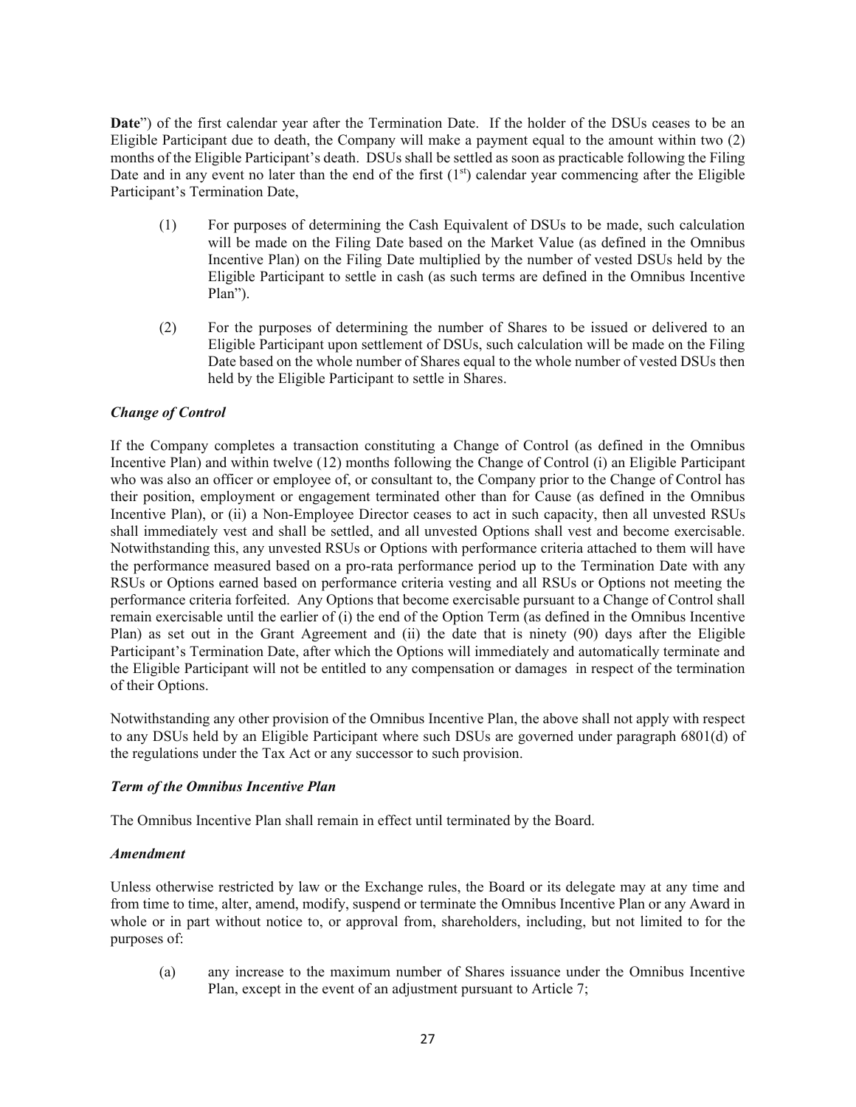**Date**") of the first calendar year after the Termination Date. If the holder of the DSUs ceases to be an Eligible Participant due to death, the Company will make a payment equal to the amount within two (2) months of the Eligible Participant's death. DSUs shall be settled as soon as practicable following the Filing Date and in any event no later than the end of the first  $(1<sup>st</sup>)$  calendar year commencing after the Eligible Participant's Termination Date,

- (1) For purposes of determining the Cash Equivalent of DSUs to be made, such calculation will be made on the Filing Date based on the Market Value (as defined in the Omnibus Incentive Plan) on the Filing Date multiplied by the number of vested DSUs held by the Eligible Participant to settle in cash (as such terms are defined in the Omnibus Incentive Plan").
- (2) For the purposes of determining the number of Shares to be issued or delivered to an Eligible Participant upon settlement of DSUs, such calculation will be made on the Filing Date based on the whole number of Shares equal to the whole number of vested DSUs then held by the Eligible Participant to settle in Shares.

# *Change of Control*

If the Company completes a transaction constituting a Change of Control (as defined in the Omnibus Incentive Plan) and within twelve (12) months following the Change of Control (i) an Eligible Participant who was also an officer or employee of, or consultant to, the Company prior to the Change of Control has their position, employment or engagement terminated other than for Cause (as defined in the Omnibus Incentive Plan), or (ii) a Non-Employee Director ceases to act in such capacity, then all unvested RSUs shall immediately vest and shall be settled, and all unvested Options shall vest and become exercisable. Notwithstanding this, any unvested RSUs or Options with performance criteria attached to them will have the performance measured based on a pro-rata performance period up to the Termination Date with any RSUs or Options earned based on performance criteria vesting and all RSUs or Options not meeting the performance criteria forfeited. Any Options that become exercisable pursuant to a Change of Control shall remain exercisable until the earlier of (i) the end of the Option Term (as defined in the Omnibus Incentive Plan) as set out in the Grant Agreement and (ii) the date that is ninety (90) days after the Eligible Participant's Termination Date, after which the Options will immediately and automatically terminate and the Eligible Participant will not be entitled to any compensation or damages in respect of the termination of their Options.

Notwithstanding any other provision of the Omnibus Incentive Plan, the above shall not apply with respect to any DSUs held by an Eligible Participant where such DSUs are governed under paragraph 6801(d) of the regulations under the Tax Act or any successor to such provision.

# *Term of the Omnibus Incentive Plan*

The Omnibus Incentive Plan shall remain in effect until terminated by the Board.

#### *Amendment*

Unless otherwise restricted by law or the Exchange rules, the Board or its delegate may at any time and from time to time, alter, amend, modify, suspend or terminate the Omnibus Incentive Plan or any Award in whole or in part without notice to, or approval from, shareholders, including, but not limited to for the purposes of:

(a) any increase to the maximum number of Shares issuance under the Omnibus Incentive Plan, except in the event of an adjustment pursuant to Article 7;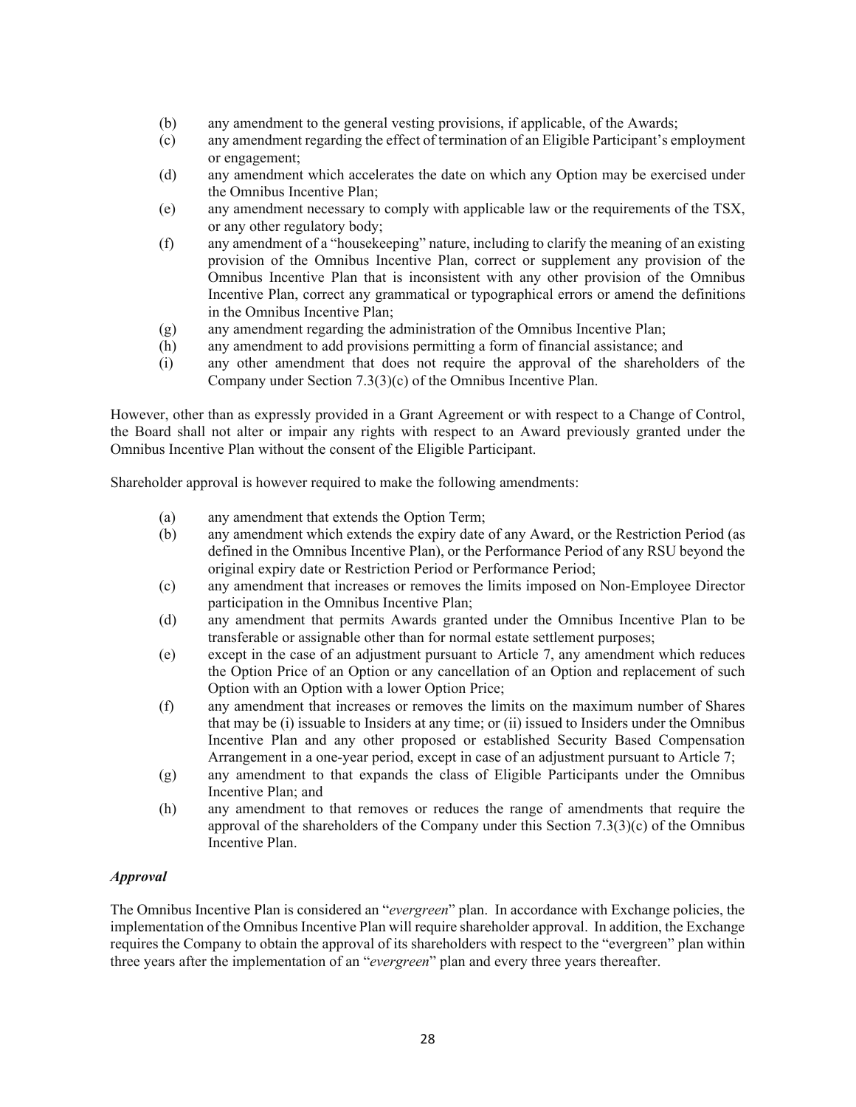- (b) any amendment to the general vesting provisions, if applicable, of the Awards;
- (c) any amendment regarding the effect of termination of an Eligible Participant's employment or engagement;
- (d) any amendment which accelerates the date on which any Option may be exercised under the Omnibus Incentive Plan;
- (e) any amendment necessary to comply with applicable law or the requirements of the TSX, or any other regulatory body;
- (f) any amendment of a "housekeeping" nature, including to clarify the meaning of an existing provision of the Omnibus Incentive Plan, correct or supplement any provision of the Omnibus Incentive Plan that is inconsistent with any other provision of the Omnibus Incentive Plan, correct any grammatical or typographical errors or amend the definitions in the Omnibus Incentive Plan;
- (g) any amendment regarding the administration of the Omnibus Incentive Plan;
- (h) any amendment to add provisions permitting a form of financial assistance; and
- (i) any other amendment that does not require the approval of the shareholders of the Company under Section 7.3(3)(c) of the Omnibus Incentive Plan.

However, other than as expressly provided in a Grant Agreement or with respect to a Change of Control, the Board shall not alter or impair any rights with respect to an Award previously granted under the Omnibus Incentive Plan without the consent of the Eligible Participant.

Shareholder approval is however required to make the following amendments:

- (a) any amendment that extends the Option Term;
- (b) any amendment which extends the expiry date of any Award, or the Restriction Period (as defined in the Omnibus Incentive Plan), or the Performance Period of any RSU beyond the original expiry date or Restriction Period or Performance Period;
- (c) any amendment that increases or removes the limits imposed on Non-Employee Director participation in the Omnibus Incentive Plan;
- (d) any amendment that permits Awards granted under the Omnibus Incentive Plan to be transferable or assignable other than for normal estate settlement purposes;
- (e) except in the case of an adjustment pursuant to Article 7, any amendment which reduces the Option Price of an Option or any cancellation of an Option and replacement of such Option with an Option with a lower Option Price;
- (f) any amendment that increases or removes the limits on the maximum number of Shares that may be (i) issuable to Insiders at any time; or (ii) issued to Insiders under the Omnibus Incentive Plan and any other proposed or established Security Based Compensation Arrangement in a one-year period, except in case of an adjustment pursuant to Article 7;
- (g) any amendment to that expands the class of Eligible Participants under the Omnibus Incentive Plan; and
- (h) any amendment to that removes or reduces the range of amendments that require the approval of the shareholders of the Company under this Section 7.3(3)(c) of the Omnibus Incentive Plan.

# *Approval*

The Omnibus Incentive Plan is considered an "*evergreen*" plan. In accordance with Exchange policies, the implementation of the Omnibus Incentive Plan will require shareholder approval. In addition, the Exchange requires the Company to obtain the approval of its shareholders with respect to the "evergreen" plan within three years after the implementation of an "*evergreen*" plan and every three years thereafter.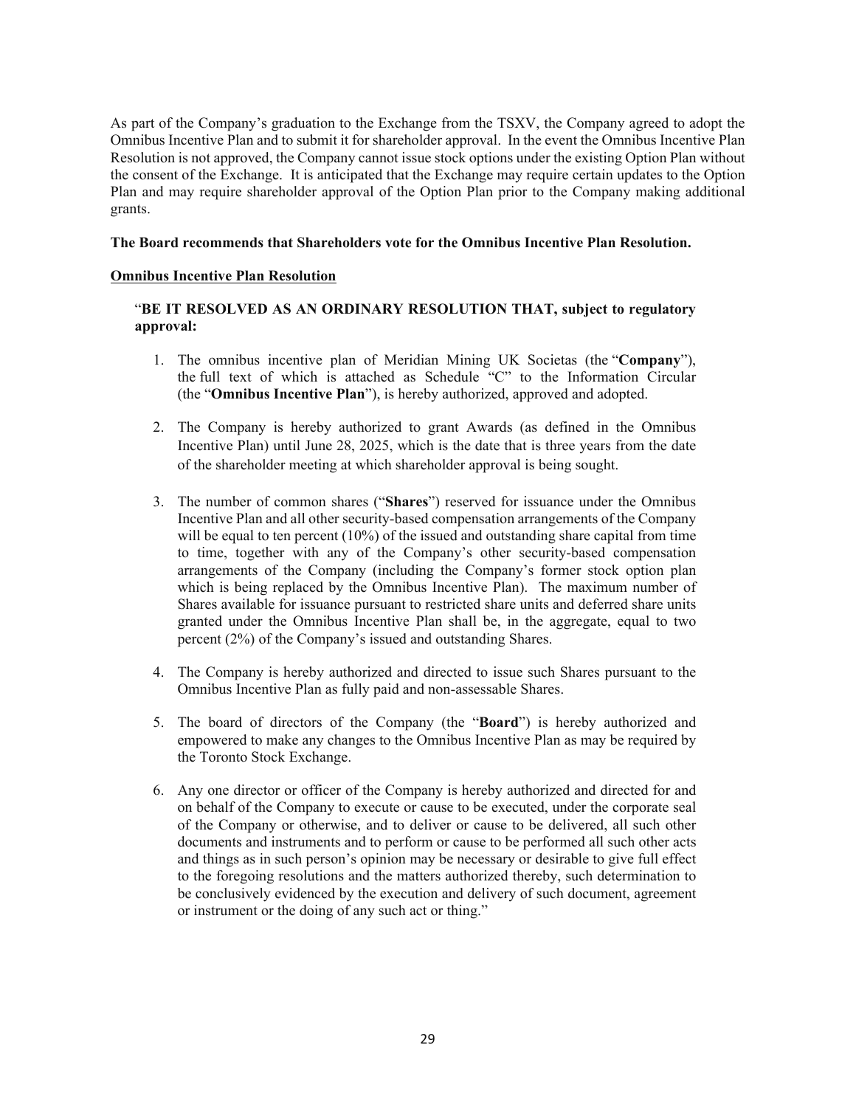As part of the Company's graduation to the Exchange from the TSXV, the Company agreed to adopt the Omnibus Incentive Plan and to submit it for shareholder approval. In the event the Omnibus Incentive Plan Resolution is not approved, the Company cannot issue stock options under the existing Option Plan without the consent of the Exchange. It is anticipated that the Exchange may require certain updates to the Option Plan and may require shareholder approval of the Option Plan prior to the Company making additional grants.

#### **The Board recommends that Shareholders vote for the Omnibus Incentive Plan Resolution.**

#### **Omnibus Incentive Plan Resolution**

# "**BE IT RESOLVED AS AN ORDINARY RESOLUTION THAT, subject to regulatory approval:**

- 1. The omnibus incentive plan of Meridian Mining UK Societas (the "**Company**"), the full text of which is attached as Schedule "C" to the Information Circular (the "**Omnibus Incentive Plan**"), is hereby authorized, approved and adopted.
- 2. The Company is hereby authorized to grant Awards (as defined in the Omnibus Incentive Plan) until June 28, 2025, which is the date that is three years from the date of the shareholder meeting at which shareholder approval is being sought.
- 3. The number of common shares ("**Shares**") reserved for issuance under the Omnibus Incentive Plan and all other security-based compensation arrangements of the Company will be equal to ten percent (10%) of the issued and outstanding share capital from time to time, together with any of the Company's other security-based compensation arrangements of the Company (including the Company's former stock option plan which is being replaced by the Omnibus Incentive Plan). The maximum number of Shares available for issuance pursuant to restricted share units and deferred share units granted under the Omnibus Incentive Plan shall be, in the aggregate, equal to two percent (2%) of the Company's issued and outstanding Shares.
- 4. The Company is hereby authorized and directed to issue such Shares pursuant to the Omnibus Incentive Plan as fully paid and non-assessable Shares.
- 5. The board of directors of the Company (the "**Board**") is hereby authorized and empowered to make any changes to the Omnibus Incentive Plan as may be required by the Toronto Stock Exchange.
- 6. Any one director or officer of the Company is hereby authorized and directed for and on behalf of the Company to execute or cause to be executed, under the corporate seal of the Company or otherwise, and to deliver or cause to be delivered, all such other documents and instruments and to perform or cause to be performed all such other acts and things as in such person's opinion may be necessary or desirable to give full effect to the foregoing resolutions and the matters authorized thereby, such determination to be conclusively evidenced by the execution and delivery of such document, agreement or instrument or the doing of any such act or thing."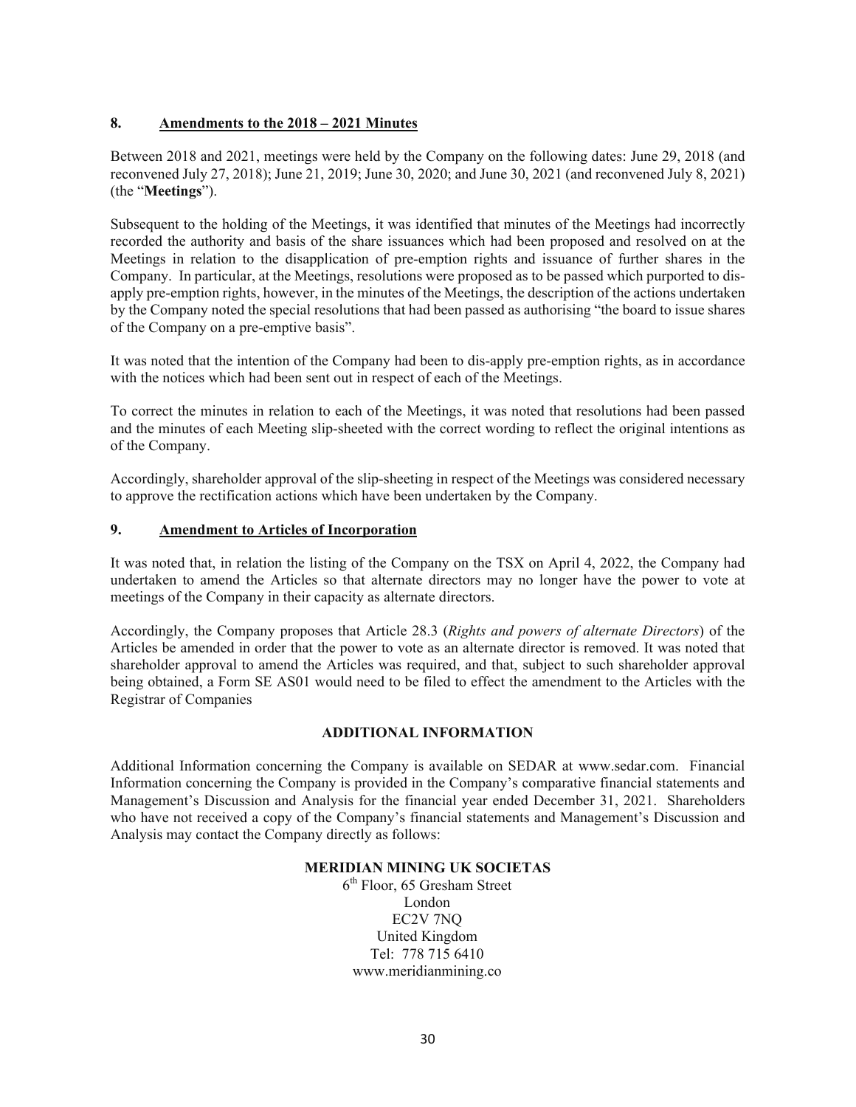# **8. Amendments to the 2018 – 2021 Minutes**

Between 2018 and 2021, meetings were held by the Company on the following dates: June 29, 2018 (and reconvened July 27, 2018); June 21, 2019; June 30, 2020; and June 30, 2021 (and reconvened July 8, 2021) (the "**Meetings**").

Subsequent to the holding of the Meetings, it was identified that minutes of the Meetings had incorrectly recorded the authority and basis of the share issuances which had been proposed and resolved on at the Meetings in relation to the disapplication of pre-emption rights and issuance of further shares in the Company. In particular, at the Meetings, resolutions were proposed as to be passed which purported to disapply pre-emption rights, however, in the minutes of the Meetings, the description of the actions undertaken by the Company noted the special resolutions that had been passed as authorising "the board to issue shares of the Company on a pre-emptive basis".

It was noted that the intention of the Company had been to dis-apply pre-emption rights, as in accordance with the notices which had been sent out in respect of each of the Meetings.

To correct the minutes in relation to each of the Meetings, it was noted that resolutions had been passed and the minutes of each Meeting slip-sheeted with the correct wording to reflect the original intentions as of the Company.

Accordingly, shareholder approval of the slip-sheeting in respect of the Meetings was considered necessary to approve the rectification actions which have been undertaken by the Company.

# **9. Amendment to Articles of Incorporation**

It was noted that, in relation the listing of the Company on the TSX on April 4, 2022, the Company had undertaken to amend the Articles so that alternate directors may no longer have the power to vote at meetings of the Company in their capacity as alternate directors.

Accordingly, the Company proposes that Article 28.3 (*Rights and powers of alternate Directors*) of the Articles be amended in order that the power to vote as an alternate director is removed. It was noted that shareholder approval to amend the Articles was required, and that, subject to such shareholder approval being obtained, a Form SE AS01 would need to be filed to effect the amendment to the Articles with the Registrar of Companies

# **ADDITIONAL INFORMATION**

Additional Information concerning the Company is available on SEDAR at www.sedar.com. Financial Information concerning the Company is provided in the Company's comparative financial statements and Management's Discussion and Analysis for the financial year ended December 31, 2021. Shareholders who have not received a copy of the Company's financial statements and Management's Discussion and Analysis may contact the Company directly as follows:

#### **MERIDIAN MINING UK SOCIETAS**

6th Floor, 65 Gresham Street London EC2V 7NQ United Kingdom Tel: 778 715 6410 www.meridianmining.co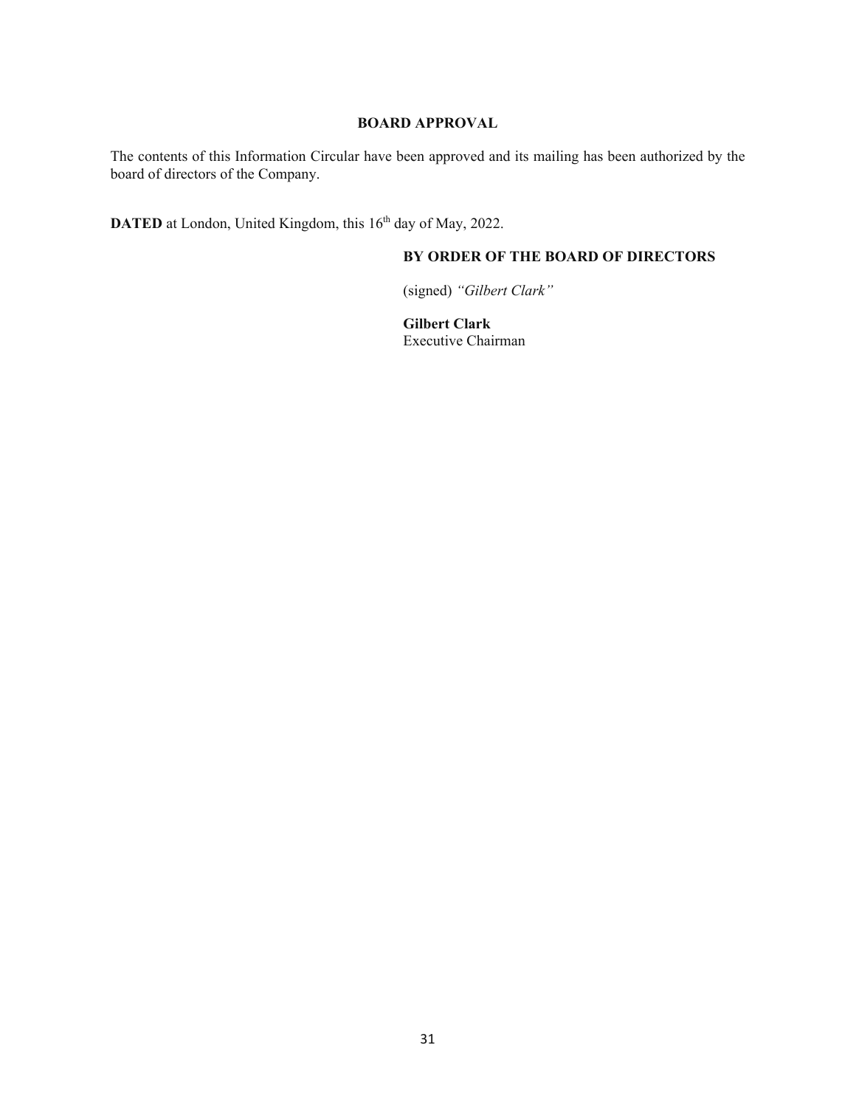# **BOARD APPROVAL**

The contents of this Information Circular have been approved and its mailing has been authorized by the board of directors of the Company.

**DATED** at London, United Kingdom, this 16<sup>th</sup> day of May, 2022.

# **BY ORDER OF THE BOARD OF DIRECTORS**

(signed) *"Gilbert Clark"* 

**Gilbert Clark** Executive Chairman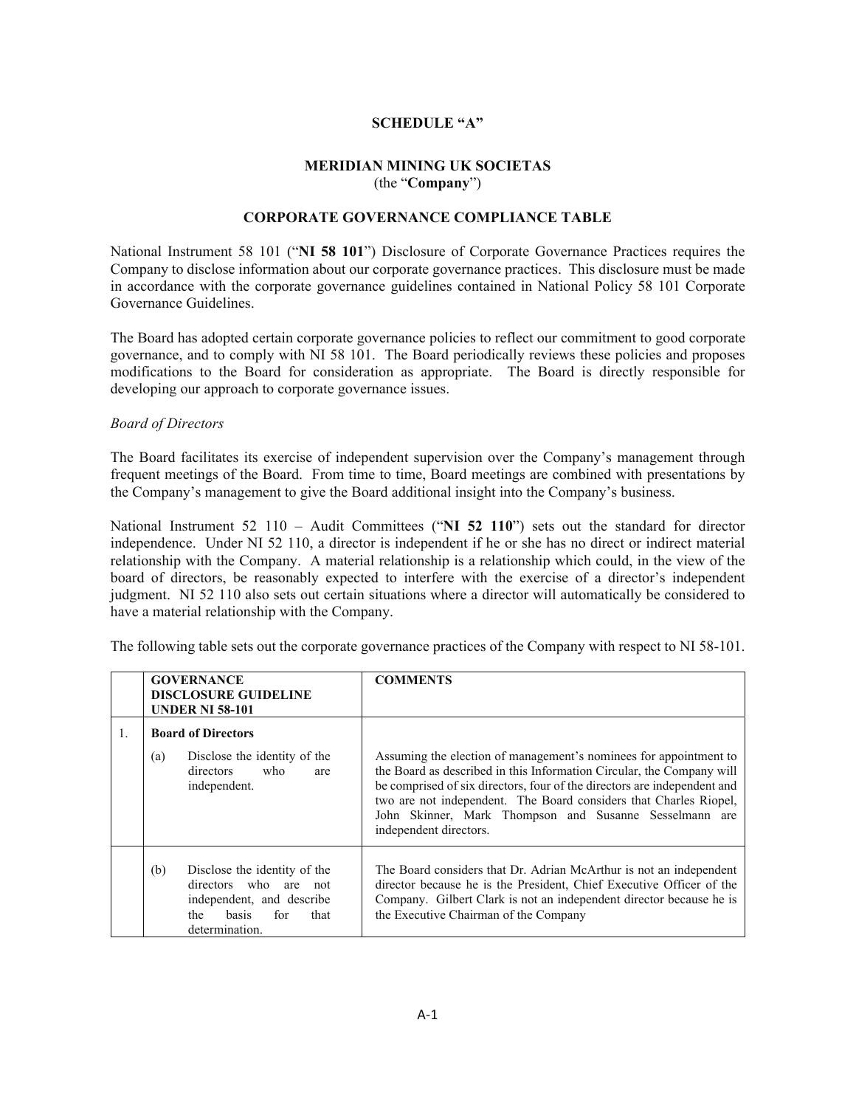# **SCHEDULE "A"**

# **MERIDIAN MINING UK SOCIETAS**  (the "**Company**")

# **CORPORATE GOVERNANCE COMPLIANCE TABLE**

National Instrument 58 101 ("**NI 58 101**") Disclosure of Corporate Governance Practices requires the Company to disclose information about our corporate governance practices. This disclosure must be made in accordance with the corporate governance guidelines contained in National Policy 58 101 Corporate Governance Guidelines.

The Board has adopted certain corporate governance policies to reflect our commitment to good corporate governance, and to comply with NI 58 101. The Board periodically reviews these policies and proposes modifications to the Board for consideration as appropriate. The Board is directly responsible for developing our approach to corporate governance issues.

#### *Board of Directors*

The Board facilitates its exercise of independent supervision over the Company's management through frequent meetings of the Board. From time to time, Board meetings are combined with presentations by the Company's management to give the Board additional insight into the Company's business.

National Instrument 52 110 – Audit Committees ("NI 52 110") sets out the standard for director independence. Under NI 52 110, a director is independent if he or she has no direct or indirect material relationship with the Company. A material relationship is a relationship which could, in the view of the board of directors, be reasonably expected to interfere with the exercise of a director's independent judgment. NI 52 110 also sets out certain situations where a director will automatically be considered to have a material relationship with the Company.

| The following table sets out the corporate governance practices of the Company with respect to NI 58-101. |  |  |
|-----------------------------------------------------------------------------------------------------------|--|--|
|                                                                                                           |  |  |

|    | <b>GOVERNANCE</b><br><b>DISCLOSURE GUIDELINE</b><br><b>UNDER NI 58-101</b>                                                                    | <b>COMMENTS</b>                                                                                                                                                                                                                                                                                                                                                                 |
|----|-----------------------------------------------------------------------------------------------------------------------------------------------|---------------------------------------------------------------------------------------------------------------------------------------------------------------------------------------------------------------------------------------------------------------------------------------------------------------------------------------------------------------------------------|
| 1. | <b>Board of Directors</b>                                                                                                                     |                                                                                                                                                                                                                                                                                                                                                                                 |
|    | Disclose the identity of the<br>(a)<br>directors<br>who<br>are<br>independent.                                                                | Assuming the election of management's nominees for appointment to<br>the Board as described in this Information Circular, the Company will<br>be comprised of six directors, four of the directors are independent and<br>two are not independent. The Board considers that Charles Riopel,<br>John Skinner, Mark Thompson and Susanne Sesselmann are<br>independent directors. |
|    | (b)<br>Disclose the identity of the<br>directors who are<br>not<br>independent, and describe<br>basis<br>for<br>the<br>that<br>determination. | The Board considers that Dr. Adrian McArthur is not an independent<br>director because he is the President, Chief Executive Officer of the<br>Company. Gilbert Clark is not an independent director because he is<br>the Executive Chairman of the Company                                                                                                                      |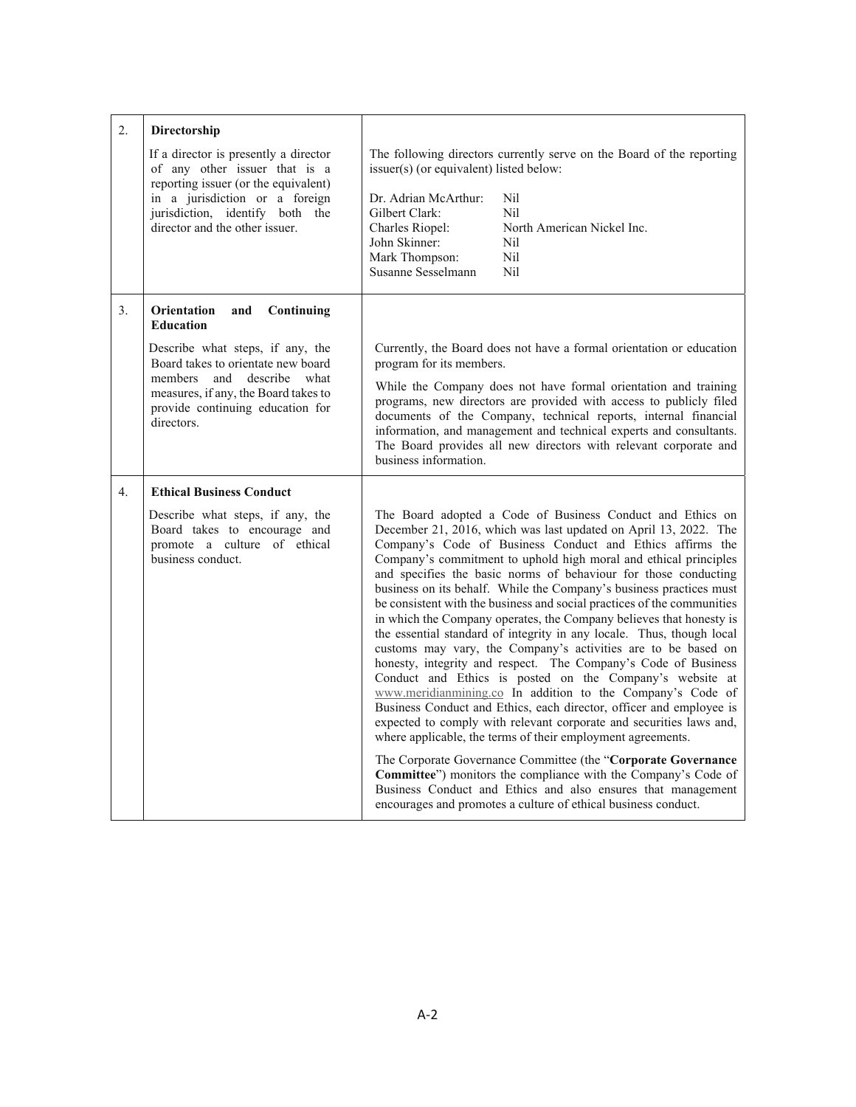| 2. | Directorship                                                                                                          |                                                                                                                                                                                                                                                                                                                                                                             |                                                                                                                                                                                                                                                                                                                                                                                                                                                                                                                                                                                                                                                                                                                                                                                                                                                                                                                                                                                                                                                                                                                |  |
|----|-----------------------------------------------------------------------------------------------------------------------|-----------------------------------------------------------------------------------------------------------------------------------------------------------------------------------------------------------------------------------------------------------------------------------------------------------------------------------------------------------------------------|----------------------------------------------------------------------------------------------------------------------------------------------------------------------------------------------------------------------------------------------------------------------------------------------------------------------------------------------------------------------------------------------------------------------------------------------------------------------------------------------------------------------------------------------------------------------------------------------------------------------------------------------------------------------------------------------------------------------------------------------------------------------------------------------------------------------------------------------------------------------------------------------------------------------------------------------------------------------------------------------------------------------------------------------------------------------------------------------------------------|--|
|    | If a director is presently a director<br>of any other issuer that is a<br>reporting issuer (or the equivalent)        | The following directors currently serve on the Board of the reporting<br>issuer(s) (or equivalent) listed below:                                                                                                                                                                                                                                                            |                                                                                                                                                                                                                                                                                                                                                                                                                                                                                                                                                                                                                                                                                                                                                                                                                                                                                                                                                                                                                                                                                                                |  |
|    | in a jurisdiction or a foreign                                                                                        | Dr. Adrian McArthur:                                                                                                                                                                                                                                                                                                                                                        | N <sub>il</sub>                                                                                                                                                                                                                                                                                                                                                                                                                                                                                                                                                                                                                                                                                                                                                                                                                                                                                                                                                                                                                                                                                                |  |
|    | jurisdiction, identify both the<br>director and the other issuer.                                                     | Gilbert Clark:<br>Charles Riopel:                                                                                                                                                                                                                                                                                                                                           | N <sub>il</sub><br>North American Nickel Inc.                                                                                                                                                                                                                                                                                                                                                                                                                                                                                                                                                                                                                                                                                                                                                                                                                                                                                                                                                                                                                                                                  |  |
|    |                                                                                                                       | John Skinner:                                                                                                                                                                                                                                                                                                                                                               | N <sub>i</sub> l                                                                                                                                                                                                                                                                                                                                                                                                                                                                                                                                                                                                                                                                                                                                                                                                                                                                                                                                                                                                                                                                                               |  |
|    |                                                                                                                       | Mark Thompson:                                                                                                                                                                                                                                                                                                                                                              | Nil                                                                                                                                                                                                                                                                                                                                                                                                                                                                                                                                                                                                                                                                                                                                                                                                                                                                                                                                                                                                                                                                                                            |  |
|    |                                                                                                                       | Susanne Sesselmann                                                                                                                                                                                                                                                                                                                                                          | N <sub>i</sub> l                                                                                                                                                                                                                                                                                                                                                                                                                                                                                                                                                                                                                                                                                                                                                                                                                                                                                                                                                                                                                                                                                               |  |
| 3. | Orientation<br>and<br>Continuing<br><b>Education</b>                                                                  |                                                                                                                                                                                                                                                                                                                                                                             |                                                                                                                                                                                                                                                                                                                                                                                                                                                                                                                                                                                                                                                                                                                                                                                                                                                                                                                                                                                                                                                                                                                |  |
|    | Describe what steps, if any, the<br>Board takes to orientate new board                                                | Currently, the Board does not have a formal orientation or education<br>program for its members.                                                                                                                                                                                                                                                                            |                                                                                                                                                                                                                                                                                                                                                                                                                                                                                                                                                                                                                                                                                                                                                                                                                                                                                                                                                                                                                                                                                                                |  |
|    | members and describe what<br>measures, if any, the Board takes to<br>provide continuing education for<br>directors.   | While the Company does not have formal orientation and training<br>programs, new directors are provided with access to publicly filed<br>documents of the Company, technical reports, internal financial<br>information, and management and technical experts and consultants.<br>The Board provides all new directors with relevant corporate and<br>business information. |                                                                                                                                                                                                                                                                                                                                                                                                                                                                                                                                                                                                                                                                                                                                                                                                                                                                                                                                                                                                                                                                                                                |  |
| 4. | <b>Ethical Business Conduct</b>                                                                                       |                                                                                                                                                                                                                                                                                                                                                                             |                                                                                                                                                                                                                                                                                                                                                                                                                                                                                                                                                                                                                                                                                                                                                                                                                                                                                                                                                                                                                                                                                                                |  |
|    | Describe what steps, if any, the<br>Board takes to encourage and<br>promote a culture of ethical<br>business conduct. |                                                                                                                                                                                                                                                                                                                                                                             | The Board adopted a Code of Business Conduct and Ethics on<br>December 21, 2016, which was last updated on April 13, 2022. The<br>Company's Code of Business Conduct and Ethics affirms the<br>Company's commitment to uphold high moral and ethical principles<br>and specifies the basic norms of behaviour for those conducting<br>business on its behalf. While the Company's business practices must<br>be consistent with the business and social practices of the communities<br>in which the Company operates, the Company believes that honesty is<br>the essential standard of integrity in any locale. Thus, though local<br>customs may vary, the Company's activities are to be based on<br>honesty, integrity and respect. The Company's Code of Business<br>Conduct and Ethics is posted on the Company's website at<br>www.meridianmining.co In addition to the Company's Code of<br>Business Conduct and Ethics, each director, officer and employee is<br>expected to comply with relevant corporate and securities laws and,<br>where applicable, the terms of their employment agreements. |  |
|    |                                                                                                                       |                                                                                                                                                                                                                                                                                                                                                                             | The Corporate Governance Committee (the "Corporate Governance<br>Committee") monitors the compliance with the Company's Code of<br>Business Conduct and Ethics and also ensures that management<br>encourages and promotes a culture of ethical business conduct.                                                                                                                                                                                                                                                                                                                                                                                                                                                                                                                                                                                                                                                                                                                                                                                                                                              |  |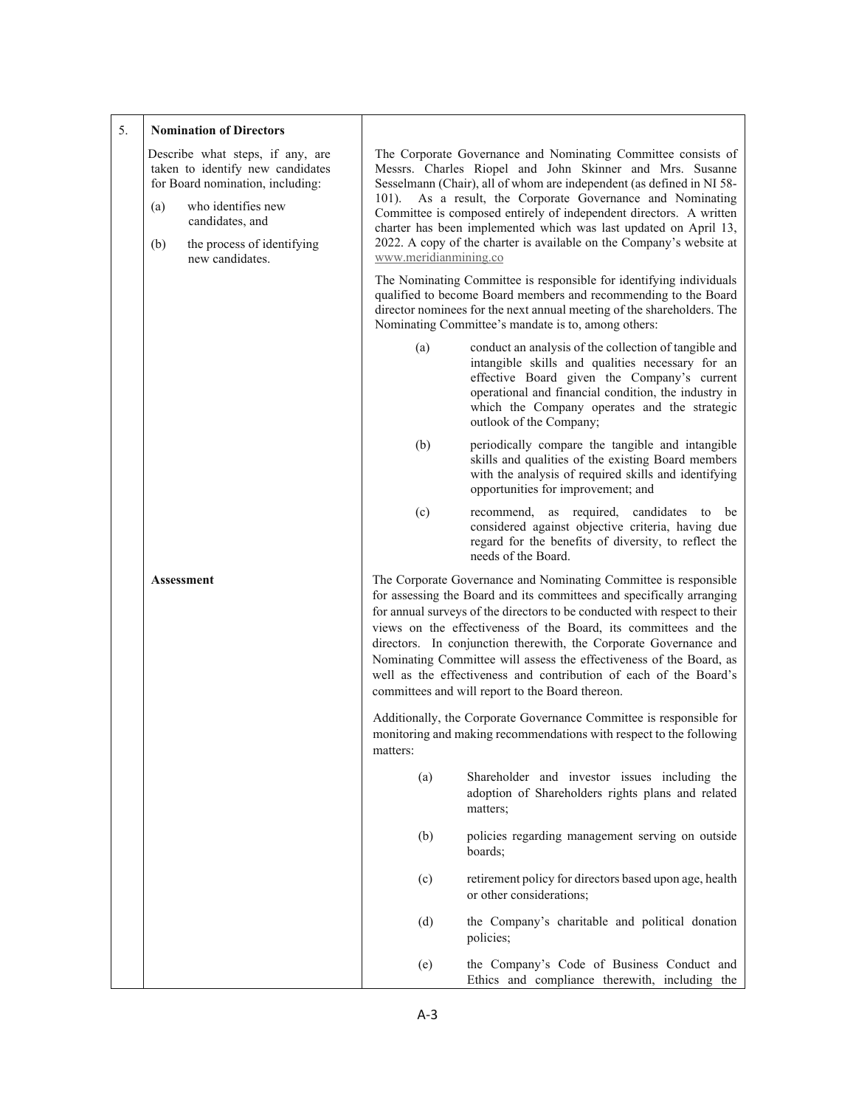| 5. |            | <b>Nomination of Directors</b>                                                                                                                                                                     |                       |                                                                                                                                                                                                                                                                                                                                                                                                                                                                                                                                                                |
|----|------------|----------------------------------------------------------------------------------------------------------------------------------------------------------------------------------------------------|-----------------------|----------------------------------------------------------------------------------------------------------------------------------------------------------------------------------------------------------------------------------------------------------------------------------------------------------------------------------------------------------------------------------------------------------------------------------------------------------------------------------------------------------------------------------------------------------------|
|    | (a)<br>(b) | Describe what steps, if any, are<br>taken to identify new candidates<br>for Board nomination, including:<br>who identifies new<br>candidates, and<br>the process of identifying<br>new candidates. | www.meridianmining.co | The Corporate Governance and Nominating Committee consists of<br>Messrs. Charles Riopel and John Skinner and Mrs. Susanne<br>Sesselmann (Chair), all of whom are independent (as defined in NI 58-<br>101). As a result, the Corporate Governance and Nominating<br>Committee is composed entirely of independent directors. A written<br>charter has been implemented which was last updated on April 13,<br>2022. A copy of the charter is available on the Company's website at                                                                             |
|    |            |                                                                                                                                                                                                    |                       | The Nominating Committee is responsible for identifying individuals<br>qualified to become Board members and recommending to the Board<br>director nominees for the next annual meeting of the shareholders. The<br>Nominating Committee's mandate is to, among others:                                                                                                                                                                                                                                                                                        |
|    |            |                                                                                                                                                                                                    | (a)                   | conduct an analysis of the collection of tangible and<br>intangible skills and qualities necessary for an<br>effective Board given the Company's current<br>operational and financial condition, the industry in<br>which the Company operates and the strategic<br>outlook of the Company;                                                                                                                                                                                                                                                                    |
|    |            |                                                                                                                                                                                                    | (b)                   | periodically compare the tangible and intangible<br>skills and qualities of the existing Board members<br>with the analysis of required skills and identifying<br>opportunities for improvement; and                                                                                                                                                                                                                                                                                                                                                           |
|    |            |                                                                                                                                                                                                    | (c)                   | as required, candidates<br>recommend,<br>be<br>to<br>considered against objective criteria, having due<br>regard for the benefits of diversity, to reflect the<br>needs of the Board.                                                                                                                                                                                                                                                                                                                                                                          |
|    |            | <b>Assessment</b>                                                                                                                                                                                  |                       | The Corporate Governance and Nominating Committee is responsible<br>for assessing the Board and its committees and specifically arranging<br>for annual surveys of the directors to be conducted with respect to their<br>views on the effectiveness of the Board, its committees and the<br>directors. In conjunction therewith, the Corporate Governance and<br>Nominating Committee will assess the effectiveness of the Board, as<br>well as the effectiveness and contribution of each of the Board's<br>committees and will report to the Board thereon. |
|    |            |                                                                                                                                                                                                    | matters:              | Additionally, the Corporate Governance Committee is responsible for<br>monitoring and making recommendations with respect to the following                                                                                                                                                                                                                                                                                                                                                                                                                     |
|    |            |                                                                                                                                                                                                    | (a)                   | Shareholder and investor issues including the<br>adoption of Shareholders rights plans and related<br>matters;                                                                                                                                                                                                                                                                                                                                                                                                                                                 |
|    |            |                                                                                                                                                                                                    | (b)                   | policies regarding management serving on outside<br>boards;                                                                                                                                                                                                                                                                                                                                                                                                                                                                                                    |
|    |            |                                                                                                                                                                                                    | (c)                   | retirement policy for directors based upon age, health<br>or other considerations;                                                                                                                                                                                                                                                                                                                                                                                                                                                                             |
|    |            |                                                                                                                                                                                                    | (d)                   | the Company's charitable and political donation<br>policies;                                                                                                                                                                                                                                                                                                                                                                                                                                                                                                   |
|    |            |                                                                                                                                                                                                    | (e)                   | the Company's Code of Business Conduct and<br>Ethics and compliance therewith, including the                                                                                                                                                                                                                                                                                                                                                                                                                                                                   |

 $\mathbf{I}$ 

# $A-3$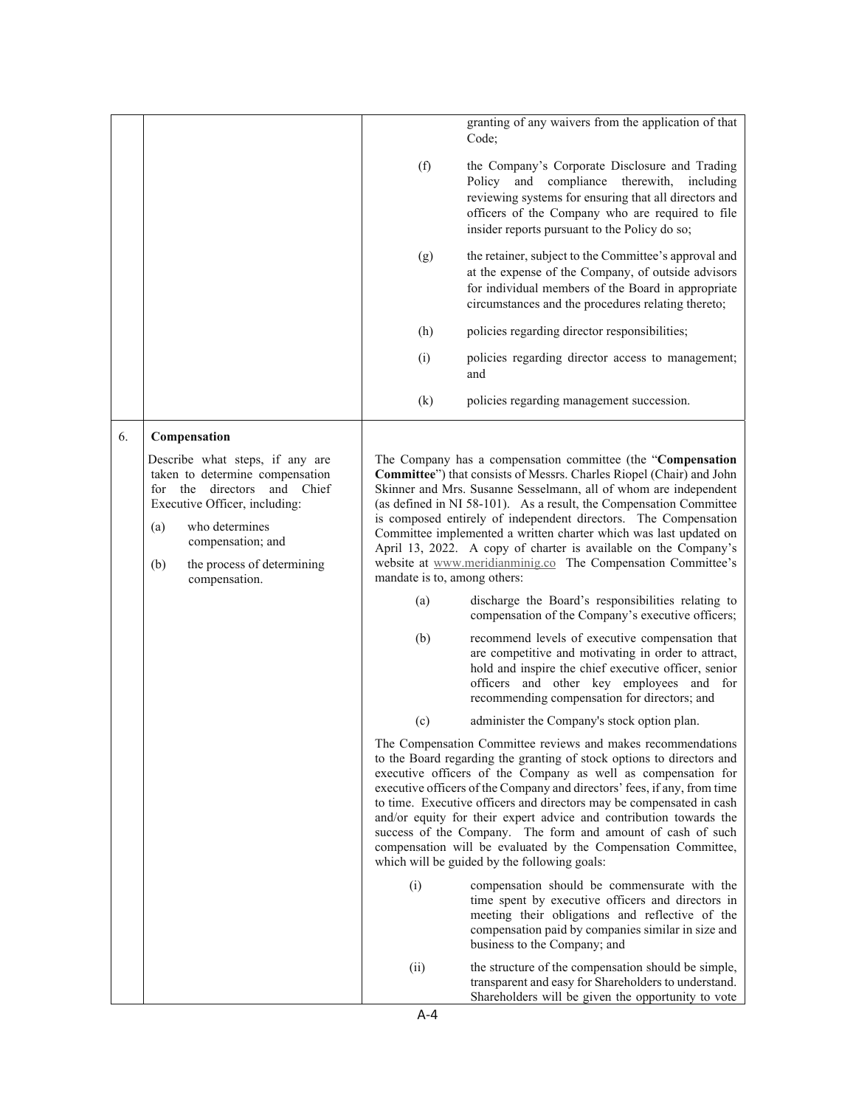|    |                                                                                                                                                                                                                                        |                              | granting of any waivers from the application of that<br>Code;                                                                                                                                                                                                                                                                                                                                                                                                                                                                                                                                                    |
|----|----------------------------------------------------------------------------------------------------------------------------------------------------------------------------------------------------------------------------------------|------------------------------|------------------------------------------------------------------------------------------------------------------------------------------------------------------------------------------------------------------------------------------------------------------------------------------------------------------------------------------------------------------------------------------------------------------------------------------------------------------------------------------------------------------------------------------------------------------------------------------------------------------|
|    |                                                                                                                                                                                                                                        | (f)                          | the Company's Corporate Disclosure and Trading<br>Policy and compliance therewith, including<br>reviewing systems for ensuring that all directors and<br>officers of the Company who are required to file<br>insider reports pursuant to the Policy do so;                                                                                                                                                                                                                                                                                                                                                       |
|    |                                                                                                                                                                                                                                        | (g)                          | the retainer, subject to the Committee's approval and<br>at the expense of the Company, of outside advisors<br>for individual members of the Board in appropriate<br>circumstances and the procedures relating thereto;                                                                                                                                                                                                                                                                                                                                                                                          |
|    |                                                                                                                                                                                                                                        | (h)                          | policies regarding director responsibilities;                                                                                                                                                                                                                                                                                                                                                                                                                                                                                                                                                                    |
|    |                                                                                                                                                                                                                                        | (i)                          | policies regarding director access to management;<br>and                                                                                                                                                                                                                                                                                                                                                                                                                                                                                                                                                         |
|    |                                                                                                                                                                                                                                        | (k)                          | policies regarding management succession.                                                                                                                                                                                                                                                                                                                                                                                                                                                                                                                                                                        |
| 6. | Compensation                                                                                                                                                                                                                           |                              |                                                                                                                                                                                                                                                                                                                                                                                                                                                                                                                                                                                                                  |
|    | Describe what steps, if any are<br>taken to determine compensation<br>for the directors and Chief<br>Executive Officer, including:<br>who determines<br>(a)<br>compensation; and<br>(b)<br>the process of determining<br>compensation. | mandate is to, among others: | The Company has a compensation committee (the "Compensation<br>Committee") that consists of Messrs. Charles Riopel (Chair) and John<br>Skinner and Mrs. Susanne Sesselmann, all of whom are independent<br>(as defined in NI 58-101). As a result, the Compensation Committee<br>is composed entirely of independent directors. The Compensation<br>Committee implemented a written charter which was last updated on<br>April 13, 2022. A copy of charter is available on the Company's<br>website at www.meridianminig.co The Compensation Committee's                                                         |
|    |                                                                                                                                                                                                                                        | (a)                          | discharge the Board's responsibilities relating to<br>compensation of the Company's executive officers;                                                                                                                                                                                                                                                                                                                                                                                                                                                                                                          |
|    |                                                                                                                                                                                                                                        | (b)                          | recommend levels of executive compensation that<br>are competitive and motivating in order to attract,<br>hold and inspire the chief executive officer, senior<br>officers and other key employees and for<br>recommending compensation for directors; and                                                                                                                                                                                                                                                                                                                                                       |
|    |                                                                                                                                                                                                                                        | (c)                          | administer the Company's stock option plan.                                                                                                                                                                                                                                                                                                                                                                                                                                                                                                                                                                      |
|    |                                                                                                                                                                                                                                        |                              | The Compensation Committee reviews and makes recommendations<br>to the Board regarding the granting of stock options to directors and<br>executive officers of the Company as well as compensation for<br>executive officers of the Company and directors' fees, if any, from time<br>to time. Executive officers and directors may be compensated in cash<br>and/or equity for their expert advice and contribution towards the<br>success of the Company. The form and amount of cash of such<br>compensation will be evaluated by the Compensation Committee,<br>which will be guided by the following goals: |
|    |                                                                                                                                                                                                                                        | (i)                          | compensation should be commensurate with the<br>time spent by executive officers and directors in<br>meeting their obligations and reflective of the<br>compensation paid by companies similar in size and<br>business to the Company; and                                                                                                                                                                                                                                                                                                                                                                       |
|    |                                                                                                                                                                                                                                        | (ii)                         | the structure of the compensation should be simple,<br>transparent and easy for Shareholders to understand.<br>Shareholders will be given the opportunity to vote                                                                                                                                                                                                                                                                                                                                                                                                                                                |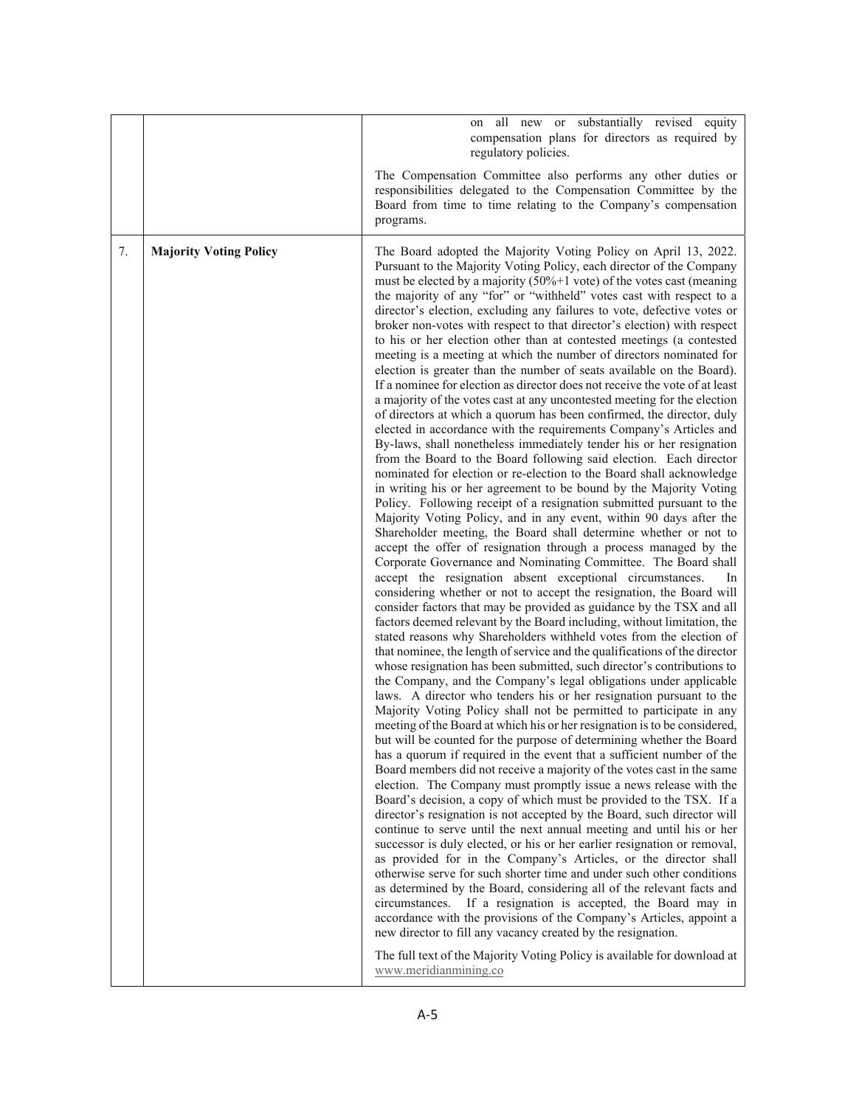|    |                               | all new or substantially revised equity<br>on<br>compensation plans for directors as required by<br>regulatory policies.                                                                                                                                                                                                                                                                                                                                                                                                                                                                                                                                                                                                                                                                                                                                                                                                                                                                                                                                                                                                                                                                                                                                                                                                                                                                                                                                                                                                                                                                                                                                                                                                                                                                                                                                                                                                                                                                                                                                                                                                                                                                                                                                                                                                                                                                                                                                                                                                                                                                                                                                                                                                                                                                                                                                                                                                                                                                                                                                                                                                                                                                                                                                                                                                                                                                                                                                                                                                                                                                                               |
|----|-------------------------------|------------------------------------------------------------------------------------------------------------------------------------------------------------------------------------------------------------------------------------------------------------------------------------------------------------------------------------------------------------------------------------------------------------------------------------------------------------------------------------------------------------------------------------------------------------------------------------------------------------------------------------------------------------------------------------------------------------------------------------------------------------------------------------------------------------------------------------------------------------------------------------------------------------------------------------------------------------------------------------------------------------------------------------------------------------------------------------------------------------------------------------------------------------------------------------------------------------------------------------------------------------------------------------------------------------------------------------------------------------------------------------------------------------------------------------------------------------------------------------------------------------------------------------------------------------------------------------------------------------------------------------------------------------------------------------------------------------------------------------------------------------------------------------------------------------------------------------------------------------------------------------------------------------------------------------------------------------------------------------------------------------------------------------------------------------------------------------------------------------------------------------------------------------------------------------------------------------------------------------------------------------------------------------------------------------------------------------------------------------------------------------------------------------------------------------------------------------------------------------------------------------------------------------------------------------------------------------------------------------------------------------------------------------------------------------------------------------------------------------------------------------------------------------------------------------------------------------------------------------------------------------------------------------------------------------------------------------------------------------------------------------------------------------------------------------------------------------------------------------------------------------------------------------------------------------------------------------------------------------------------------------------------------------------------------------------------------------------------------------------------------------------------------------------------------------------------------------------------------------------------------------------------------------------------------------------------------------------------------------------------|
|    |                               | The Compensation Committee also performs any other duties or<br>responsibilities delegated to the Compensation Committee by the<br>Board from time to time relating to the Company's compensation<br>programs.                                                                                                                                                                                                                                                                                                                                                                                                                                                                                                                                                                                                                                                                                                                                                                                                                                                                                                                                                                                                                                                                                                                                                                                                                                                                                                                                                                                                                                                                                                                                                                                                                                                                                                                                                                                                                                                                                                                                                                                                                                                                                                                                                                                                                                                                                                                                                                                                                                                                                                                                                                                                                                                                                                                                                                                                                                                                                                                                                                                                                                                                                                                                                                                                                                                                                                                                                                                                         |
| 7. | <b>Majority Voting Policy</b> | The Board adopted the Majority Voting Policy on April 13, 2022.<br>Pursuant to the Majority Voting Policy, each director of the Company<br>must be elected by a majority $(50\% + 1 \text{ vote})$ of the votes cast (meaning<br>the majority of any "for" or "withheld" votes cast with respect to a<br>director's election, excluding any failures to vote, defective votes or<br>broker non-votes with respect to that director's election) with respect<br>to his or her election other than at contested meetings (a contested<br>meeting is a meeting at which the number of directors nominated for<br>election is greater than the number of seats available on the Board).<br>If a nominee for election as director does not receive the vote of at least<br>a majority of the votes cast at any uncontested meeting for the election<br>of directors at which a quorum has been confirmed, the director, duly<br>elected in accordance with the requirements Company's Articles and<br>By-laws, shall nonetheless immediately tender his or her resignation<br>from the Board to the Board following said election. Each director<br>nominated for election or re-election to the Board shall acknowledge<br>in writing his or her agreement to be bound by the Majority Voting<br>Policy. Following receipt of a resignation submitted pursuant to the<br>Majority Voting Policy, and in any event, within 90 days after the<br>Shareholder meeting, the Board shall determine whether or not to<br>accept the offer of resignation through a process managed by the<br>Corporate Governance and Nominating Committee. The Board shall<br>accept the resignation absent exceptional circumstances.<br>In<br>considering whether or not to accept the resignation, the Board will<br>consider factors that may be provided as guidance by the TSX and all<br>factors deemed relevant by the Board including, without limitation, the<br>stated reasons why Shareholders withheld votes from the election of<br>that nominee, the length of service and the qualifications of the director<br>whose resignation has been submitted, such director's contributions to<br>the Company, and the Company's legal obligations under applicable<br>laws. A director who tenders his or her resignation pursuant to the<br>Majority Voting Policy shall not be permitted to participate in any<br>meeting of the Board at which his or her resignation is to be considered,<br>but will be counted for the purpose of determining whether the Board<br>has a quorum if required in the event that a sufficient number of the<br>Board members did not receive a majority of the votes cast in the same<br>election. The Company must promptly issue a news release with the<br>Board's decision, a copy of which must be provided to the TSX. If a<br>director's resignation is not accepted by the Board, such director will<br>continue to serve until the next annual meeting and until his or her<br>successor is duly elected, or his or her earlier resignation or removal,<br>as provided for in the Company's Articles, or the director shall<br>otherwise serve for such shorter time and under such other conditions<br>as determined by the Board, considering all of the relevant facts and<br>circumstances. If a resignation is accepted, the Board may in<br>accordance with the provisions of the Company's Articles, appoint a<br>new director to fill any vacancy created by the resignation.<br>The full text of the Majority Voting Policy is available for download at<br>www.meridianmining.co |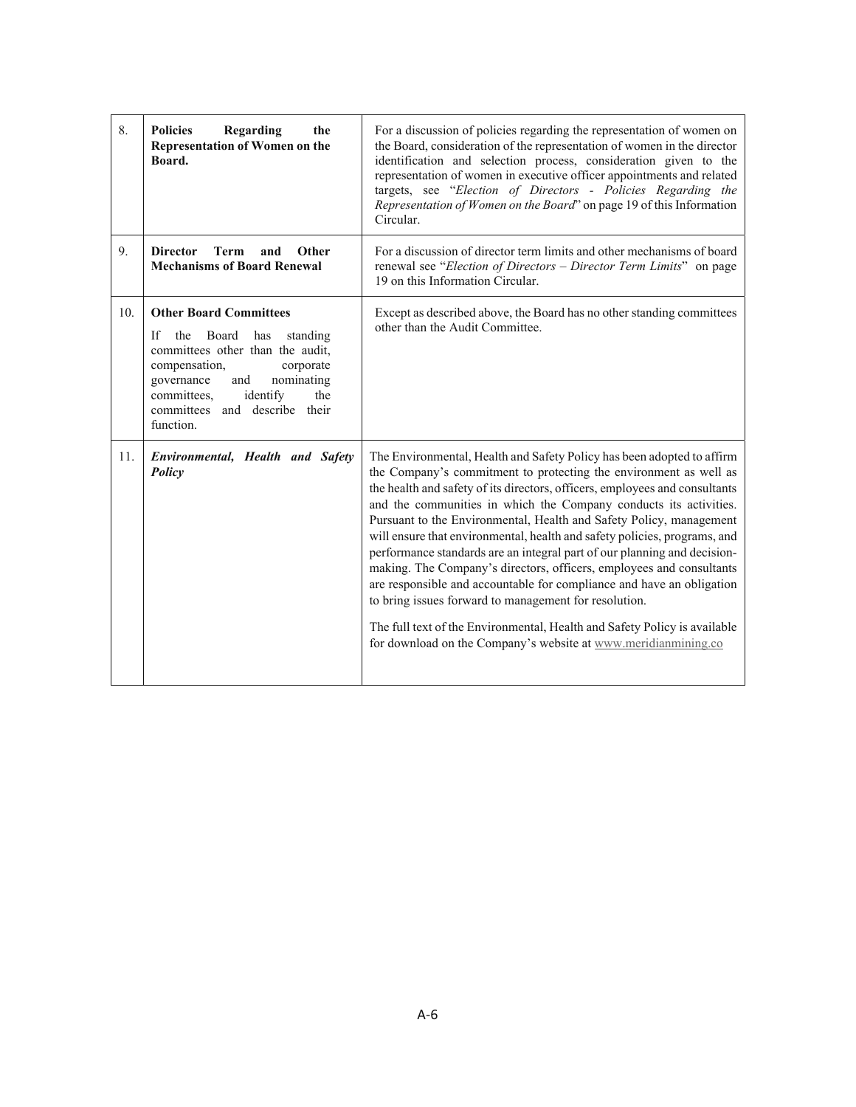| 8.  | <b>Policies</b><br>Regarding<br>the<br><b>Representation of Women on the</b><br>Board.                                                                                                                                                                      | For a discussion of policies regarding the representation of women on<br>the Board, consideration of the representation of women in the director<br>identification and selection process, consideration given to the<br>representation of women in executive officer appointments and related<br>targets, see "Election of Directors - Policies Regarding the<br>Representation of Women on the Board" on page 19 of this Information<br>Circular.                                                                                                                                                                                                                                                                                                                                                                                                                                       |
|-----|-------------------------------------------------------------------------------------------------------------------------------------------------------------------------------------------------------------------------------------------------------------|------------------------------------------------------------------------------------------------------------------------------------------------------------------------------------------------------------------------------------------------------------------------------------------------------------------------------------------------------------------------------------------------------------------------------------------------------------------------------------------------------------------------------------------------------------------------------------------------------------------------------------------------------------------------------------------------------------------------------------------------------------------------------------------------------------------------------------------------------------------------------------------|
| 9.  | <b>Director</b><br>Term<br>Other<br>and<br><b>Mechanisms of Board Renewal</b>                                                                                                                                                                               | For a discussion of director term limits and other mechanisms of board<br>renewal see "Election of Directors - Director Term Limits" on page<br>19 on this Information Circular.                                                                                                                                                                                                                                                                                                                                                                                                                                                                                                                                                                                                                                                                                                         |
| 10. | <b>Other Board Committees</b><br>If<br>the<br>Board<br>has<br>standing<br>committees other than the audit,<br>compensation,<br>corporate<br>nominating<br>governance<br>and<br>identify<br>committees,<br>the<br>committees and describe their<br>function. | Except as described above, the Board has no other standing committees<br>other than the Audit Committee.                                                                                                                                                                                                                                                                                                                                                                                                                                                                                                                                                                                                                                                                                                                                                                                 |
| 11. | Environmental, Health and Safety<br>Policy                                                                                                                                                                                                                  | The Environmental, Health and Safety Policy has been adopted to affirm<br>the Company's commitment to protecting the environment as well as<br>the health and safety of its directors, officers, employees and consultants<br>and the communities in which the Company conducts its activities.<br>Pursuant to the Environmental, Health and Safety Policy, management<br>will ensure that environmental, health and safety policies, programs, and<br>performance standards are an integral part of our planning and decision-<br>making. The Company's directors, officers, employees and consultants<br>are responsible and accountable for compliance and have an obligation<br>to bring issues forward to management for resolution.<br>The full text of the Environmental, Health and Safety Policy is available<br>for download on the Company's website at www.meridianmining.co |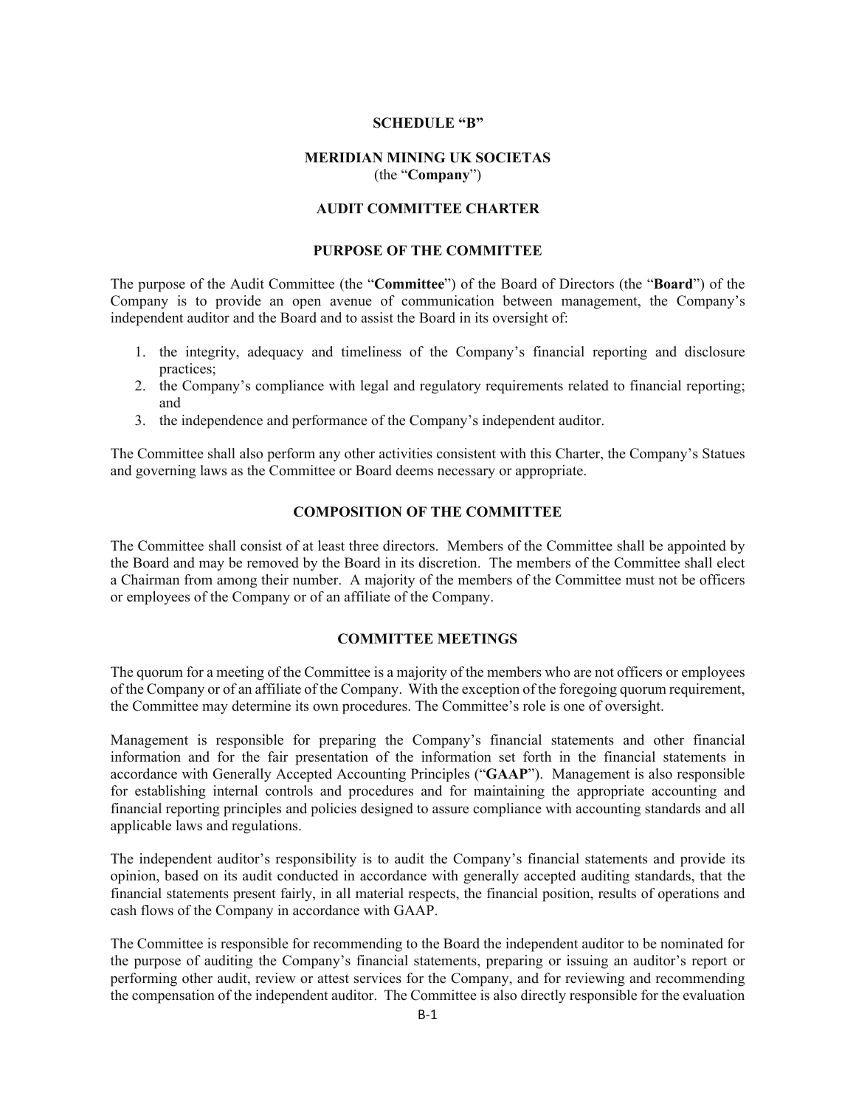# **SCHEDULE "B"**

# **MERIDIAN MINING UK SOCIETAS**  (the "**Company**")

# **AUDIT COMMITTEE CHARTER**

#### **PURPOSE OF THE COMMITTEE**

The purpose of the Audit Committee (the "**Committee**") of the Board of Directors (the "**Board**") of the Company is to provide an open avenue of communication between management, the Company's independent auditor and the Board and to assist the Board in its oversight of:

- 1. the integrity, adequacy and timeliness of the Company's financial reporting and disclosure practices;
- 2. the Company's compliance with legal and regulatory requirements related to financial reporting; and
- 3. the independence and performance of the Company's independent auditor.

The Committee shall also perform any other activities consistent with this Charter, the Company's Statues and governing laws as the Committee or Board deems necessary or appropriate.

#### **COMPOSITION OF THE COMMITTEE**

The Committee shall consist of at least three directors. Members of the Committee shall be appointed by the Board and may be removed by the Board in its discretion. The members of the Committee shall elect a Chairman from among their number. A majority of the members of the Committee must not be officers or employees of the Company or of an affiliate of the Company.

# **COMMITTEE MEETINGS**

The quorum for a meeting of the Committee is a majority of the members who are not officers or employees of the Company or of an affiliate of the Company. With the exception of the foregoing quorum requirement, the Committee may determine its own procedures. The Committee's role is one of oversight.

Management is responsible for preparing the Company's financial statements and other financial information and for the fair presentation of the information set forth in the financial statements in accordance with Generally Accepted Accounting Principles ("**GAAP**"). Management is also responsible for establishing internal controls and procedures and for maintaining the appropriate accounting and financial reporting principles and policies designed to assure compliance with accounting standards and all applicable laws and regulations.

The independent auditor's responsibility is to audit the Company's financial statements and provide its opinion, based on its audit conducted in accordance with generally accepted auditing standards, that the financial statements present fairly, in all material respects, the financial position, results of operations and cash flows of the Company in accordance with GAAP.

The Committee is responsible for recommending to the Board the independent auditor to be nominated for the purpose of auditing the Company's financial statements, preparing or issuing an auditor's report or performing other audit, review or attest services for the Company, and for reviewing and recommending the compensation of the independent auditor. The Committee is also directly responsible for the evaluation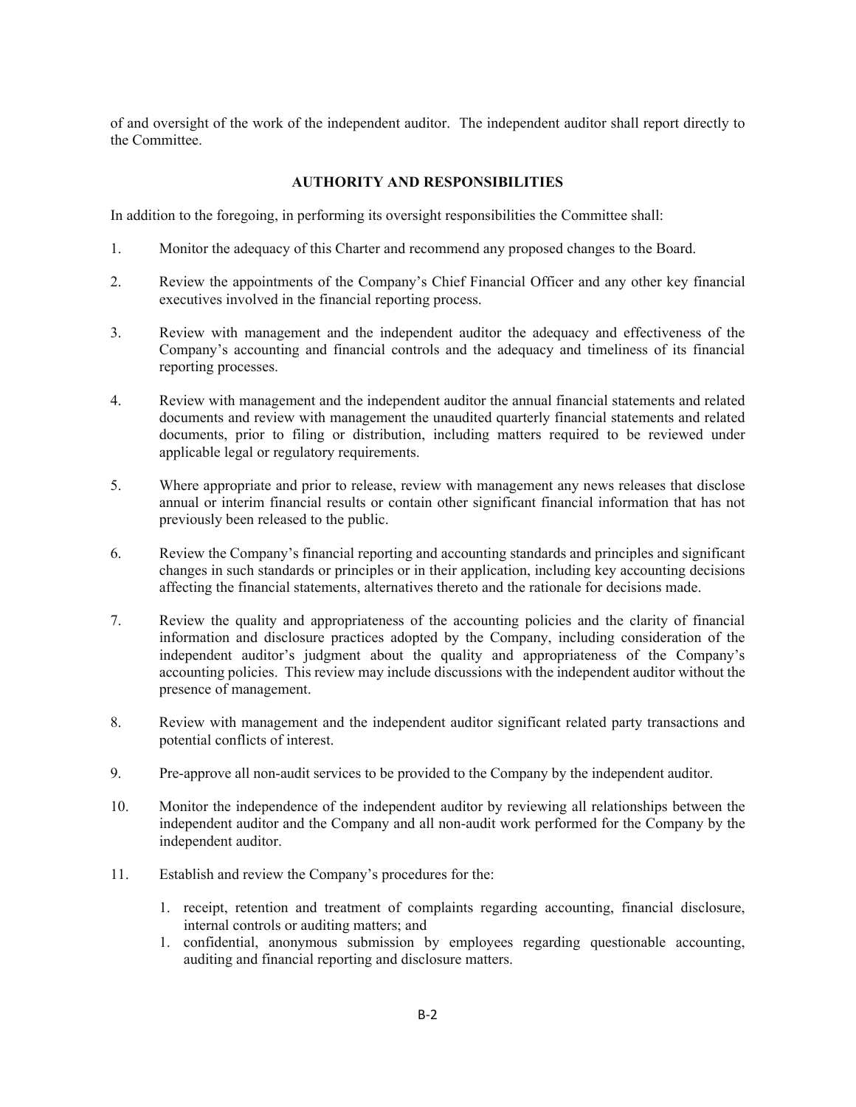of and oversight of the work of the independent auditor. The independent auditor shall report directly to the Committee.

# **AUTHORITY AND RESPONSIBILITIES**

In addition to the foregoing, in performing its oversight responsibilities the Committee shall:

- 1. Monitor the adequacy of this Charter and recommend any proposed changes to the Board.
- 2. Review the appointments of the Company's Chief Financial Officer and any other key financial executives involved in the financial reporting process.
- 3. Review with management and the independent auditor the adequacy and effectiveness of the Company's accounting and financial controls and the adequacy and timeliness of its financial reporting processes.
- 4. Review with management and the independent auditor the annual financial statements and related documents and review with management the unaudited quarterly financial statements and related documents, prior to filing or distribution, including matters required to be reviewed under applicable legal or regulatory requirements.
- 5. Where appropriate and prior to release, review with management any news releases that disclose annual or interim financial results or contain other significant financial information that has not previously been released to the public.
- 6. Review the Company's financial reporting and accounting standards and principles and significant changes in such standards or principles or in their application, including key accounting decisions affecting the financial statements, alternatives thereto and the rationale for decisions made.
- 7. Review the quality and appropriateness of the accounting policies and the clarity of financial information and disclosure practices adopted by the Company, including consideration of the independent auditor's judgment about the quality and appropriateness of the Company's accounting policies. This review may include discussions with the independent auditor without the presence of management.
- 8. Review with management and the independent auditor significant related party transactions and potential conflicts of interest.
- 9. Pre-approve all non-audit services to be provided to the Company by the independent auditor.
- 10. Monitor the independence of the independent auditor by reviewing all relationships between the independent auditor and the Company and all non-audit work performed for the Company by the independent auditor.
- 11. Establish and review the Company's procedures for the:
	- 1. receipt, retention and treatment of complaints regarding accounting, financial disclosure, internal controls or auditing matters; and
	- 1. confidential, anonymous submission by employees regarding questionable accounting, auditing and financial reporting and disclosure matters.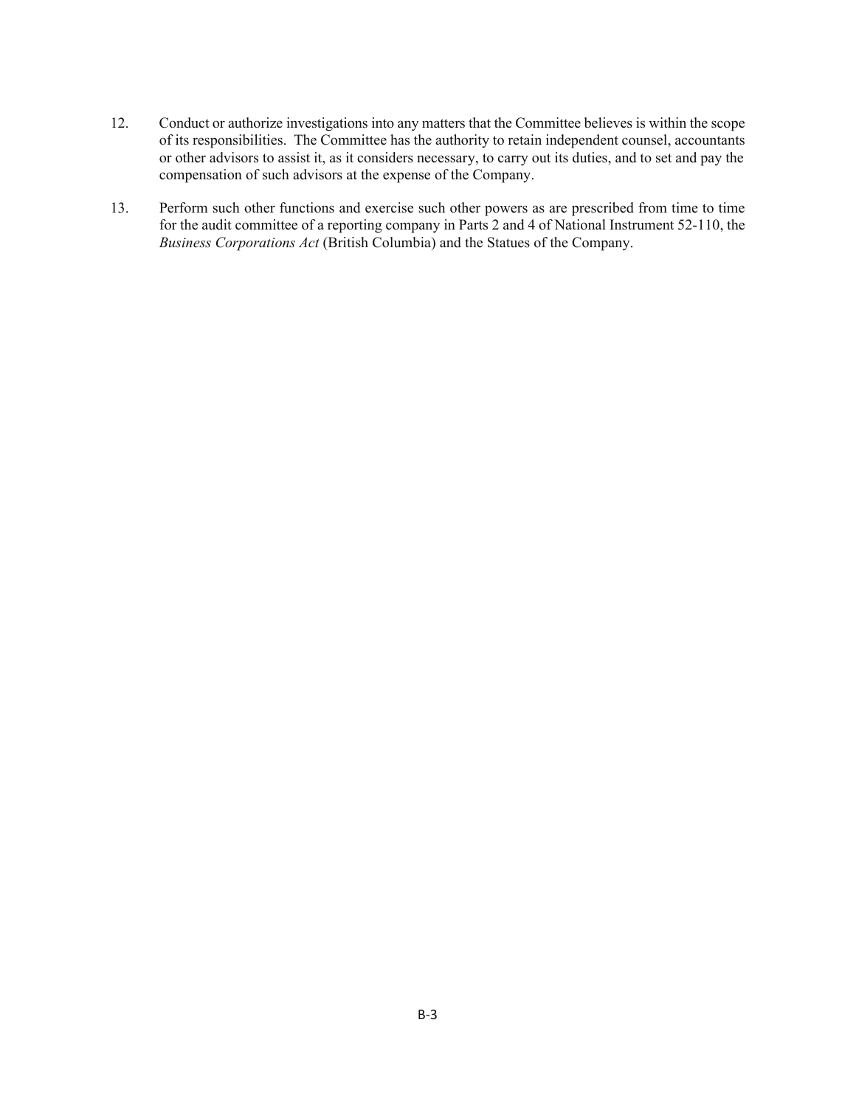- 12. Conduct or authorize investigations into any matters that the Committee believes is within the scope of its responsibilities. The Committee has the authority to retain independent counsel, accountants or other advisors to assist it, as it considers necessary, to carry out its duties, and to set and pay the compensation of such advisors at the expense of the Company.
- 13. Perform such other functions and exercise such other powers as are prescribed from time to time for the audit committee of a reporting company in Parts 2 and 4 of National Instrument 52-110, the *Business Corporations Act* (British Columbia) and the Statues of the Company.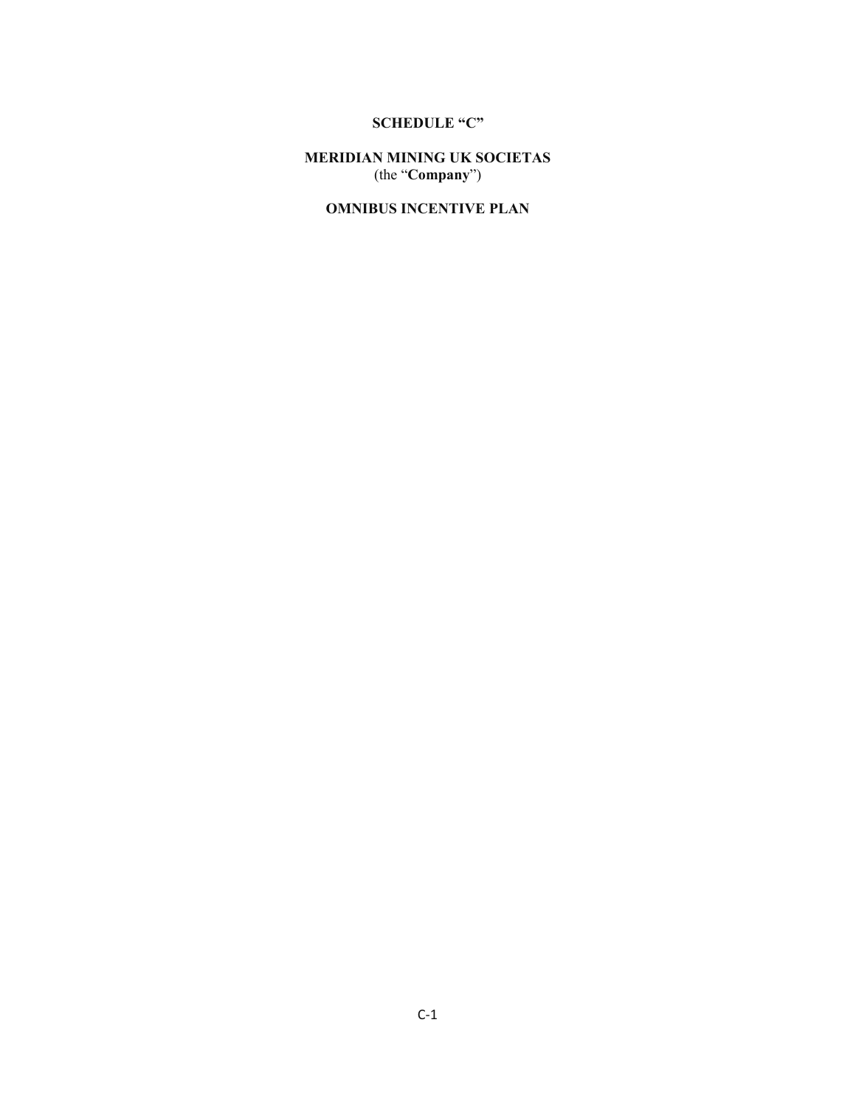# **SCHEDULE "C"**

**MERIDIAN MINING UK SOCIETAS**  (the "**Company**")

# **OMNIBUS INCENTIVE PLAN**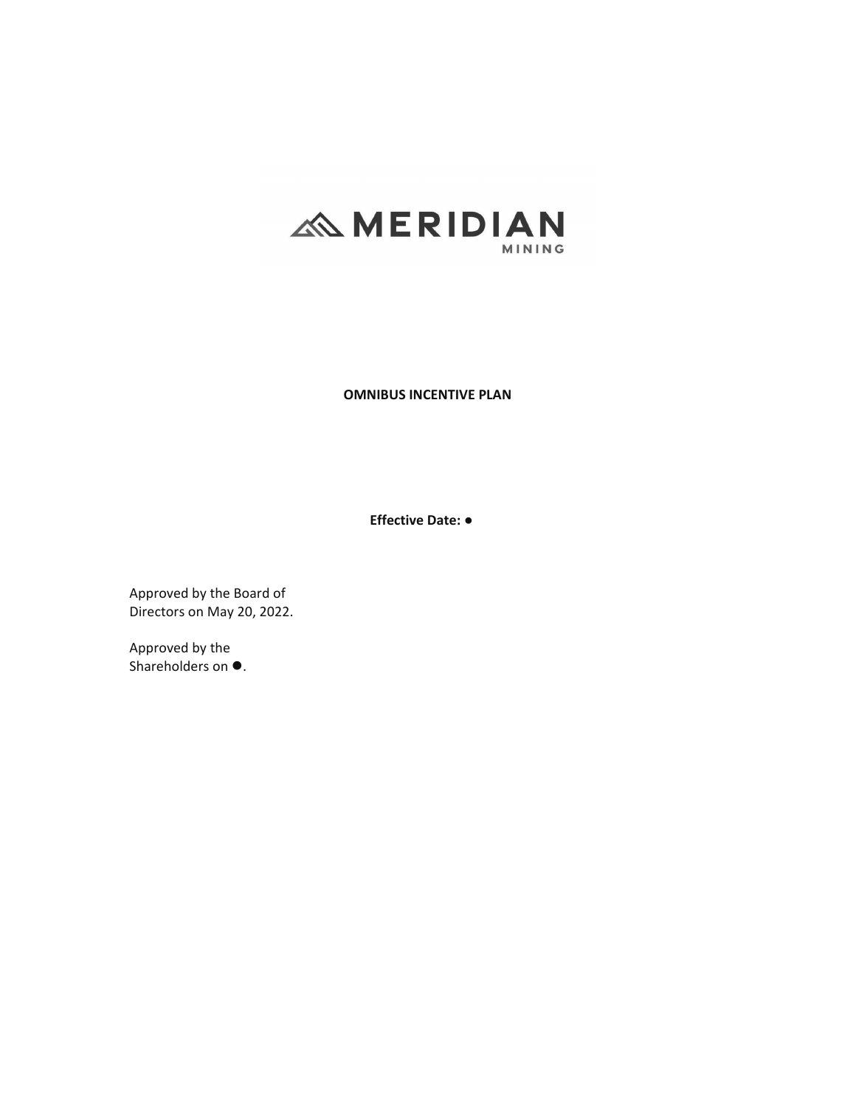# **ANERIDIAN MINING**

**OMNIBUS INCENTIVE PLAN**

**Effective Date:භ**

Approved by the Board of Directors on May 20, 2022.

Approved by the Shareholders on  $\bullet$ .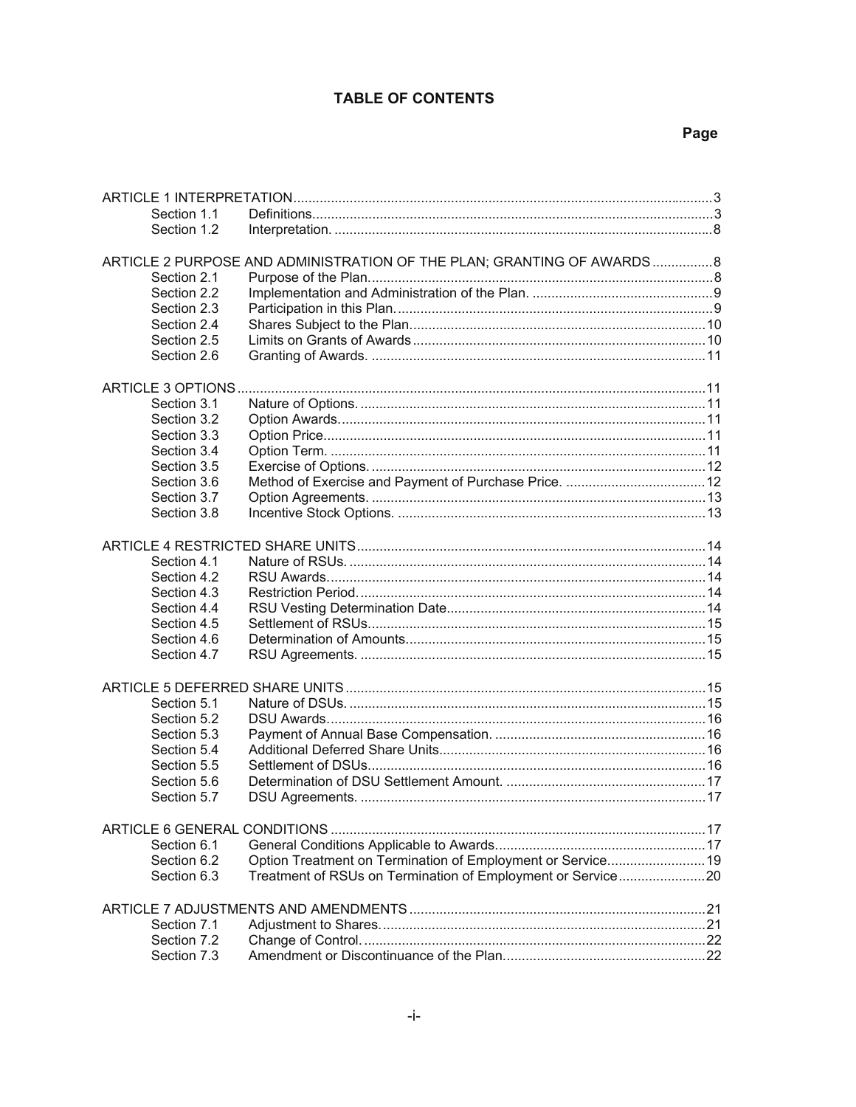# **TABLE OF CONTENTS**

| Section 1.1 |                                                                       |  |
|-------------|-----------------------------------------------------------------------|--|
| Section 1.2 |                                                                       |  |
|             |                                                                       |  |
|             | ARTICLE 2 PURPOSE AND ADMINISTRATION OF THE PLAN; GRANTING OF AWARDS8 |  |
| Section 2.1 |                                                                       |  |
| Section 2.2 |                                                                       |  |
| Section 2.3 |                                                                       |  |
| Section 2.4 |                                                                       |  |
| Section 2.5 |                                                                       |  |
| Section 2.6 |                                                                       |  |
|             |                                                                       |  |
|             |                                                                       |  |
| Section 3.1 |                                                                       |  |
| Section 3.2 |                                                                       |  |
| Section 3.3 |                                                                       |  |
| Section 3.4 |                                                                       |  |
| Section 3.5 |                                                                       |  |
| Section 3.6 |                                                                       |  |
| Section 3.7 |                                                                       |  |
| Section 3.8 |                                                                       |  |
|             |                                                                       |  |
| Section 4.1 |                                                                       |  |
| Section 4.2 |                                                                       |  |
| Section 4.3 |                                                                       |  |
| Section 4.4 |                                                                       |  |
| Section 4.5 |                                                                       |  |
| Section 4.6 |                                                                       |  |
| Section 4.7 |                                                                       |  |
|             |                                                                       |  |
|             |                                                                       |  |
| Section 5.1 |                                                                       |  |
| Section 5.2 |                                                                       |  |
| Section 5.3 |                                                                       |  |
| Section 5.4 |                                                                       |  |
| Section 5.5 |                                                                       |  |
| Section 5.6 |                                                                       |  |
| Section 5.7 |                                                                       |  |
|             |                                                                       |  |
|             |                                                                       |  |
| Section 6.1 |                                                                       |  |
| Section 6.2 | Option Treatment on Termination of Employment or Service19            |  |
| Section 6.3 | Treatment of RSUs on Termination of Employment or Service20           |  |
|             |                                                                       |  |
|             |                                                                       |  |
| Section 7.1 |                                                                       |  |
| Section 7.2 |                                                                       |  |
| Section 7.3 |                                                                       |  |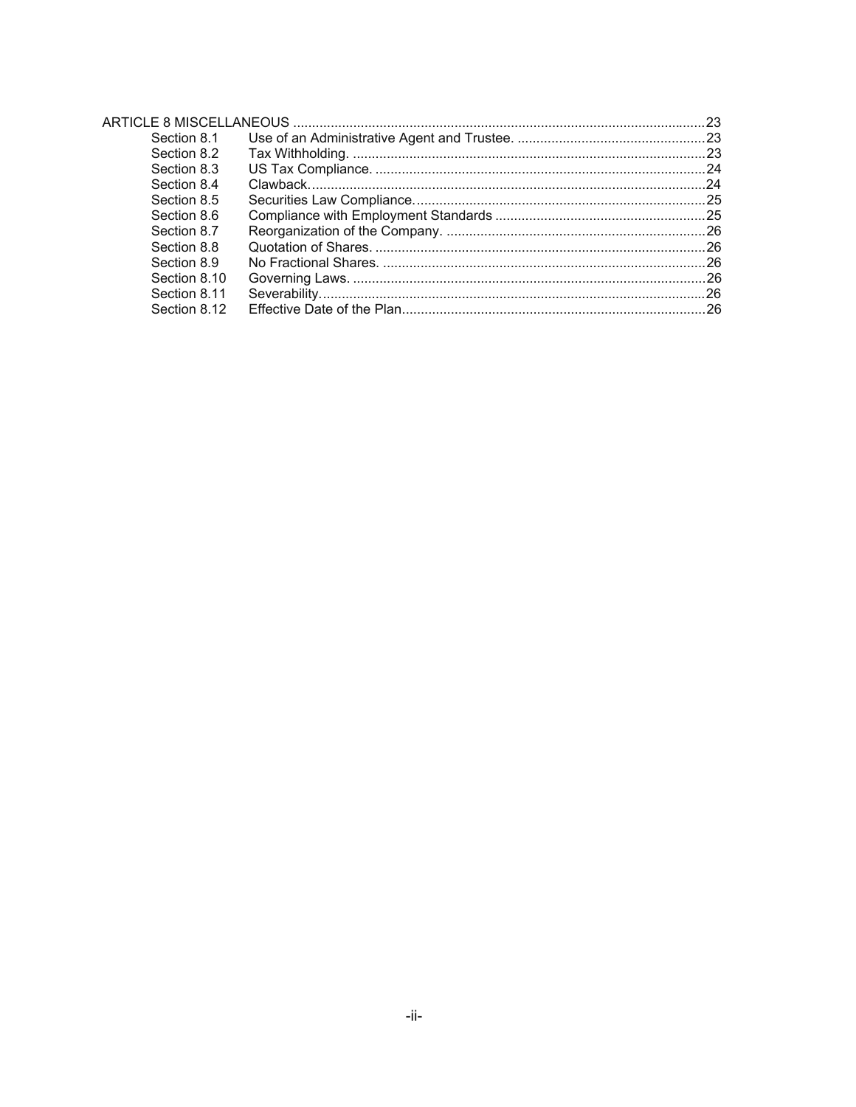| Section 8.1  |  |
|--------------|--|
| Section 8.2  |  |
| Section 8.3  |  |
| Section 8.4  |  |
| Section 8.5  |  |
| Section 8.6  |  |
| Section 8.7  |  |
| Section 8.8  |  |
| Section 8.9  |  |
| Section 8.10 |  |
| Section 8.11 |  |
| Section 8.12 |  |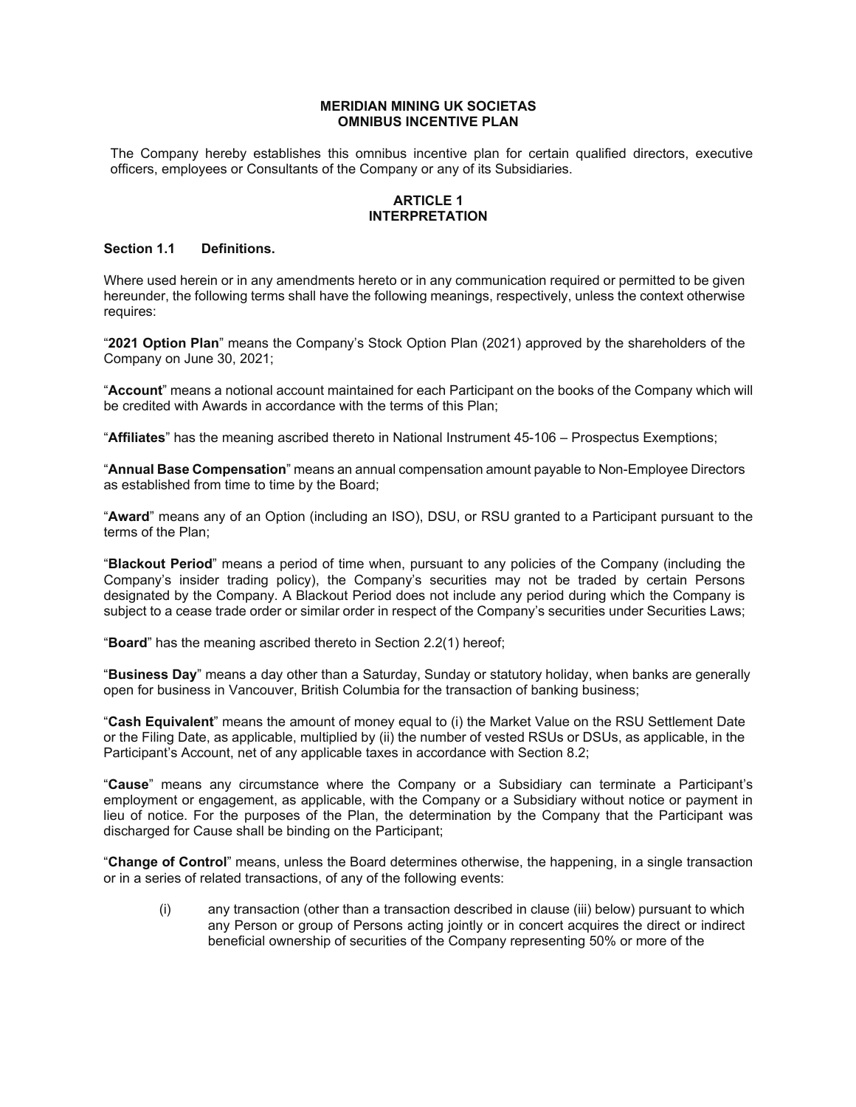#### **MERIDIAN MINING UK SOCIETAS OMNIBUS INCENTIVE PLAN**

The Company hereby establishes this omnibus incentive plan for certain qualified directors, executive officers, employees or Consultants of the Company or any of its Subsidiaries.

#### **ARTICLE 1 INTERPRETATION**

#### **Section 1.1 Definitions.**

Where used herein or in any amendments hereto or in any communication required or permitted to be given hereunder, the following terms shall have the following meanings, respectively, unless the context otherwise requires:

"**2021 Option Plan**" means the Company's Stock Option Plan (2021) approved by the shareholders of the Company on June 30, 2021;

"**Account**" means a notional account maintained for each Participant on the books of the Company which will be credited with Awards in accordance with the terms of this Plan;

"**Affiliates**" has the meaning ascribed thereto in National Instrument 45-106 – Prospectus Exemptions;

"**Annual Base Compensation**" means an annual compensation amount payable to Non-Employee Directors as established from time to time by the Board;

"**Award**" means any of an Option (including an ISO), DSU, or RSU granted to a Participant pursuant to the terms of the Plan;

"**Blackout Period**" means a period of time when, pursuant to any policies of the Company (including the Company's insider trading policy), the Company's securities may not be traded by certain Persons designated by the Company. A Blackout Period does not include any period during which the Company is subject to a cease trade order or similar order in respect of the Company's securities under Securities Laws;

"**Board**" has the meaning ascribed thereto in Section 2.2(1) hereof;

"**Business Day**" means a day other than a Saturday, Sunday or statutory holiday, when banks are generally open for business in Vancouver, British Columbia for the transaction of banking business;

"**Cash Equivalent**" means the amount of money equal to (i) the Market Value on the RSU Settlement Date or the Filing Date, as applicable, multiplied by (ii) the number of vested RSUs or DSUs, as applicable, in the Participant's Account, net of any applicable taxes in accordance with Section 8.2;

"**Cause**" means any circumstance where the Company or a Subsidiary can terminate a Participant's employment or engagement, as applicable, with the Company or a Subsidiary without notice or payment in lieu of notice. For the purposes of the Plan, the determination by the Company that the Participant was discharged for Cause shall be binding on the Participant;

"**Change of Control**" means, unless the Board determines otherwise, the happening, in a single transaction or in a series of related transactions, of any of the following events:

(i) any transaction (other than a transaction described in clause (iii) below) pursuant to which any Person or group of Persons acting jointly or in concert acquires the direct or indirect beneficial ownership of securities of the Company representing 50% or more of the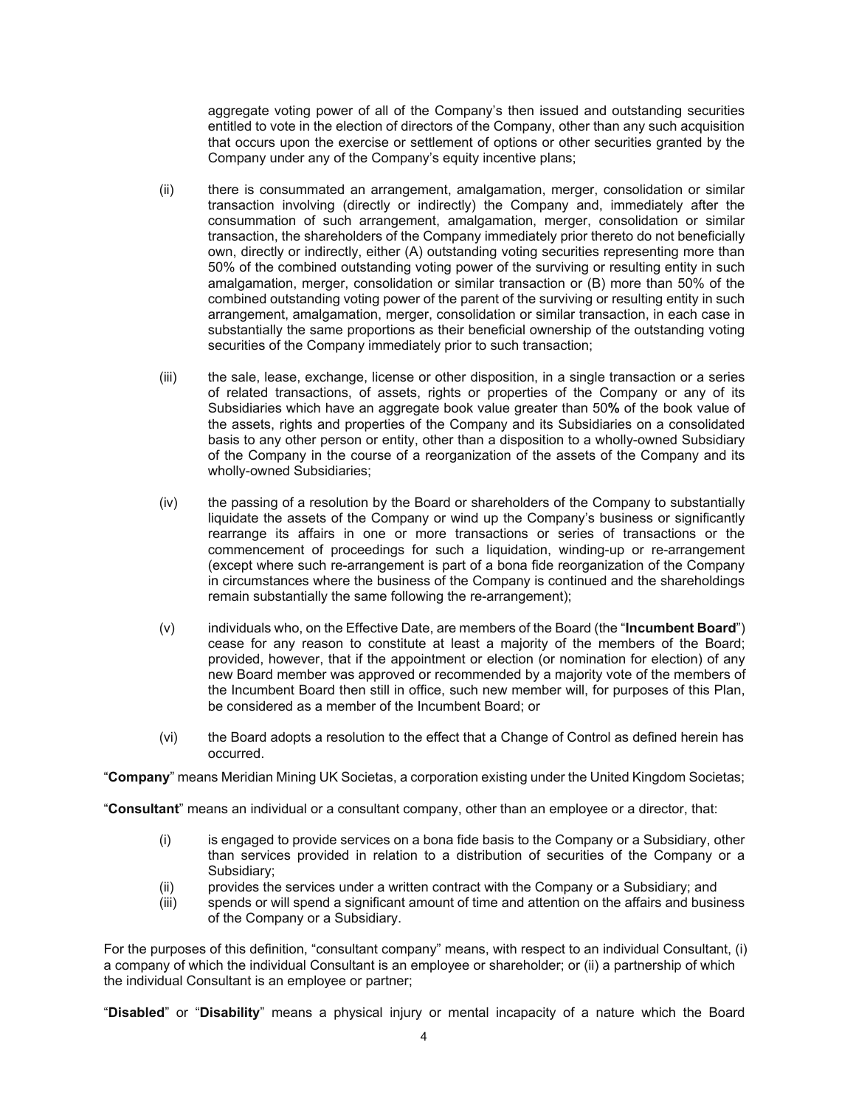aggregate voting power of all of the Company's then issued and outstanding securities entitled to vote in the election of directors of the Company, other than any such acquisition that occurs upon the exercise or settlement of options or other securities granted by the Company under any of the Company's equity incentive plans;

- (ii) there is consummated an arrangement, amalgamation, merger, consolidation or similar transaction involving (directly or indirectly) the Company and, immediately after the consummation of such arrangement, amalgamation, merger, consolidation or similar transaction, the shareholders of the Company immediately prior thereto do not beneficially own, directly or indirectly, either (A) outstanding voting securities representing more than 50% of the combined outstanding voting power of the surviving or resulting entity in such amalgamation, merger, consolidation or similar transaction or (B) more than 50% of the combined outstanding voting power of the parent of the surviving or resulting entity in such arrangement, amalgamation, merger, consolidation or similar transaction, in each case in substantially the same proportions as their beneficial ownership of the outstanding voting securities of the Company immediately prior to such transaction;
- (iii) the sale, lease, exchange, license or other disposition, in a single transaction or a series of related transactions, of assets, rights or properties of the Company or any of its Subsidiaries which have an aggregate book value greater than 50**%** of the book value of the assets, rights and properties of the Company and its Subsidiaries on a consolidated basis to any other person or entity, other than a disposition to a wholly-owned Subsidiary of the Company in the course of a reorganization of the assets of the Company and its wholly-owned Subsidiaries;
- (iv) the passing of a resolution by the Board or shareholders of the Company to substantially liquidate the assets of the Company or wind up the Company's business or significantly rearrange its affairs in one or more transactions or series of transactions or the commencement of proceedings for such a liquidation, winding-up or re-arrangement (except where such re-arrangement is part of a bona fide reorganization of the Company in circumstances where the business of the Company is continued and the shareholdings remain substantially the same following the re-arrangement);
- (v) individuals who, on the Effective Date, are members of the Board (the "**Incumbent Board**") cease for any reason to constitute at least a majority of the members of the Board; provided, however, that if the appointment or election (or nomination for election) of any new Board member was approved or recommended by a majority vote of the members of the Incumbent Board then still in office, such new member will, for purposes of this Plan, be considered as a member of the Incumbent Board; or
- (vi) the Board adopts a resolution to the effect that a Change of Control as defined herein has occurred.

"**Company**" means Meridian Mining UK Societas, a corporation existing under the United Kingdom Societas;

"**Consultant**" means an individual or a consultant company, other than an employee or a director, that:

- (i) is engaged to provide services on a bona fide basis to the Company or a Subsidiary, other than services provided in relation to a distribution of securities of the Company or a Subsidiary;
- (ii) provides the services under a written contract with the Company or a Subsidiary; and
- (iii) spends or will spend a significant amount of time and attention on the affairs and business of the Company or a Subsidiary.

For the purposes of this definition, "consultant company" means, with respect to an individual Consultant, (i) a company of which the individual Consultant is an employee or shareholder; or (ii) a partnership of which the individual Consultant is an employee or partner;

"**Disabled**" or "**Disability**" means a physical injury or mental incapacity of a nature which the Board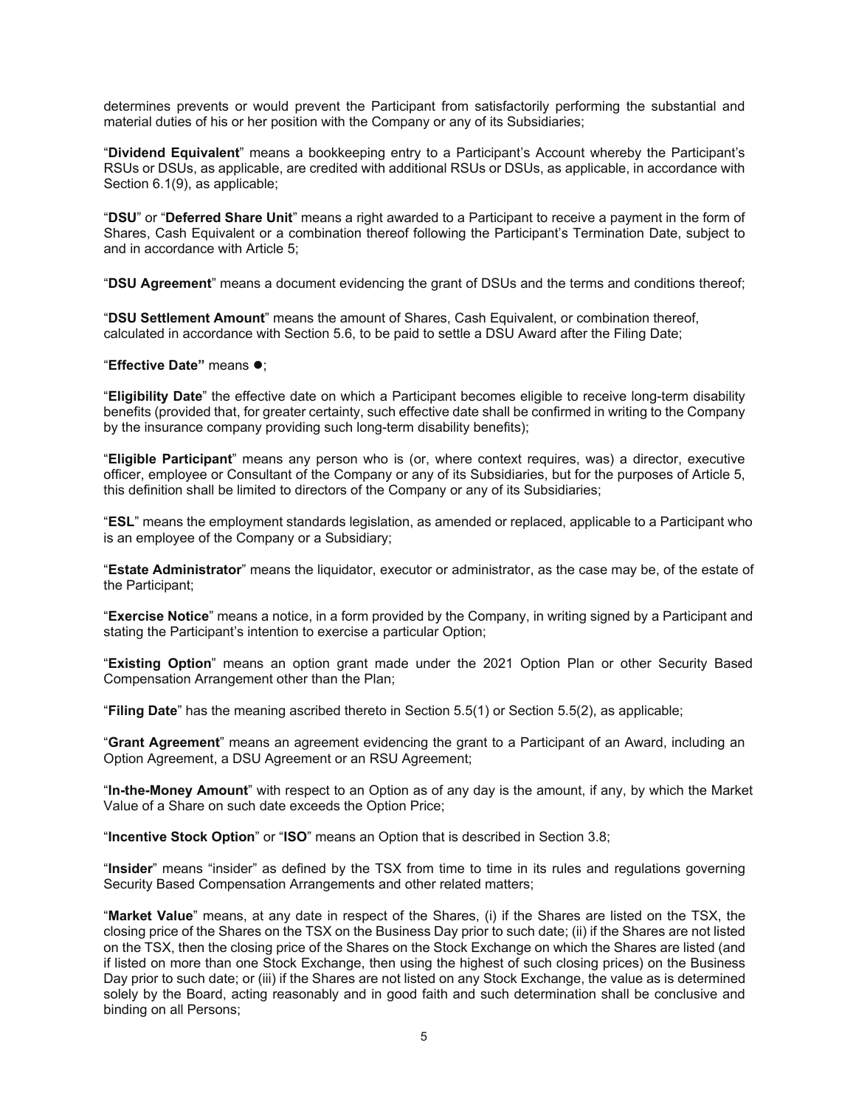determines prevents or would prevent the Participant from satisfactorily performing the substantial and material duties of his or her position with the Company or any of its Subsidiaries;

"**Dividend Equivalent**" means a bookkeeping entry to a Participant's Account whereby the Participant's RSUs or DSUs, as applicable, are credited with additional RSUs or DSUs, as applicable, in accordance with Section 6.1(9), as applicable;

"**DSU**" or "**Deferred Share Unit**" means a right awarded to a Participant to receive a payment in the form of Shares, Cash Equivalent or a combination thereof following the Participant's Termination Date, subject to and in accordance with Article 5;

"**DSU Agreement**" means a document evidencing the grant of DSUs and the terms and conditions thereof;

"**DSU Settlement Amount**" means the amount of Shares, Cash Equivalent, or combination thereof, calculated in accordance with Section 5.6, to be paid to settle a DSU Award after the Filing Date;

**"Effective Date" means**  $\bullet$ **:** 

"**Eligibility Date**" the effective date on which a Participant becomes eligible to receive long-term disability benefits (provided that, for greater certainty, such effective date shall be confirmed in writing to the Company by the insurance company providing such long-term disability benefits);

"**Eligible Participant**" means any person who is (or, where context requires, was) a director, executive officer, employee or Consultant of the Company or any of its Subsidiaries, but for the purposes of Article 5, this definition shall be limited to directors of the Company or any of its Subsidiaries;

"**ESL**" means the employment standards legislation, as amended or replaced, applicable to a Participant who is an employee of the Company or a Subsidiary;

"**Estate Administrator**" means the liquidator, executor or administrator, as the case may be, of the estate of the Participant;

"**Exercise Notice**" means a notice, in a form provided by the Company, in writing signed by a Participant and stating the Participant's intention to exercise a particular Option;

"**Existing Option**" means an option grant made under the 2021 Option Plan or other Security Based Compensation Arrangement other than the Plan;

"**Filing Date**" has the meaning ascribed thereto in Section 5.5(1) or Section 5.5(2), as applicable;

"**Grant Agreement**" means an agreement evidencing the grant to a Participant of an Award, including an Option Agreement, a DSU Agreement or an RSU Agreement;

"**In-the-Money Amount**" with respect to an Option as of any day is the amount, if any, by which the Market Value of a Share on such date exceeds the Option Price;

"**Incentive Stock Option**" or "**ISO**" means an Option that is described in Section 3.8;

"**Insider**" means "insider" as defined by the TSX from time to time in its rules and regulations governing Security Based Compensation Arrangements and other related matters;

"**Market Value**" means, at any date in respect of the Shares, (i) if the Shares are listed on the TSX, the closing price of the Shares on the TSX on the Business Day prior to such date; (ii) if the Shares are not listed on the TSX, then the closing price of the Shares on the Stock Exchange on which the Shares are listed (and if listed on more than one Stock Exchange, then using the highest of such closing prices) on the Business Day prior to such date; or (iii) if the Shares are not listed on any Stock Exchange, the value as is determined solely by the Board, acting reasonably and in good faith and such determination shall be conclusive and binding on all Persons;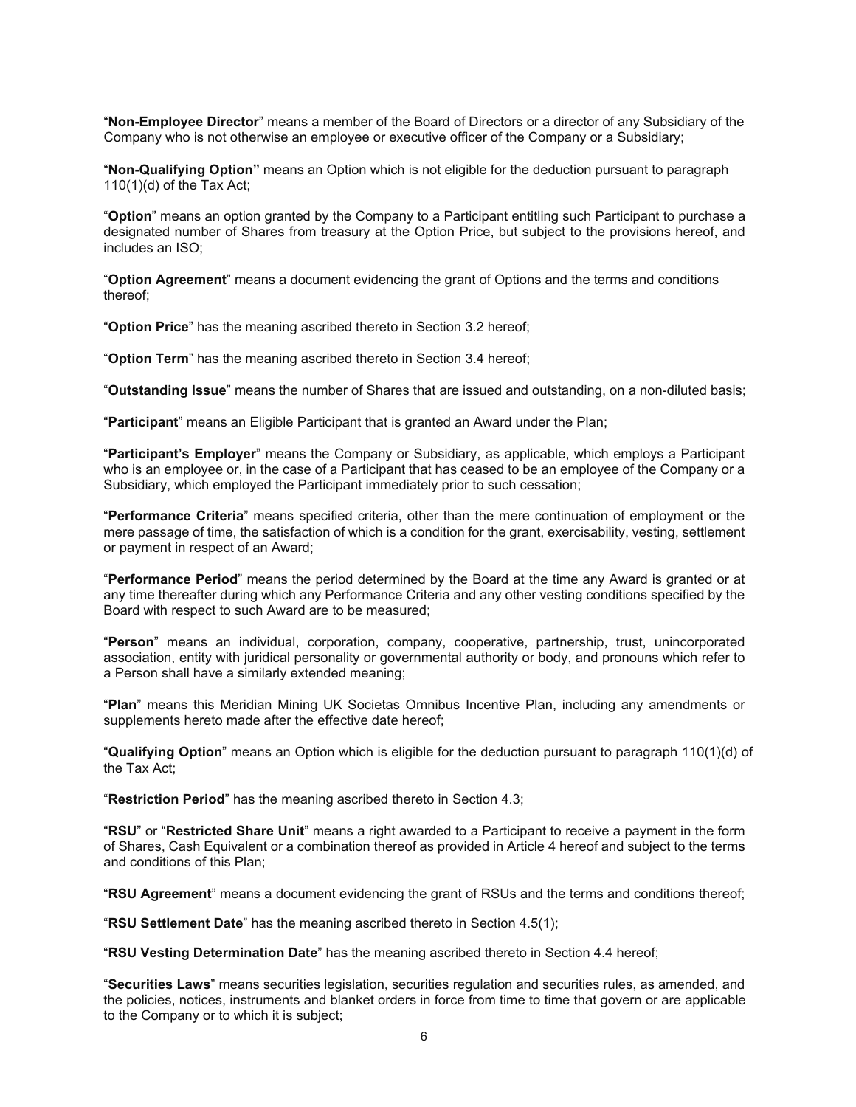"**Non-Employee Director**" means a member of the Board of Directors or a director of any Subsidiary of the Company who is not otherwise an employee or executive officer of the Company or a Subsidiary;

"**Non-Qualifying Option"** means an Option which is not eligible for the deduction pursuant to paragraph 110(1)(d) of the Tax Act;

"**Option**" means an option granted by the Company to a Participant entitling such Participant to purchase a designated number of Shares from treasury at the Option Price, but subject to the provisions hereof, and includes an ISO;

"**Option Agreement**" means a document evidencing the grant of Options and the terms and conditions thereof;

"**Option Price**" has the meaning ascribed thereto in Section 3.2 hereof;

"**Option Term**" has the meaning ascribed thereto in Section 3.4 hereof;

"**Outstanding Issue**" means the number of Shares that are issued and outstanding, on a non-diluted basis;

"**Participant**" means an Eligible Participant that is granted an Award under the Plan;

"**Participant's Employer**" means the Company or Subsidiary, as applicable, which employs a Participant who is an employee or, in the case of a Participant that has ceased to be an employee of the Company or a Subsidiary, which employed the Participant immediately prior to such cessation;

"**Performance Criteria**" means specified criteria, other than the mere continuation of employment or the mere passage of time, the satisfaction of which is a condition for the grant, exercisability, vesting, settlement or payment in respect of an Award;

"**Performance Period**" means the period determined by the Board at the time any Award is granted or at any time thereafter during which any Performance Criteria and any other vesting conditions specified by the Board with respect to such Award are to be measured;

"**Person**" means an individual, corporation, company, cooperative, partnership, trust, unincorporated association, entity with juridical personality or governmental authority or body, and pronouns which refer to a Person shall have a similarly extended meaning;

"**Plan**" means this Meridian Mining UK Societas Omnibus Incentive Plan, including any amendments or supplements hereto made after the effective date hereof;

"**Qualifying Option**" means an Option which is eligible for the deduction pursuant to paragraph 110(1)(d) of the Tax Act;

"**Restriction Period**" has the meaning ascribed thereto in Section 4.3;

"**RSU**" or "**Restricted Share Unit**" means a right awarded to a Participant to receive a payment in the form of Shares, Cash Equivalent or a combination thereof as provided in Article 4 hereof and subject to the terms and conditions of this Plan;

"**RSU Agreement**" means a document evidencing the grant of RSUs and the terms and conditions thereof;

"**RSU Settlement Date**" has the meaning ascribed thereto in Section 4.5(1);

"**RSU Vesting Determination Date**" has the meaning ascribed thereto in Section 4.4 hereof;

"**Securities Laws**" means securities legislation, securities regulation and securities rules, as amended, and the policies, notices, instruments and blanket orders in force from time to time that govern or are applicable to the Company or to which it is subject;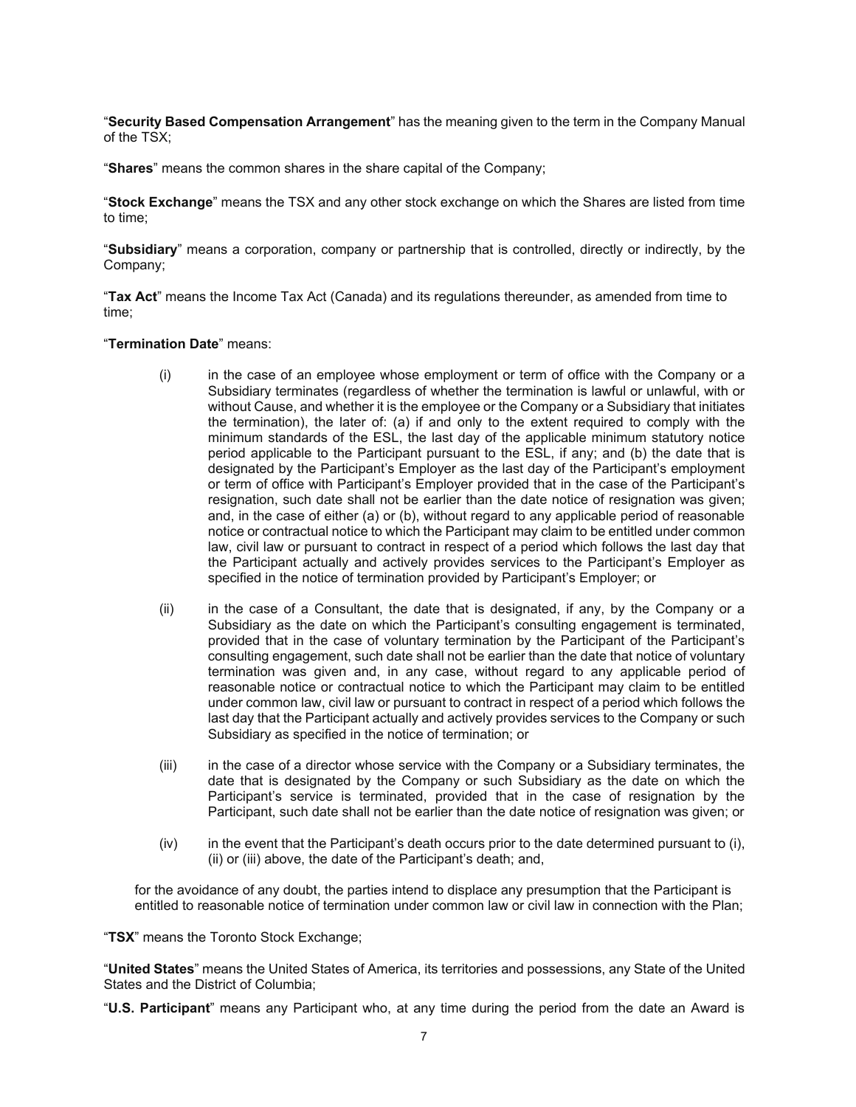"**Security Based Compensation Arrangement**" has the meaning given to the term in the Company Manual of the TSX;

"**Shares**" means the common shares in the share capital of the Company;

"**Stock Exchange**" means the TSX and any other stock exchange on which the Shares are listed from time to time;

"**Subsidiary**" means a corporation, company or partnership that is controlled, directly or indirectly, by the Company;

"**Tax Act**" means the Income Tax Act (Canada) and its regulations thereunder, as amended from time to time;

#### "**Termination Date**" means:

- (i) in the case of an employee whose employment or term of office with the Company or a Subsidiary terminates (regardless of whether the termination is lawful or unlawful, with or without Cause, and whether it is the employee or the Company or a Subsidiary that initiates the termination), the later of: (a) if and only to the extent required to comply with the minimum standards of the ESL, the last day of the applicable minimum statutory notice period applicable to the Participant pursuant to the ESL, if any; and (b) the date that is designated by the Participant's Employer as the last day of the Participant's employment or term of office with Participant's Employer provided that in the case of the Participant's resignation, such date shall not be earlier than the date notice of resignation was given; and, in the case of either (a) or (b), without regard to any applicable period of reasonable notice or contractual notice to which the Participant may claim to be entitled under common law, civil law or pursuant to contract in respect of a period which follows the last day that the Participant actually and actively provides services to the Participant's Employer as specified in the notice of termination provided by Participant's Employer; or
- (ii) in the case of a Consultant, the date that is designated, if any, by the Company or a Subsidiary as the date on which the Participant's consulting engagement is terminated, provided that in the case of voluntary termination by the Participant of the Participant's consulting engagement, such date shall not be earlier than the date that notice of voluntary termination was given and, in any case, without regard to any applicable period of reasonable notice or contractual notice to which the Participant may claim to be entitled under common law, civil law or pursuant to contract in respect of a period which follows the last day that the Participant actually and actively provides services to the Company or such Subsidiary as specified in the notice of termination; or
- (iii) in the case of a director whose service with the Company or a Subsidiary terminates, the date that is designated by the Company or such Subsidiary as the date on which the Participant's service is terminated, provided that in the case of resignation by the Participant, such date shall not be earlier than the date notice of resignation was given; or
- (iv) in the event that the Participant's death occurs prior to the date determined pursuant to (i), (ii) or (iii) above, the date of the Participant's death; and,

for the avoidance of any doubt, the parties intend to displace any presumption that the Participant is entitled to reasonable notice of termination under common law or civil law in connection with the Plan;

"**TSX**" means the Toronto Stock Exchange;

"**United States**" means the United States of America, its territories and possessions, any State of the United States and the District of Columbia;

"**U.S. Participant**" means any Participant who, at any time during the period from the date an Award is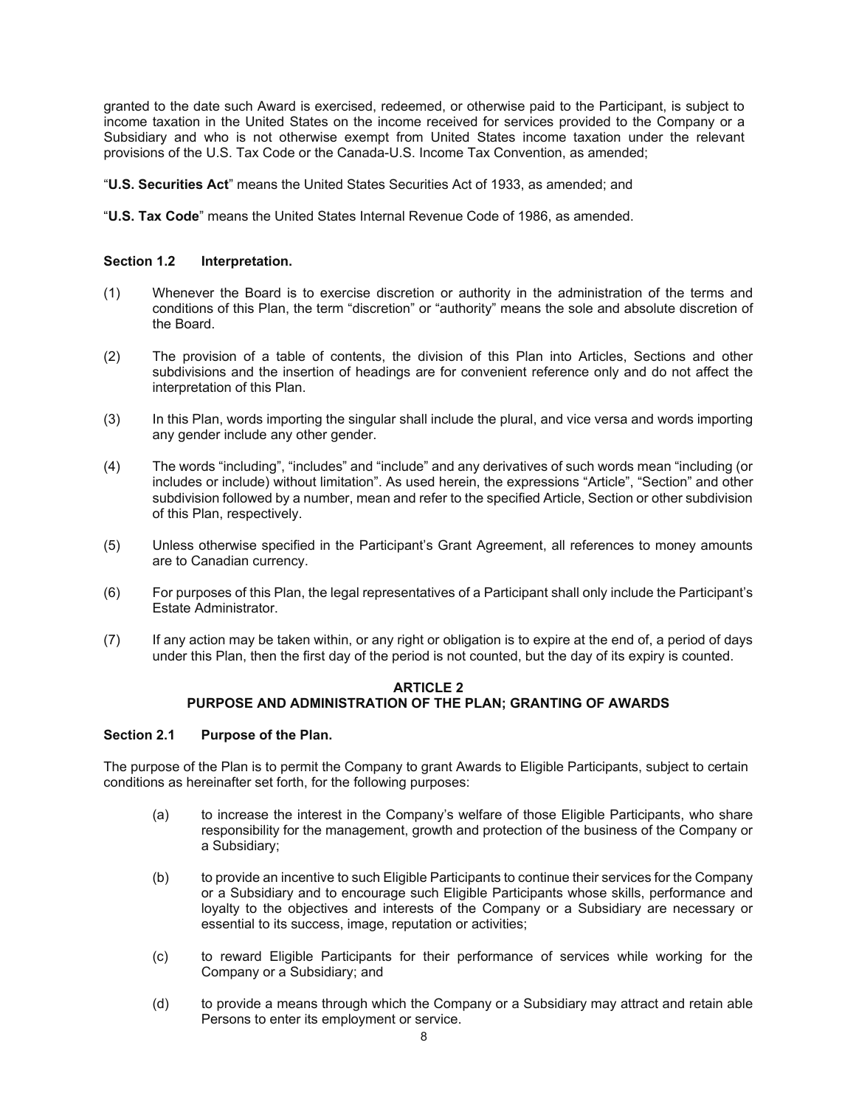granted to the date such Award is exercised, redeemed, or otherwise paid to the Participant, is subject to income taxation in the United States on the income received for services provided to the Company or a Subsidiary and who is not otherwise exempt from United States income taxation under the relevant provisions of the U.S. Tax Code or the Canada-U.S. Income Tax Convention, as amended;

"**U.S. Securities Act**" means the United States Securities Act of 1933, as amended; and

"**U.S. Tax Code**" means the United States Internal Revenue Code of 1986, as amended.

#### **Section 1.2 Interpretation.**

- (1) Whenever the Board is to exercise discretion or authority in the administration of the terms and conditions of this Plan, the term "discretion" or "authority" means the sole and absolute discretion of the Board.
- (2) The provision of a table of contents, the division of this Plan into Articles, Sections and other subdivisions and the insertion of headings are for convenient reference only and do not affect the interpretation of this Plan.
- (3) In this Plan, words importing the singular shall include the plural, and vice versa and words importing any gender include any other gender.
- (4) The words "including", "includes" and "include" and any derivatives of such words mean "including (or includes or include) without limitation". As used herein, the expressions "Article", "Section" and other subdivision followed by a number, mean and refer to the specified Article, Section or other subdivision of this Plan, respectively.
- (5) Unless otherwise specified in the Participant's Grant Agreement, all references to money amounts are to Canadian currency.
- (6) For purposes of this Plan, the legal representatives of a Participant shall only include the Participant's Estate Administrator.
- (7) If any action may be taken within, or any right or obligation is to expire at the end of, a period of days under this Plan, then the first day of the period is not counted, but the day of its expiry is counted.

#### **ARTICLE 2 PURPOSE AND ADMINISTRATION OF THE PLAN; GRANTING OF AWARDS**

#### **Section 2.1 Purpose of the Plan.**

The purpose of the Plan is to permit the Company to grant Awards to Eligible Participants, subject to certain conditions as hereinafter set forth, for the following purposes:

- (a) to increase the interest in the Company's welfare of those Eligible Participants, who share responsibility for the management, growth and protection of the business of the Company or a Subsidiary;
- (b) to provide an incentive to such Eligible Participants to continue their services for the Company or a Subsidiary and to encourage such Eligible Participants whose skills, performance and loyalty to the objectives and interests of the Company or a Subsidiary are necessary or essential to its success, image, reputation or activities;
- (c) to reward Eligible Participants for their performance of services while working for the Company or a Subsidiary; and
- (d) to provide a means through which the Company or a Subsidiary may attract and retain able Persons to enter its employment or service.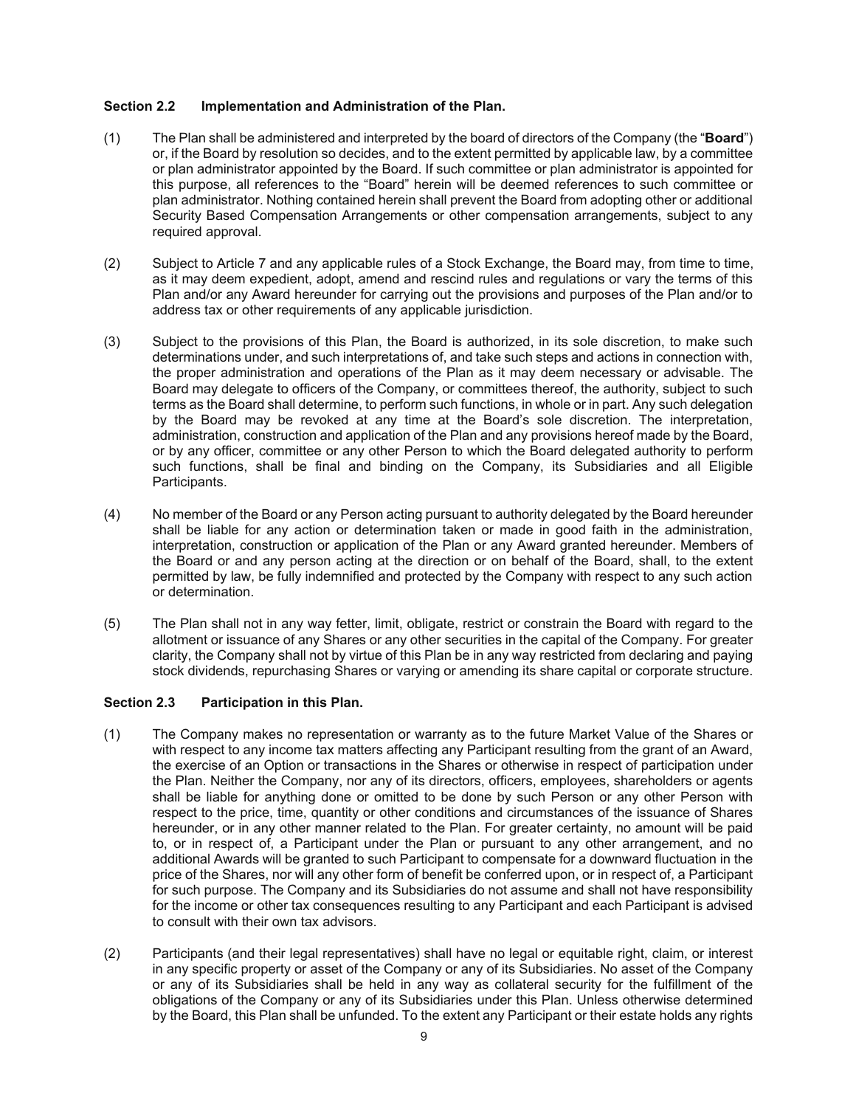#### **Section 2.2 Implementation and Administration of the Plan.**

- (1) The Plan shall be administered and interpreted by the board of directors of the Company (the "**Board**") or, if the Board by resolution so decides, and to the extent permitted by applicable law, by a committee or plan administrator appointed by the Board. If such committee or plan administrator is appointed for this purpose, all references to the "Board" herein will be deemed references to such committee or plan administrator. Nothing contained herein shall prevent the Board from adopting other or additional Security Based Compensation Arrangements or other compensation arrangements, subject to any required approval.
- (2) Subject to Article 7 and any applicable rules of a Stock Exchange, the Board may, from time to time, as it may deem expedient, adopt, amend and rescind rules and regulations or vary the terms of this Plan and/or any Award hereunder for carrying out the provisions and purposes of the Plan and/or to address tax or other requirements of any applicable jurisdiction.
- (3) Subject to the provisions of this Plan, the Board is authorized, in its sole discretion, to make such determinations under, and such interpretations of, and take such steps and actions in connection with, the proper administration and operations of the Plan as it may deem necessary or advisable. The Board may delegate to officers of the Company, or committees thereof, the authority, subject to such terms as the Board shall determine, to perform such functions, in whole or in part. Any such delegation by the Board may be revoked at any time at the Board's sole discretion. The interpretation, administration, construction and application of the Plan and any provisions hereof made by the Board, or by any officer, committee or any other Person to which the Board delegated authority to perform such functions, shall be final and binding on the Company, its Subsidiaries and all Eligible Participants.
- (4) No member of the Board or any Person acting pursuant to authority delegated by the Board hereunder shall be liable for any action or determination taken or made in good faith in the administration, interpretation, construction or application of the Plan or any Award granted hereunder. Members of the Board or and any person acting at the direction or on behalf of the Board, shall, to the extent permitted by law, be fully indemnified and protected by the Company with respect to any such action or determination.
- (5) The Plan shall not in any way fetter, limit, obligate, restrict or constrain the Board with regard to the allotment or issuance of any Shares or any other securities in the capital of the Company. For greater clarity, the Company shall not by virtue of this Plan be in any way restricted from declaring and paying stock dividends, repurchasing Shares or varying or amending its share capital or corporate structure.

## **Section 2.3 Participation in this Plan.**

- (1) The Company makes no representation or warranty as to the future Market Value of the Shares or with respect to any income tax matters affecting any Participant resulting from the grant of an Award, the exercise of an Option or transactions in the Shares or otherwise in respect of participation under the Plan. Neither the Company, nor any of its directors, officers, employees, shareholders or agents shall be liable for anything done or omitted to be done by such Person or any other Person with respect to the price, time, quantity or other conditions and circumstances of the issuance of Shares hereunder, or in any other manner related to the Plan. For greater certainty, no amount will be paid to, or in respect of, a Participant under the Plan or pursuant to any other arrangement, and no additional Awards will be granted to such Participant to compensate for a downward fluctuation in the price of the Shares, nor will any other form of benefit be conferred upon, or in respect of, a Participant for such purpose. The Company and its Subsidiaries do not assume and shall not have responsibility for the income or other tax consequences resulting to any Participant and each Participant is advised to consult with their own tax advisors.
- (2) Participants (and their legal representatives) shall have no legal or equitable right, claim, or interest in any specific property or asset of the Company or any of its Subsidiaries. No asset of the Company or any of its Subsidiaries shall be held in any way as collateral security for the fulfillment of the obligations of the Company or any of its Subsidiaries under this Plan. Unless otherwise determined by the Board, this Plan shall be unfunded. To the extent any Participant or their estate holds any rights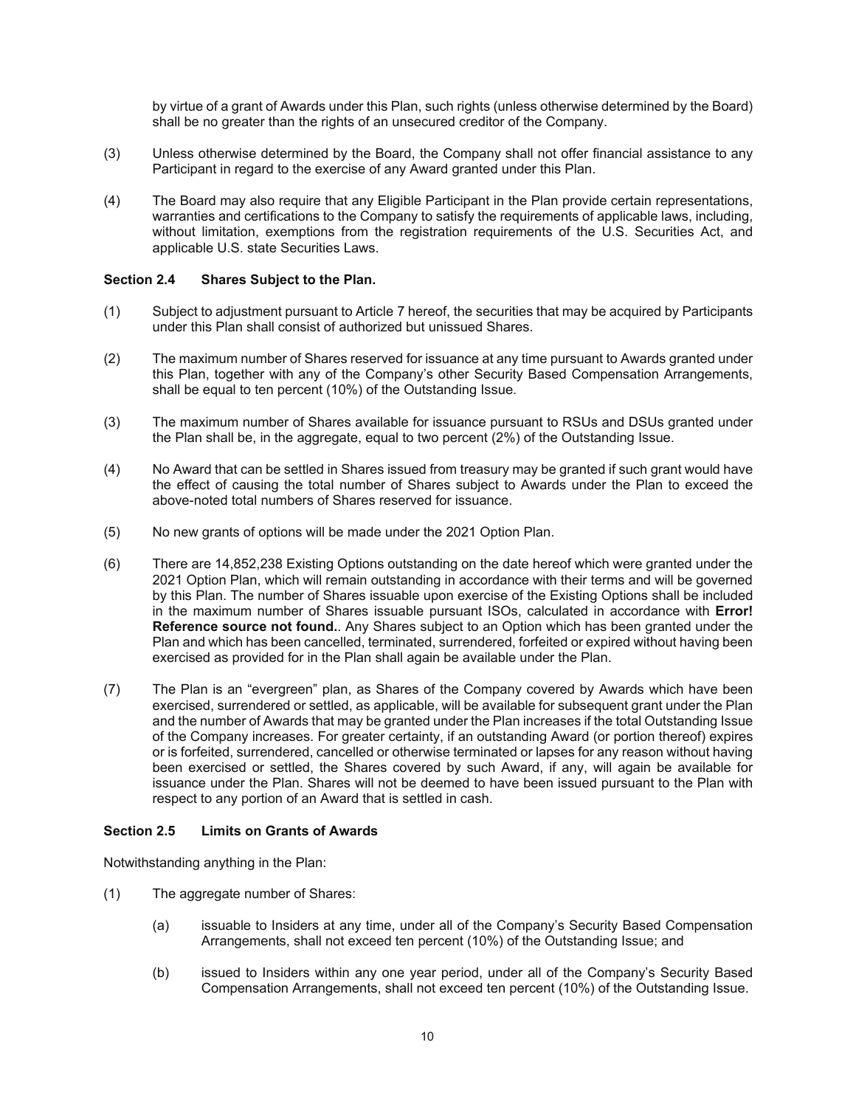by virtue of a grant of Awards under this Plan, such rights (unless otherwise determined by the Board) shall be no greater than the rights of an unsecured creditor of the Company.

- (3) Unless otherwise determined by the Board, the Company shall not offer financial assistance to any Participant in regard to the exercise of any Award granted under this Plan.
- (4) The Board may also require that any Eligible Participant in the Plan provide certain representations, warranties and certifications to the Company to satisfy the requirements of applicable laws, including, without limitation, exemptions from the registration requirements of the U.S. Securities Act, and applicable U.S. state Securities Laws.

#### **Section 2.4 Shares Subject to the Plan.**

- (1) Subject to adjustment pursuant to Article 7 hereof, the securities that may be acquired by Participants under this Plan shall consist of authorized but unissued Shares.
- (2) The maximum number of Shares reserved for issuance at any time pursuant to Awards granted under this Plan, together with any of the Company's other Security Based Compensation Arrangements, shall be equal to ten percent (10%) of the Outstanding Issue.
- (3) The maximum number of Shares available for issuance pursuant to RSUs and DSUs granted under the Plan shall be, in the aggregate, equal to two percent (2%) of the Outstanding Issue.
- (4) No Award that can be settled in Shares issued from treasury may be granted if such grant would have the effect of causing the total number of Shares subject to Awards under the Plan to exceed the above-noted total numbers of Shares reserved for issuance.
- (5) No new grants of options will be made under the 2021 Option Plan*.*
- (6) There are 14,852,238 Existing Options outstanding on the date hereof which were granted under the 2021 Option Plan, which will remain outstanding in accordance with their terms and will be governed by this Plan. The number of Shares issuable upon exercise of the Existing Options shall be included in the maximum number of Shares issuable pursuant ISOs, calculated in accordance with **Error! Reference source not found.**. Any Shares subject to an Option which has been granted under the Plan and which has been cancelled, terminated, surrendered, forfeited or expired without having been exercised as provided for in the Plan shall again be available under the Plan.
- (7) The Plan is an "evergreen" plan, as Shares of the Company covered by Awards which have been exercised, surrendered or settled, as applicable, will be available for subsequent grant under the Plan and the number of Awards that may be granted under the Plan increases if the total Outstanding Issue of the Company increases. For greater certainty, if an outstanding Award (or portion thereof) expires or is forfeited, surrendered, cancelled or otherwise terminated or lapses for any reason without having been exercised or settled, the Shares covered by such Award, if any, will again be available for issuance under the Plan. Shares will not be deemed to have been issued pursuant to the Plan with respect to any portion of an Award that is settled in cash.

#### **Section 2.5 Limits on Grants of Awards**

Notwithstanding anything in the Plan:

- (1) The aggregate number of Shares:
	- (a) issuable to Insiders at any time, under all of the Company's Security Based Compensation Arrangements, shall not exceed ten percent (10%) of the Outstanding Issue; and
	- (b) issued to Insiders within any one year period, under all of the Company's Security Based Compensation Arrangements, shall not exceed ten percent (10%) of the Outstanding Issue.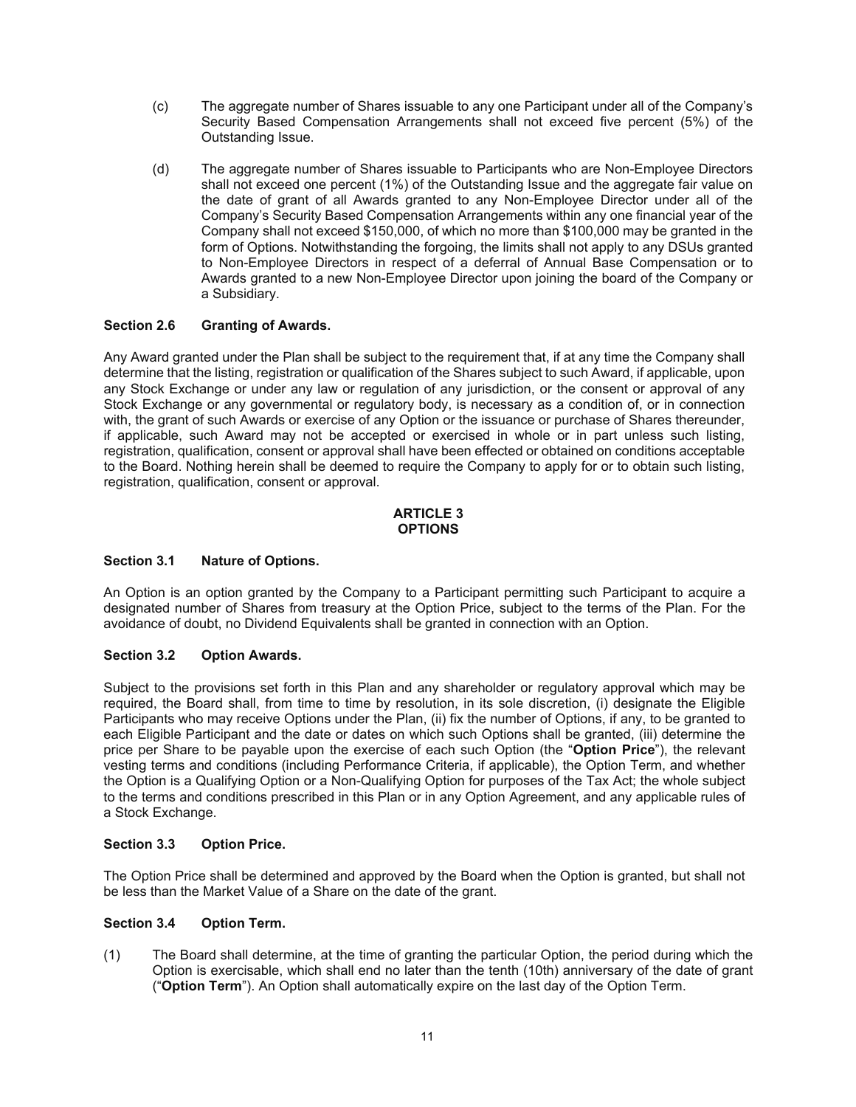- (c) The aggregate number of Shares issuable to any one Participant under all of the Company's Security Based Compensation Arrangements shall not exceed five percent (5%) of the Outstanding Issue.
- (d) The aggregate number of Shares issuable to Participants who are Non-Employee Directors shall not exceed one percent (1%) of the Outstanding Issue and the aggregate fair value on the date of grant of all Awards granted to any Non-Employee Director under all of the Company's Security Based Compensation Arrangements within any one financial year of the Company shall not exceed \$150,000, of which no more than \$100,000 may be granted in the form of Options. Notwithstanding the forgoing, the limits shall not apply to any DSUs granted to Non-Employee Directors in respect of a deferral of Annual Base Compensation or to Awards granted to a new Non-Employee Director upon joining the board of the Company or a Subsidiary.

## **Section 2.6 Granting of Awards.**

Any Award granted under the Plan shall be subject to the requirement that, if at any time the Company shall determine that the listing, registration or qualification of the Shares subject to such Award, if applicable, upon any Stock Exchange or under any law or regulation of any jurisdiction, or the consent or approval of any Stock Exchange or any governmental or regulatory body, is necessary as a condition of, or in connection with, the grant of such Awards or exercise of any Option or the issuance or purchase of Shares thereunder, if applicable, such Award may not be accepted or exercised in whole or in part unless such listing, registration, qualification, consent or approval shall have been effected or obtained on conditions acceptable to the Board. Nothing herein shall be deemed to require the Company to apply for or to obtain such listing, registration, qualification, consent or approval.

#### **ARTICLE 3 OPTIONS**

# **Section 3.1 Nature of Options.**

An Option is an option granted by the Company to a Participant permitting such Participant to acquire a designated number of Shares from treasury at the Option Price, subject to the terms of the Plan. For the avoidance of doubt, no Dividend Equivalents shall be granted in connection with an Option.

## **Section 3.2 Option Awards.**

Subject to the provisions set forth in this Plan and any shareholder or regulatory approval which may be required, the Board shall, from time to time by resolution, in its sole discretion, (i) designate the Eligible Participants who may receive Options under the Plan, (ii) fix the number of Options, if any, to be granted to each Eligible Participant and the date or dates on which such Options shall be granted, (iii) determine the price per Share to be payable upon the exercise of each such Option (the "**Option Price**"), the relevant vesting terms and conditions (including Performance Criteria, if applicable), the Option Term, and whether the Option is a Qualifying Option or a Non-Qualifying Option for purposes of the Tax Act; the whole subject to the terms and conditions prescribed in this Plan or in any Option Agreement, and any applicable rules of a Stock Exchange.

## **Section 3.3 Option Price.**

The Option Price shall be determined and approved by the Board when the Option is granted, but shall not be less than the Market Value of a Share on the date of the grant.

## **Section 3.4 Option Term.**

(1) The Board shall determine, at the time of granting the particular Option, the period during which the Option is exercisable, which shall end no later than the tenth (10th) anniversary of the date of grant ("**Option Term**"). An Option shall automatically expire on the last day of the Option Term.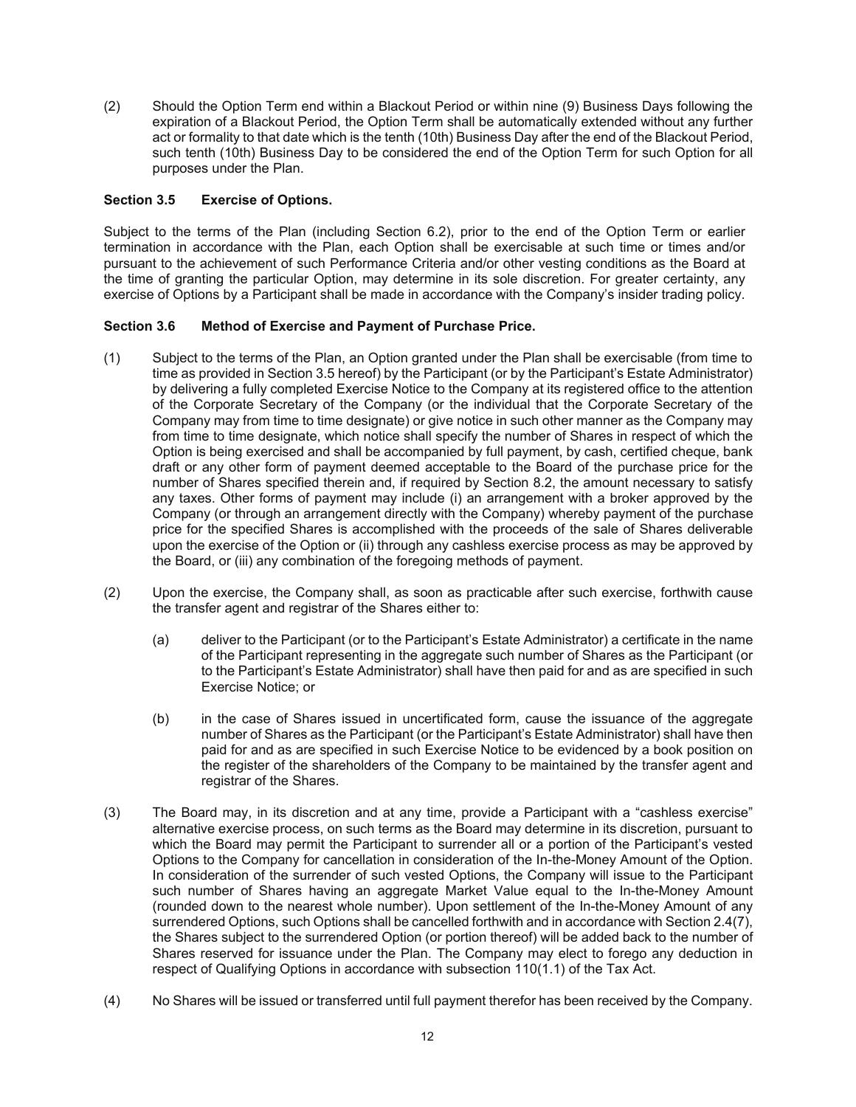(2) Should the Option Term end within a Blackout Period or within nine (9) Business Days following the expiration of a Blackout Period, the Option Term shall be automatically extended without any further act or formality to that date which is the tenth (10th) Business Day after the end of the Blackout Period, such tenth (10th) Business Day to be considered the end of the Option Term for such Option for all purposes under the Plan.

# **Section 3.5 Exercise of Options.**

Subject to the terms of the Plan (including Section 6.2), prior to the end of the Option Term or earlier termination in accordance with the Plan, each Option shall be exercisable at such time or times and/or pursuant to the achievement of such Performance Criteria and/or other vesting conditions as the Board at the time of granting the particular Option, may determine in its sole discretion. For greater certainty, any exercise of Options by a Participant shall be made in accordance with the Company's insider trading policy.

# **Section 3.6 Method of Exercise and Payment of Purchase Price.**

- (1) Subject to the terms of the Plan, an Option granted under the Plan shall be exercisable (from time to time as provided in Section 3.5 hereof) by the Participant (or by the Participant's Estate Administrator) by delivering a fully completed Exercise Notice to the Company at its registered office to the attention of the Corporate Secretary of the Company (or the individual that the Corporate Secretary of the Company may from time to time designate) or give notice in such other manner as the Company may from time to time designate, which notice shall specify the number of Shares in respect of which the Option is being exercised and shall be accompanied by full payment, by cash, certified cheque, bank draft or any other form of payment deemed acceptable to the Board of the purchase price for the number of Shares specified therein and, if required by Section 8.2, the amount necessary to satisfy any taxes. Other forms of payment may include (i) an arrangement with a broker approved by the Company (or through an arrangement directly with the Company) whereby payment of the purchase price for the specified Shares is accomplished with the proceeds of the sale of Shares deliverable upon the exercise of the Option or (ii) through any cashless exercise process as may be approved by the Board, or (iii) any combination of the foregoing methods of payment.
- (2) Upon the exercise, the Company shall, as soon as practicable after such exercise, forthwith cause the transfer agent and registrar of the Shares either to:
	- (a) deliver to the Participant (or to the Participant's Estate Administrator) a certificate in the name of the Participant representing in the aggregate such number of Shares as the Participant (or to the Participant's Estate Administrator) shall have then paid for and as are specified in such Exercise Notice; or
	- (b) in the case of Shares issued in uncertificated form, cause the issuance of the aggregate number of Shares as the Participant (or the Participant's Estate Administrator) shall have then paid for and as are specified in such Exercise Notice to be evidenced by a book position on the register of the shareholders of the Company to be maintained by the transfer agent and registrar of the Shares.
- (3) The Board may, in its discretion and at any time, provide a Participant with a "cashless exercise" alternative exercise process, on such terms as the Board may determine in its discretion, pursuant to which the Board may permit the Participant to surrender all or a portion of the Participant's vested Options to the Company for cancellation in consideration of the In-the-Money Amount of the Option. In consideration of the surrender of such vested Options, the Company will issue to the Participant such number of Shares having an aggregate Market Value equal to the In-the-Money Amount (rounded down to the nearest whole number). Upon settlement of the In-the-Money Amount of any surrendered Options, such Options shall be cancelled forthwith and in accordance with Section 2.4(7), the Shares subject to the surrendered Option (or portion thereof) will be added back to the number of Shares reserved for issuance under the Plan. The Company may elect to forego any deduction in respect of Qualifying Options in accordance with subsection 110(1.1) of the Tax Act.
- (4) No Shares will be issued or transferred until full payment therefor has been received by the Company.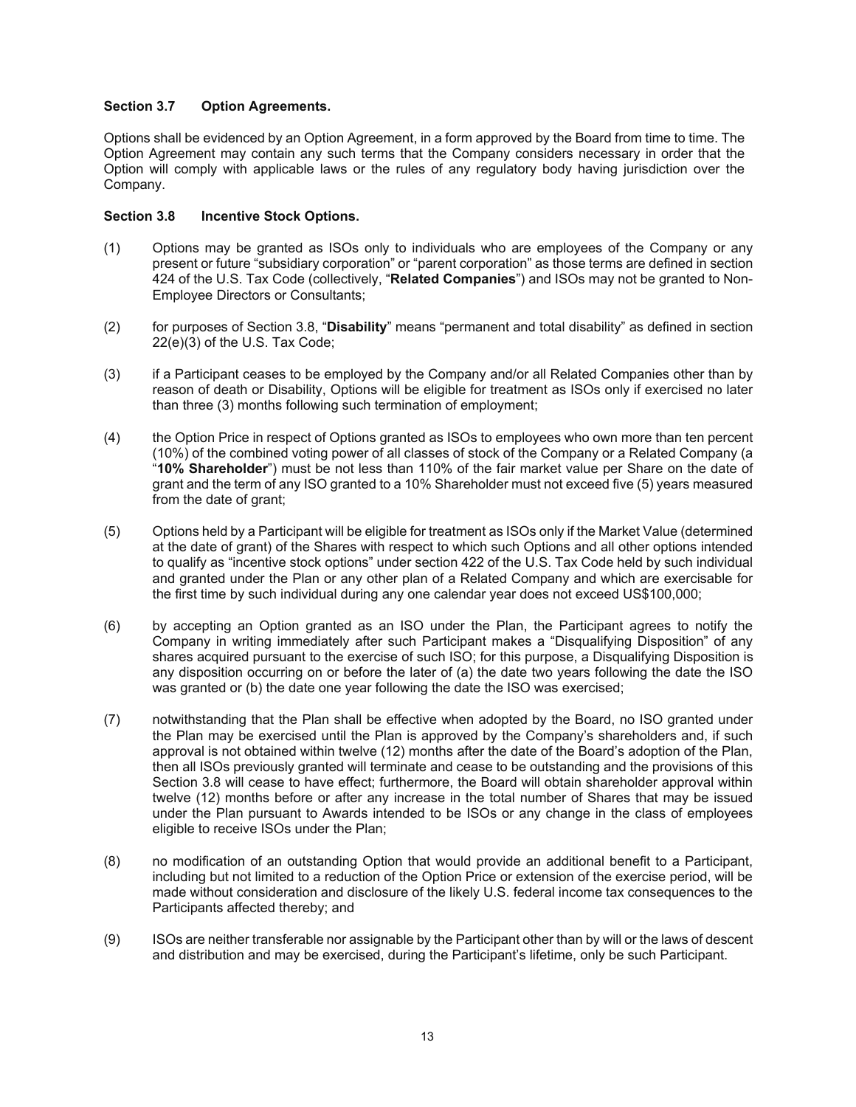# **Section 3.7 Option Agreements.**

Options shall be evidenced by an Option Agreement, in a form approved by the Board from time to time. The Option Agreement may contain any such terms that the Company considers necessary in order that the Option will comply with applicable laws or the rules of any regulatory body having jurisdiction over the Company.

# **Section 3.8 Incentive Stock Options.**

- (1) Options may be granted as ISOs only to individuals who are employees of the Company or any present or future "subsidiary corporation" or "parent corporation" as those terms are defined in section 424 of the U.S. Tax Code (collectively, "**Related Companies**") and ISOs may not be granted to Non-Employee Directors or Consultants;
- (2) for purposes of Section 3.8, "**Disability**" means "permanent and total disability" as defined in section 22(e)(3) of the U.S. Tax Code;
- (3) if a Participant ceases to be employed by the Company and/or all Related Companies other than by reason of death or Disability, Options will be eligible for treatment as ISOs only if exercised no later than three (3) months following such termination of employment;
- (4) the Option Price in respect of Options granted as ISOs to employees who own more than ten percent (10%) of the combined voting power of all classes of stock of the Company or a Related Company (a "**10% Shareholder**") must be not less than 110% of the fair market value per Share on the date of grant and the term of any ISO granted to a 10% Shareholder must not exceed five (5) years measured from the date of grant;
- (5) Options held by a Participant will be eligible for treatment as ISOs only if the Market Value (determined at the date of grant) of the Shares with respect to which such Options and all other options intended to qualify as "incentive stock options" under section 422 of the U.S. Tax Code held by such individual and granted under the Plan or any other plan of a Related Company and which are exercisable for the first time by such individual during any one calendar year does not exceed US\$100,000;
- (6) by accepting an Option granted as an ISO under the Plan, the Participant agrees to notify the Company in writing immediately after such Participant makes a "Disqualifying Disposition" of any shares acquired pursuant to the exercise of such ISO; for this purpose, a Disqualifying Disposition is any disposition occurring on or before the later of (a) the date two years following the date the ISO was granted or (b) the date one year following the date the ISO was exercised;
- (7) notwithstanding that the Plan shall be effective when adopted by the Board, no ISO granted under the Plan may be exercised until the Plan is approved by the Company's shareholders and, if such approval is not obtained within twelve (12) months after the date of the Board's adoption of the Plan, then all ISOs previously granted will terminate and cease to be outstanding and the provisions of this Section 3.8 will cease to have effect; furthermore, the Board will obtain shareholder approval within twelve (12) months before or after any increase in the total number of Shares that may be issued under the Plan pursuant to Awards intended to be ISOs or any change in the class of employees eligible to receive ISOs under the Plan;
- (8) no modification of an outstanding Option that would provide an additional benefit to a Participant, including but not limited to a reduction of the Option Price or extension of the exercise period, will be made without consideration and disclosure of the likely U.S. federal income tax consequences to the Participants affected thereby; and
- (9) ISOs are neither transferable nor assignable by the Participant other than by will or the laws of descent and distribution and may be exercised, during the Participant's lifetime, only be such Participant.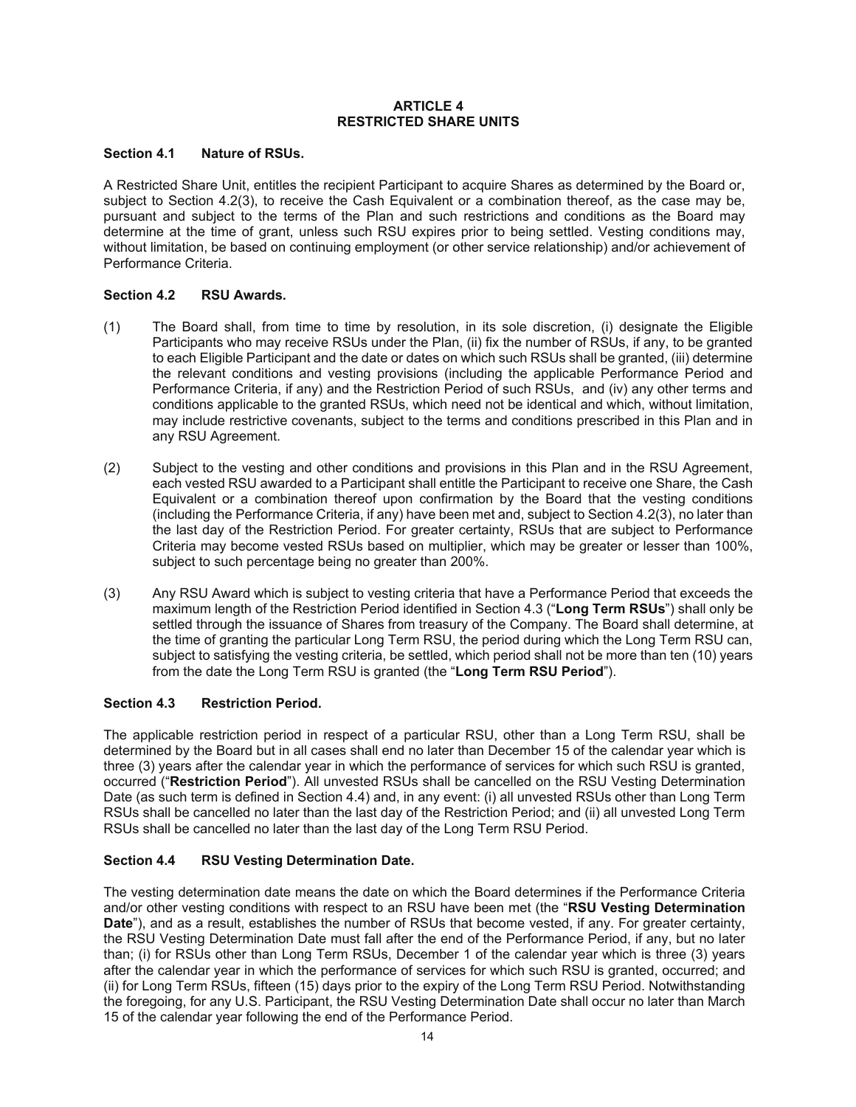#### **ARTICLE 4 RESTRICTED SHARE UNITS**

# **Section 4.1 Nature of RSUs.**

A Restricted Share Unit, entitles the recipient Participant to acquire Shares as determined by the Board or, subject to Section 4.2(3), to receive the Cash Equivalent or a combination thereof, as the case may be, pursuant and subject to the terms of the Plan and such restrictions and conditions as the Board may determine at the time of grant, unless such RSU expires prior to being settled. Vesting conditions may, without limitation, be based on continuing employment (or other service relationship) and/or achievement of Performance Criteria.

# **Section 4.2 RSU Awards.**

- (1) The Board shall, from time to time by resolution, in its sole discretion, (i) designate the Eligible Participants who may receive RSUs under the Plan, (ii) fix the number of RSUs, if any, to be granted to each Eligible Participant and the date or dates on which such RSUs shall be granted, (iii) determine the relevant conditions and vesting provisions (including the applicable Performance Period and Performance Criteria, if any) and the Restriction Period of such RSUs, and (iv) any other terms and conditions applicable to the granted RSUs, which need not be identical and which, without limitation, may include restrictive covenants, subject to the terms and conditions prescribed in this Plan and in any RSU Agreement.
- (2) Subject to the vesting and other conditions and provisions in this Plan and in the RSU Agreement, each vested RSU awarded to a Participant shall entitle the Participant to receive one Share, the Cash Equivalent or a combination thereof upon confirmation by the Board that the vesting conditions (including the Performance Criteria, if any) have been met and, subject to Section 4.2(3), no later than the last day of the Restriction Period. For greater certainty, RSUs that are subject to Performance Criteria may become vested RSUs based on multiplier, which may be greater or lesser than 100%, subject to such percentage being no greater than 200%.
- (3) Any RSU Award which is subject to vesting criteria that have a Performance Period that exceeds the maximum length of the Restriction Period identified in Section 4.3 ("**Long Term RSUs**") shall only be settled through the issuance of Shares from treasury of the Company. The Board shall determine, at the time of granting the particular Long Term RSU, the period during which the Long Term RSU can, subject to satisfying the vesting criteria, be settled, which period shall not be more than ten (10) years from the date the Long Term RSU is granted (the "**Long Term RSU Period**").

# **Section 4.3 Restriction Period.**

The applicable restriction period in respect of a particular RSU, other than a Long Term RSU, shall be determined by the Board but in all cases shall end no later than December 15 of the calendar year which is three (3) years after the calendar year in which the performance of services for which such RSU is granted, occurred ("**Restriction Period**"). All unvested RSUs shall be cancelled on the RSU Vesting Determination Date (as such term is defined in Section 4.4) and, in any event: (i) all unvested RSUs other than Long Term RSUs shall be cancelled no later than the last day of the Restriction Period; and (ii) all unvested Long Term RSUs shall be cancelled no later than the last day of the Long Term RSU Period.

# **Section 4.4 RSU Vesting Determination Date.**

The vesting determination date means the date on which the Board determines if the Performance Criteria and/or other vesting conditions with respect to an RSU have been met (the "**RSU Vesting Determination Date**"), and as a result, establishes the number of RSUs that become vested, if any. For greater certainty, the RSU Vesting Determination Date must fall after the end of the Performance Period, if any, but no later than; (i) for RSUs other than Long Term RSUs, December 1 of the calendar year which is three (3) years after the calendar year in which the performance of services for which such RSU is granted, occurred; and (ii) for Long Term RSUs, fifteen (15) days prior to the expiry of the Long Term RSU Period. Notwithstanding the foregoing, for any U.S. Participant, the RSU Vesting Determination Date shall occur no later than March 15 of the calendar year following the end of the Performance Period.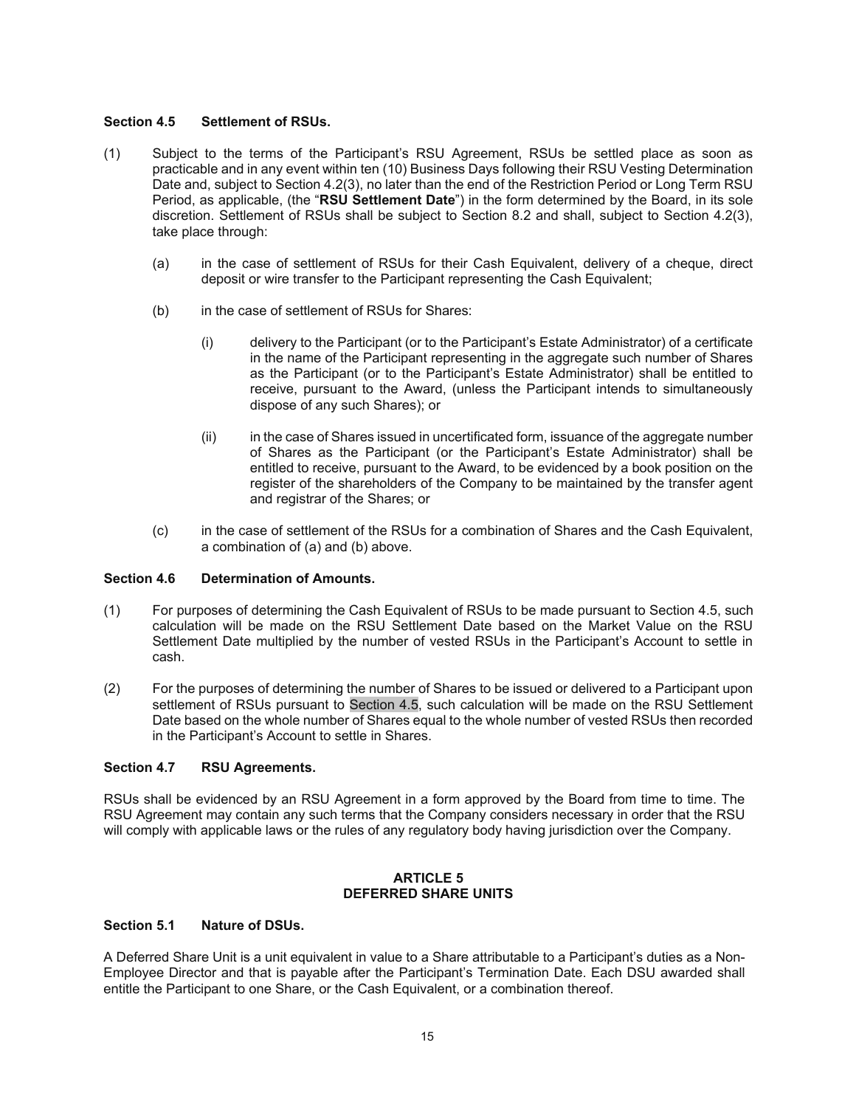#### **Section 4.5 Settlement of RSUs.**

- (1) Subject to the terms of the Participant's RSU Agreement, RSUs be settled place as soon as practicable and in any event within ten (10) Business Days following their RSU Vesting Determination Date and, subject to Section 4.2(3), no later than the end of the Restriction Period or Long Term RSU Period, as applicable, (the "**RSU Settlement Date**") in the form determined by the Board, in its sole discretion. Settlement of RSUs shall be subject to Section 8.2 and shall, subject to Section 4.2(3), take place through:
	- (a) in the case of settlement of RSUs for their Cash Equivalent, delivery of a cheque, direct deposit or wire transfer to the Participant representing the Cash Equivalent;
	- (b) in the case of settlement of RSUs for Shares:
		- (i) delivery to the Participant (or to the Participant's Estate Administrator) of a certificate in the name of the Participant representing in the aggregate such number of Shares as the Participant (or to the Participant's Estate Administrator) shall be entitled to receive, pursuant to the Award, (unless the Participant intends to simultaneously dispose of any such Shares); or
		- (ii) in the case of Shares issued in uncertificated form, issuance of the aggregate number of Shares as the Participant (or the Participant's Estate Administrator) shall be entitled to receive, pursuant to the Award, to be evidenced by a book position on the register of the shareholders of the Company to be maintained by the transfer agent and registrar of the Shares; or
	- (c) in the case of settlement of the RSUs for a combination of Shares and the Cash Equivalent, a combination of (a) and (b) above.

## **Section 4.6 Determination of Amounts.**

- (1) For purposes of determining the Cash Equivalent of RSUs to be made pursuant to Section 4.5, such calculation will be made on the RSU Settlement Date based on the Market Value on the RSU Settlement Date multiplied by the number of vested RSUs in the Participant's Account to settle in cash.
- (2) For the purposes of determining the number of Shares to be issued or delivered to a Participant upon settlement of RSUs pursuant to Section 4.5, such calculation will be made on the RSU Settlement Date based on the whole number of Shares equal to the whole number of vested RSUs then recorded in the Participant's Account to settle in Shares.

## **Section 4.7 RSU Agreements.**

RSUs shall be evidenced by an RSU Agreement in a form approved by the Board from time to time. The RSU Agreement may contain any such terms that the Company considers necessary in order that the RSU will comply with applicable laws or the rules of any regulatory body having jurisdiction over the Company.

#### **ARTICLE 5 DEFERRED SHARE UNITS**

#### **Section 5.1 Nature of DSUs.**

A Deferred Share Unit is a unit equivalent in value to a Share attributable to a Participant's duties as a Non-Employee Director and that is payable after the Participant's Termination Date. Each DSU awarded shall entitle the Participant to one Share, or the Cash Equivalent, or a combination thereof.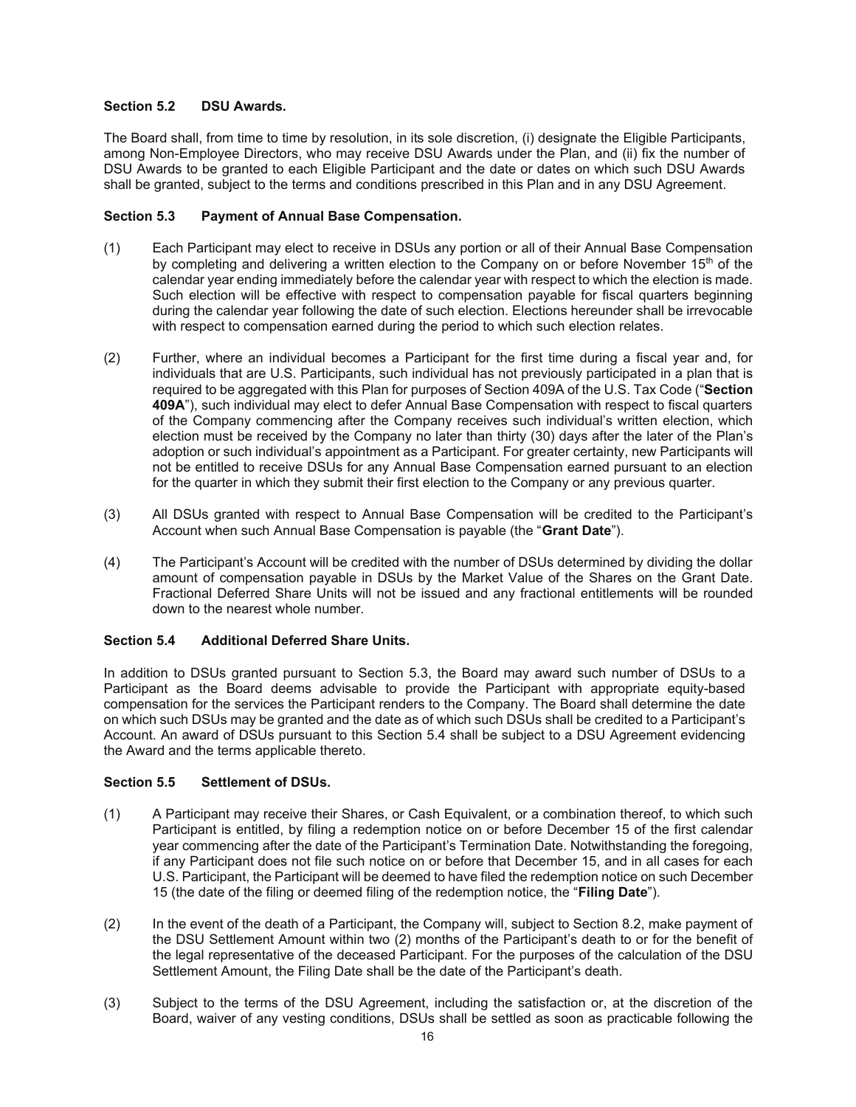# **Section 5.2 DSU Awards.**

The Board shall, from time to time by resolution, in its sole discretion, (i) designate the Eligible Participants, among Non-Employee Directors, who may receive DSU Awards under the Plan, and (ii) fix the number of DSU Awards to be granted to each Eligible Participant and the date or dates on which such DSU Awards shall be granted, subject to the terms and conditions prescribed in this Plan and in any DSU Agreement.

# **Section 5.3 Payment of Annual Base Compensation.**

- (1) Each Participant may elect to receive in DSUs any portion or all of their Annual Base Compensation by completing and delivering a written election to the Company on or before November  $15<sup>th</sup>$  of the calendar year ending immediately before the calendar year with respect to which the election is made. Such election will be effective with respect to compensation payable for fiscal quarters beginning during the calendar year following the date of such election. Elections hereunder shall be irrevocable with respect to compensation earned during the period to which such election relates.
- (2) Further, where an individual becomes a Participant for the first time during a fiscal year and, for individuals that are U.S. Participants, such individual has not previously participated in a plan that is required to be aggregated with this Plan for purposes of Section 409A of the U.S. Tax Code ("**Section 409A**"), such individual may elect to defer Annual Base Compensation with respect to fiscal quarters of the Company commencing after the Company receives such individual's written election, which election must be received by the Company no later than thirty (30) days after the later of the Plan's adoption or such individual's appointment as a Participant. For greater certainty, new Participants will not be entitled to receive DSUs for any Annual Base Compensation earned pursuant to an election for the quarter in which they submit their first election to the Company or any previous quarter.
- (3) All DSUs granted with respect to Annual Base Compensation will be credited to the Participant's Account when such Annual Base Compensation is payable (the "**Grant Date**").
- (4) The Participant's Account will be credited with the number of DSUs determined by dividing the dollar amount of compensation payable in DSUs by the Market Value of the Shares on the Grant Date. Fractional Deferred Share Units will not be issued and any fractional entitlements will be rounded down to the nearest whole number.

## **Section 5.4 Additional Deferred Share Units.**

In addition to DSUs granted pursuant to Section 5.3, the Board may award such number of DSUs to a Participant as the Board deems advisable to provide the Participant with appropriate equity-based compensation for the services the Participant renders to the Company. The Board shall determine the date on which such DSUs may be granted and the date as of which such DSUs shall be credited to a Participant's Account. An award of DSUs pursuant to this Section 5.4 shall be subject to a DSU Agreement evidencing the Award and the terms applicable thereto.

## **Section 5.5 Settlement of DSUs.**

- (1) A Participant may receive their Shares, or Cash Equivalent, or a combination thereof, to which such Participant is entitled, by filing a redemption notice on or before December 15 of the first calendar year commencing after the date of the Participant's Termination Date. Notwithstanding the foregoing, if any Participant does not file such notice on or before that December 15, and in all cases for each U.S. Participant, the Participant will be deemed to have filed the redemption notice on such December 15 (the date of the filing or deemed filing of the redemption notice, the "**Filing Date**").
- (2) In the event of the death of a Participant, the Company will, subject to Section 8.2, make payment of the DSU Settlement Amount within two (2) months of the Participant's death to or for the benefit of the legal representative of the deceased Participant. For the purposes of the calculation of the DSU Settlement Amount, the Filing Date shall be the date of the Participant's death.
- (3) Subject to the terms of the DSU Agreement, including the satisfaction or, at the discretion of the Board, waiver of any vesting conditions, DSUs shall be settled as soon as practicable following the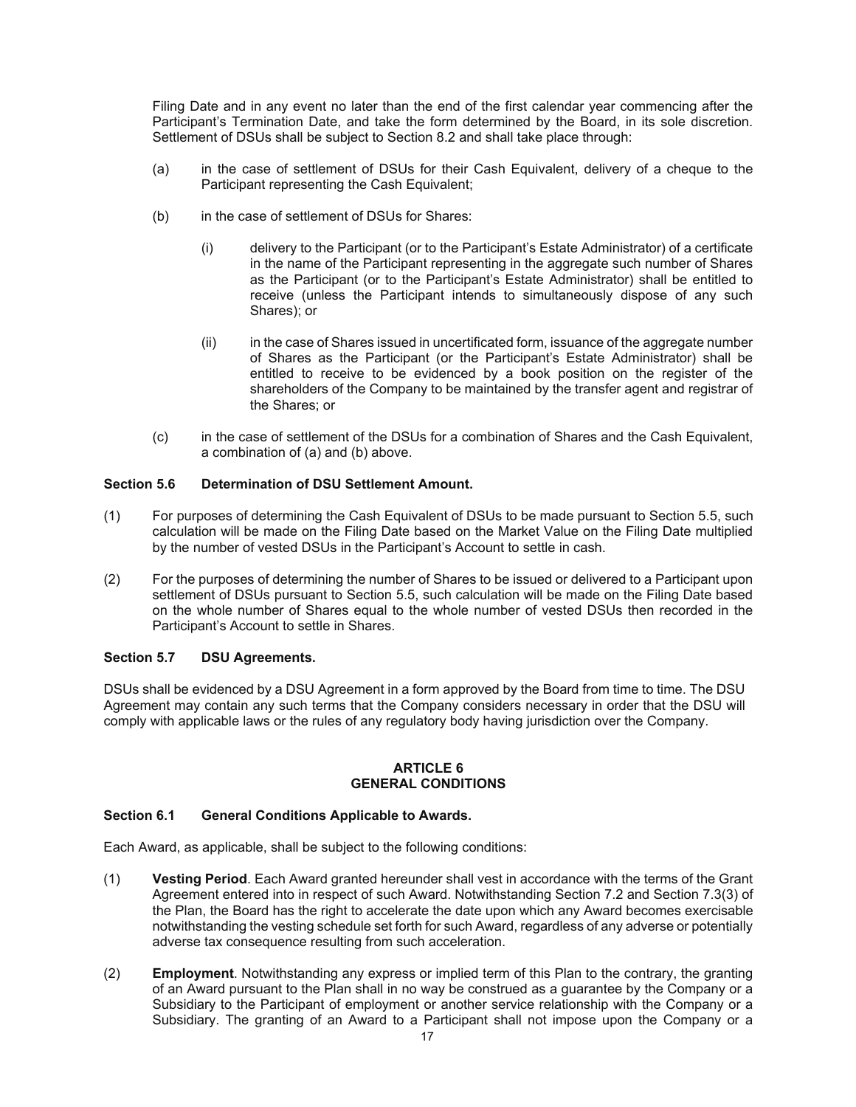Filing Date and in any event no later than the end of the first calendar year commencing after the Participant's Termination Date, and take the form determined by the Board, in its sole discretion. Settlement of DSUs shall be subject to Section 8.2 and shall take place through:

- (a) in the case of settlement of DSUs for their Cash Equivalent, delivery of a cheque to the Participant representing the Cash Equivalent;
- (b) in the case of settlement of DSUs for Shares:
	- (i) delivery to the Participant (or to the Participant's Estate Administrator) of a certificate in the name of the Participant representing in the aggregate such number of Shares as the Participant (or to the Participant's Estate Administrator) shall be entitled to receive (unless the Participant intends to simultaneously dispose of any such Shares); or
	- (ii) in the case of Shares issued in uncertificated form, issuance of the aggregate number of Shares as the Participant (or the Participant's Estate Administrator) shall be entitled to receive to be evidenced by a book position on the register of the shareholders of the Company to be maintained by the transfer agent and registrar of the Shares; or
- (c) in the case of settlement of the DSUs for a combination of Shares and the Cash Equivalent, a combination of (a) and (b) above.

## **Section 5.6 Determination of DSU Settlement Amount.**

- (1) For purposes of determining the Cash Equivalent of DSUs to be made pursuant to Section 5.5, such calculation will be made on the Filing Date based on the Market Value on the Filing Date multiplied by the number of vested DSUs in the Participant's Account to settle in cash.
- (2) For the purposes of determining the number of Shares to be issued or delivered to a Participant upon settlement of DSUs pursuant to Section 5.5, such calculation will be made on the Filing Date based on the whole number of Shares equal to the whole number of vested DSUs then recorded in the Participant's Account to settle in Shares.

#### **Section 5.7 DSU Agreements.**

DSUs shall be evidenced by a DSU Agreement in a form approved by the Board from time to time. The DSU Agreement may contain any such terms that the Company considers necessary in order that the DSU will comply with applicable laws or the rules of any regulatory body having jurisdiction over the Company.

#### **ARTICLE 6 GENERAL CONDITIONS**

#### **Section 6.1 General Conditions Applicable to Awards.**

Each Award, as applicable, shall be subject to the following conditions:

- (1) **Vesting Period**. Each Award granted hereunder shall vest in accordance with the terms of the Grant Agreement entered into in respect of such Award. Notwithstanding Section 7.2 and Section 7.3(3) of the Plan, the Board has the right to accelerate the date upon which any Award becomes exercisable notwithstanding the vesting schedule set forth for such Award, regardless of any adverse or potentially adverse tax consequence resulting from such acceleration.
- (2) **Employment**. Notwithstanding any express or implied term of this Plan to the contrary, the granting of an Award pursuant to the Plan shall in no way be construed as a guarantee by the Company or a Subsidiary to the Participant of employment or another service relationship with the Company or a Subsidiary. The granting of an Award to a Participant shall not impose upon the Company or a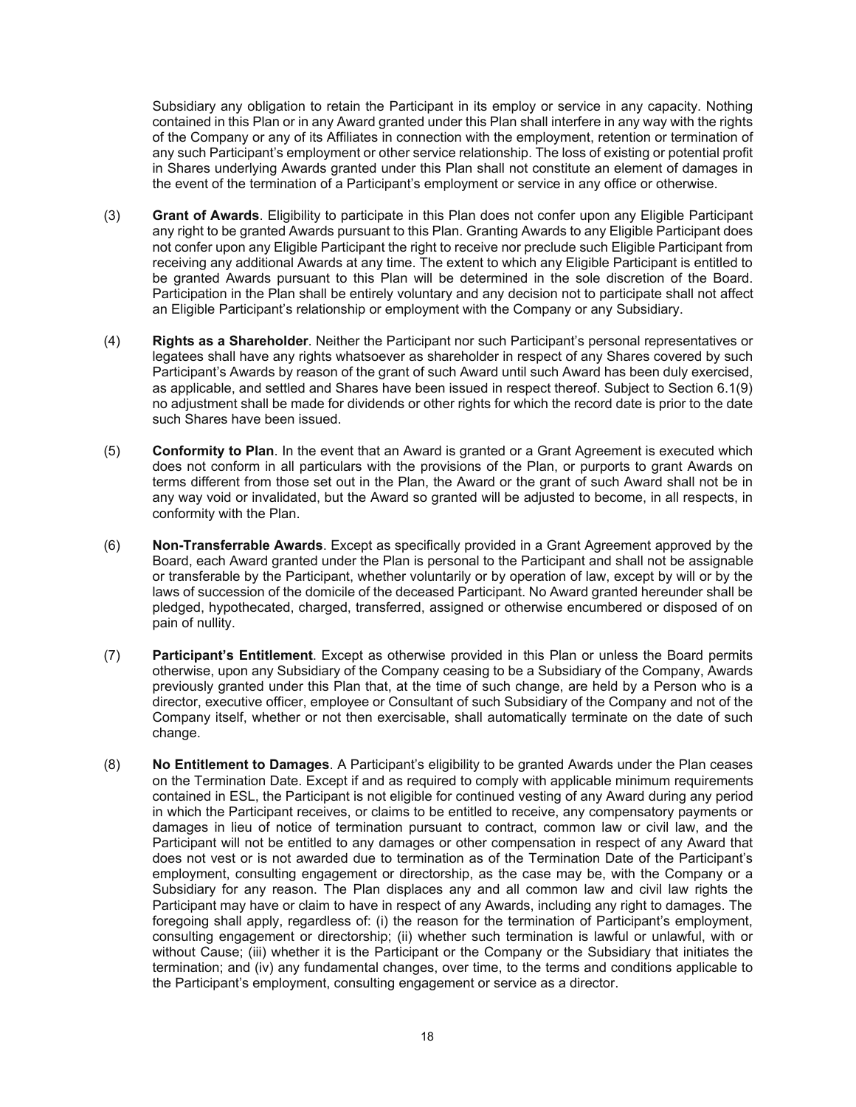Subsidiary any obligation to retain the Participant in its employ or service in any capacity. Nothing contained in this Plan or in any Award granted under this Plan shall interfere in any way with the rights of the Company or any of its Affiliates in connection with the employment, retention or termination of any such Participant's employment or other service relationship. The loss of existing or potential profit in Shares underlying Awards granted under this Plan shall not constitute an element of damages in the event of the termination of a Participant's employment or service in any office or otherwise.

- (3) **Grant of Awards**. Eligibility to participate in this Plan does not confer upon any Eligible Participant any right to be granted Awards pursuant to this Plan. Granting Awards to any Eligible Participant does not confer upon any Eligible Participant the right to receive nor preclude such Eligible Participant from receiving any additional Awards at any time. The extent to which any Eligible Participant is entitled to be granted Awards pursuant to this Plan will be determined in the sole discretion of the Board. Participation in the Plan shall be entirely voluntary and any decision not to participate shall not affect an Eligible Participant's relationship or employment with the Company or any Subsidiary.
- (4) **Rights as a Shareholder**. Neither the Participant nor such Participant's personal representatives or legatees shall have any rights whatsoever as shareholder in respect of any Shares covered by such Participant's Awards by reason of the grant of such Award until such Award has been duly exercised, as applicable, and settled and Shares have been issued in respect thereof. Subject to Section 6.1(9) no adjustment shall be made for dividends or other rights for which the record date is prior to the date such Shares have been issued.
- (5) **Conformity to Plan**. In the event that an Award is granted or a Grant Agreement is executed which does not conform in all particulars with the provisions of the Plan, or purports to grant Awards on terms different from those set out in the Plan, the Award or the grant of such Award shall not be in any way void or invalidated, but the Award so granted will be adjusted to become, in all respects, in conformity with the Plan.
- (6) **Non-Transferrable Awards**. Except as specifically provided in a Grant Agreement approved by the Board, each Award granted under the Plan is personal to the Participant and shall not be assignable or transferable by the Participant, whether voluntarily or by operation of law, except by will or by the laws of succession of the domicile of the deceased Participant. No Award granted hereunder shall be pledged, hypothecated, charged, transferred, assigned or otherwise encumbered or disposed of on pain of nullity.
- (7) **Participant's Entitlement**. Except as otherwise provided in this Plan or unless the Board permits otherwise, upon any Subsidiary of the Company ceasing to be a Subsidiary of the Company, Awards previously granted under this Plan that, at the time of such change, are held by a Person who is a director, executive officer, employee or Consultant of such Subsidiary of the Company and not of the Company itself, whether or not then exercisable, shall automatically terminate on the date of such change.
- (8) **No Entitlement to Damages**. A Participant's eligibility to be granted Awards under the Plan ceases on the Termination Date. Except if and as required to comply with applicable minimum requirements contained in ESL, the Participant is not eligible for continued vesting of any Award during any period in which the Participant receives, or claims to be entitled to receive, any compensatory payments or damages in lieu of notice of termination pursuant to contract, common law or civil law, and the Participant will not be entitled to any damages or other compensation in respect of any Award that does not vest or is not awarded due to termination as of the Termination Date of the Participant's employment, consulting engagement or directorship, as the case may be, with the Company or a Subsidiary for any reason. The Plan displaces any and all common law and civil law rights the Participant may have or claim to have in respect of any Awards, including any right to damages. The foregoing shall apply, regardless of: (i) the reason for the termination of Participant's employment, consulting engagement or directorship; (ii) whether such termination is lawful or unlawful, with or without Cause; (iii) whether it is the Participant or the Company or the Subsidiary that initiates the termination; and (iv) any fundamental changes, over time, to the terms and conditions applicable to the Participant's employment, consulting engagement or service as a director.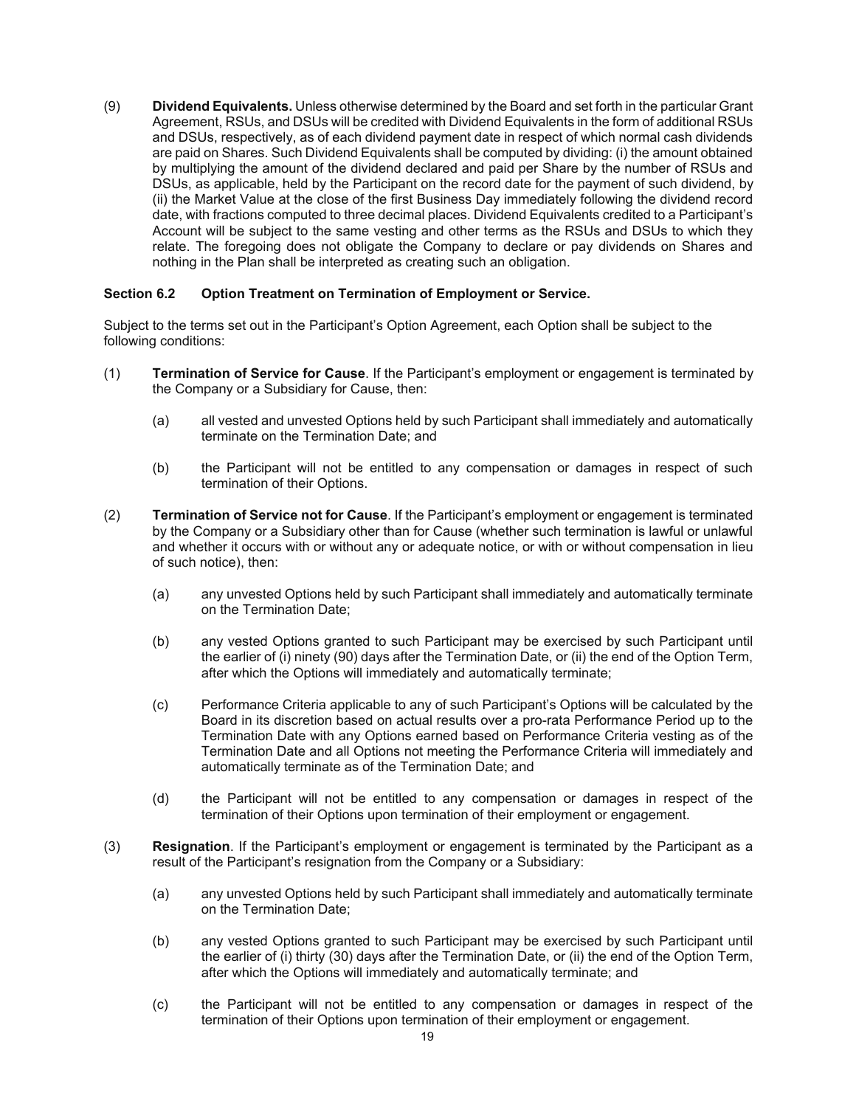(9) **Dividend Equivalents.** Unless otherwise determined by the Board and set forth in the particular Grant Agreement, RSUs, and DSUs will be credited with Dividend Equivalents in the form of additional RSUs and DSUs, respectively, as of each dividend payment date in respect of which normal cash dividends are paid on Shares. Such Dividend Equivalents shall be computed by dividing: (i) the amount obtained by multiplying the amount of the dividend declared and paid per Share by the number of RSUs and DSUs, as applicable, held by the Participant on the record date for the payment of such dividend, by (ii) the Market Value at the close of the first Business Day immediately following the dividend record date, with fractions computed to three decimal places. Dividend Equivalents credited to a Participant's Account will be subject to the same vesting and other terms as the RSUs and DSUs to which they relate. The foregoing does not obligate the Company to declare or pay dividends on Shares and nothing in the Plan shall be interpreted as creating such an obligation.

## **Section 6.2 Option Treatment on Termination of Employment or Service.**

Subject to the terms set out in the Participant's Option Agreement, each Option shall be subject to the following conditions:

- (1) **Termination of Service for Cause**. If the Participant's employment or engagement is terminated by the Company or a Subsidiary for Cause, then:
	- (a) all vested and unvested Options held by such Participant shall immediately and automatically terminate on the Termination Date; and
	- (b) the Participant will not be entitled to any compensation or damages in respect of such termination of their Options.
- (2) **Termination of Service not for Cause**. If the Participant's employment or engagement is terminated by the Company or a Subsidiary other than for Cause (whether such termination is lawful or unlawful and whether it occurs with or without any or adequate notice, or with or without compensation in lieu of such notice), then:
	- (a) any unvested Options held by such Participant shall immediately and automatically terminate on the Termination Date;
	- (b) any vested Options granted to such Participant may be exercised by such Participant until the earlier of (i) ninety (90) days after the Termination Date, or (ii) the end of the Option Term, after which the Options will immediately and automatically terminate;
	- (c) Performance Criteria applicable to any of such Participant's Options will be calculated by the Board in its discretion based on actual results over a pro-rata Performance Period up to the Termination Date with any Options earned based on Performance Criteria vesting as of the Termination Date and all Options not meeting the Performance Criteria will immediately and automatically terminate as of the Termination Date; and
	- (d) the Participant will not be entitled to any compensation or damages in respect of the termination of their Options upon termination of their employment or engagement.
- (3) **Resignation**. If the Participant's employment or engagement is terminated by the Participant as a result of the Participant's resignation from the Company or a Subsidiary:
	- (a) any unvested Options held by such Participant shall immediately and automatically terminate on the Termination Date;
	- (b) any vested Options granted to such Participant may be exercised by such Participant until the earlier of (i) thirty (30) days after the Termination Date, or (ii) the end of the Option Term, after which the Options will immediately and automatically terminate; and
	- (c) the Participant will not be entitled to any compensation or damages in respect of the termination of their Options upon termination of their employment or engagement.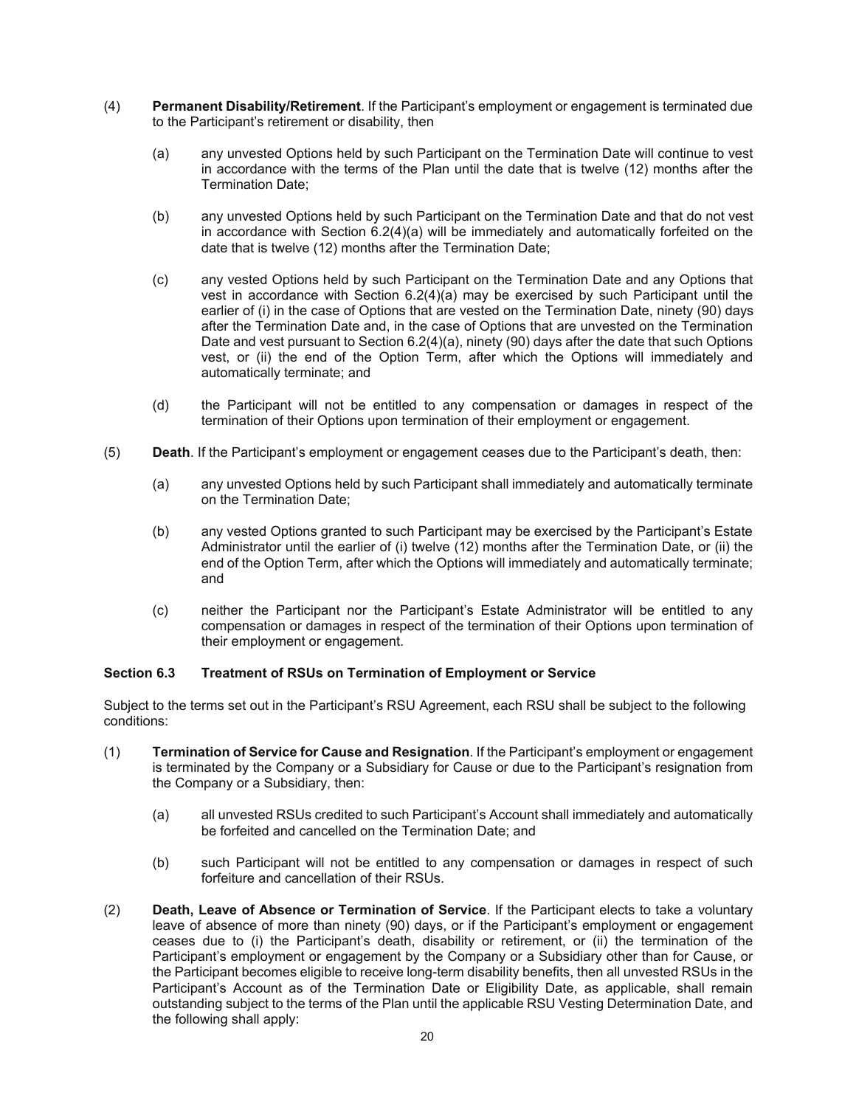- (4) **Permanent Disability/Retirement**. If the Participant's employment or engagement is terminated due to the Participant's retirement or disability, then
	- (a) any unvested Options held by such Participant on the Termination Date will continue to vest in accordance with the terms of the Plan until the date that is twelve (12) months after the Termination Date;
	- (b) any unvested Options held by such Participant on the Termination Date and that do not vest in accordance with Section 6.2(4)(a) will be immediately and automatically forfeited on the date that is twelve (12) months after the Termination Date;
	- (c) any vested Options held by such Participant on the Termination Date and any Options that vest in accordance with Section 6.2(4)(a) may be exercised by such Participant until the earlier of (i) in the case of Options that are vested on the Termination Date, ninety (90) days after the Termination Date and, in the case of Options that are unvested on the Termination Date and vest pursuant to Section 6.2(4)(a), ninety (90) days after the date that such Options vest, or (ii) the end of the Option Term, after which the Options will immediately and automatically terminate; and
	- (d) the Participant will not be entitled to any compensation or damages in respect of the termination of their Options upon termination of their employment or engagement.
- (5) **Death**. If the Participant's employment or engagement ceases due to the Participant's death, then:
	- (a) any unvested Options held by such Participant shall immediately and automatically terminate on the Termination Date;
	- (b) any vested Options granted to such Participant may be exercised by the Participant's Estate Administrator until the earlier of (i) twelve (12) months after the Termination Date, or (ii) the end of the Option Term, after which the Options will immediately and automatically terminate; and
	- (c) neither the Participant nor the Participant's Estate Administrator will be entitled to any compensation or damages in respect of the termination of their Options upon termination of their employment or engagement.

## **Section 6.3 Treatment of RSUs on Termination of Employment or Service**

Subject to the terms set out in the Participant's RSU Agreement, each RSU shall be subject to the following conditions:

- (1) **Termination of Service for Cause and Resignation**. If the Participant's employment or engagement is terminated by the Company or a Subsidiary for Cause or due to the Participant's resignation from the Company or a Subsidiary, then:
	- (a) all unvested RSUs credited to such Participant's Account shall immediately and automatically be forfeited and cancelled on the Termination Date; and
	- (b) such Participant will not be entitled to any compensation or damages in respect of such forfeiture and cancellation of their RSUs.
- (2) **Death, Leave of Absence or Termination of Service**. If the Participant elects to take a voluntary leave of absence of more than ninety (90) days, or if the Participant's employment or engagement ceases due to (i) the Participant's death, disability or retirement, or (ii) the termination of the Participant's employment or engagement by the Company or a Subsidiary other than for Cause, or the Participant becomes eligible to receive long-term disability benefits, then all unvested RSUs in the Participant's Account as of the Termination Date or Eligibility Date, as applicable, shall remain outstanding subject to the terms of the Plan until the applicable RSU Vesting Determination Date, and the following shall apply: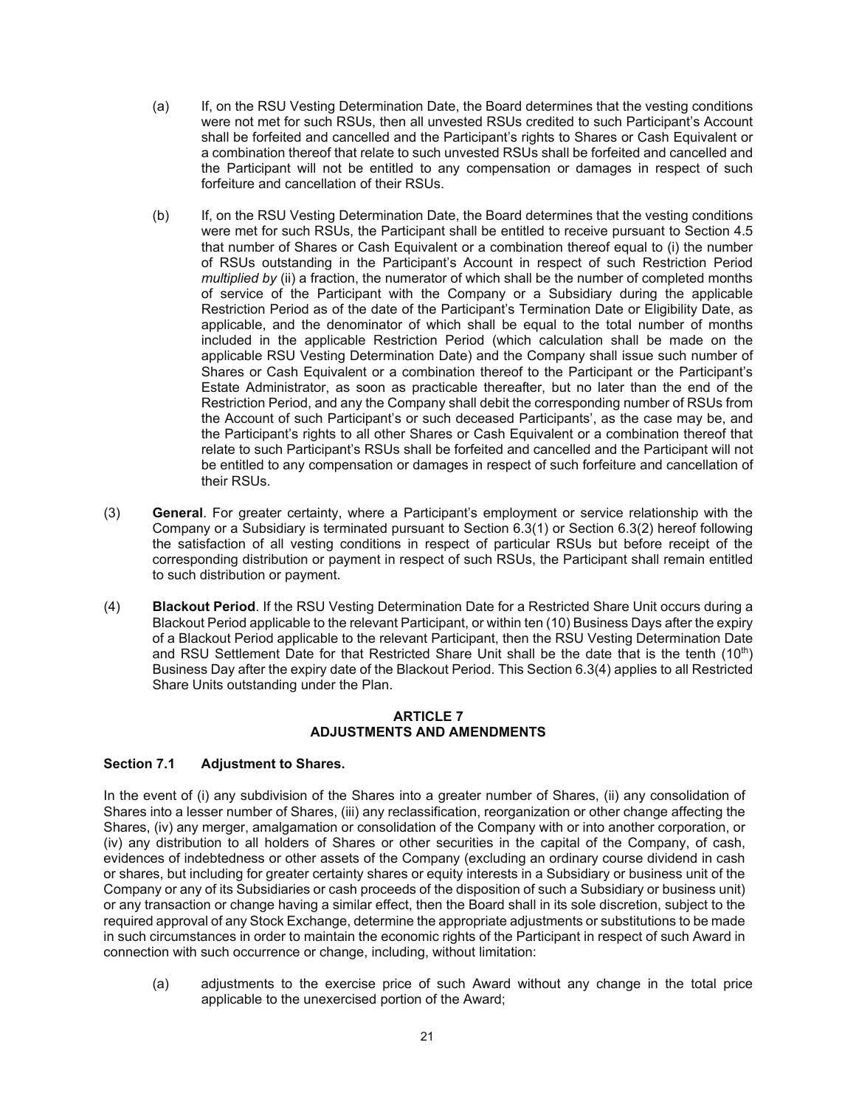- (a) If, on the RSU Vesting Determination Date, the Board determines that the vesting conditions were not met for such RSUs, then all unvested RSUs credited to such Participant's Account shall be forfeited and cancelled and the Participant's rights to Shares or Cash Equivalent or a combination thereof that relate to such unvested RSUs shall be forfeited and cancelled and the Participant will not be entitled to any compensation or damages in respect of such forfeiture and cancellation of their RSUs.
- (b) If, on the RSU Vesting Determination Date, the Board determines that the vesting conditions were met for such RSUs, the Participant shall be entitled to receive pursuant to Section 4.5 that number of Shares or Cash Equivalent or a combination thereof equal to (i) the number of RSUs outstanding in the Participant's Account in respect of such Restriction Period *multiplied by* (ii) a fraction, the numerator of which shall be the number of completed months of service of the Participant with the Company or a Subsidiary during the applicable Restriction Period as of the date of the Participant's Termination Date or Eligibility Date, as applicable, and the denominator of which shall be equal to the total number of months included in the applicable Restriction Period (which calculation shall be made on the applicable RSU Vesting Determination Date) and the Company shall issue such number of Shares or Cash Equivalent or a combination thereof to the Participant or the Participant's Estate Administrator, as soon as practicable thereafter, but no later than the end of the Restriction Period, and any the Company shall debit the corresponding number of RSUs from the Account of such Participant's or such deceased Participants', as the case may be, and the Participant's rights to all other Shares or Cash Equivalent or a combination thereof that relate to such Participant's RSUs shall be forfeited and cancelled and the Participant will not be entitled to any compensation or damages in respect of such forfeiture and cancellation of their RSUs.
- (3) **General**. For greater certainty, where a Participant's employment or service relationship with the Company or a Subsidiary is terminated pursuant to Section 6.3(1) or Section 6.3(2) hereof following the satisfaction of all vesting conditions in respect of particular RSUs but before receipt of the corresponding distribution or payment in respect of such RSUs, the Participant shall remain entitled to such distribution or payment.
- (4) **Blackout Period**. If the RSU Vesting Determination Date for a Restricted Share Unit occurs during a Blackout Period applicable to the relevant Participant, or within ten (10) Business Days after the expiry of a Blackout Period applicable to the relevant Participant, then the RSU Vesting Determination Date and RSU Settlement Date for that Restricted Share Unit shall be the date that is the tenth (10<sup>th</sup>) Business Day after the expiry date of the Blackout Period. This Section 6.3(4) applies to all Restricted Share Units outstanding under the Plan.

#### **ARTICLE 7 ADJUSTMENTS AND AMENDMENTS**

## **Section 7.1 Adjustment to Shares.**

In the event of (i) any subdivision of the Shares into a greater number of Shares, (ii) any consolidation of Shares into a lesser number of Shares, (iii) any reclassification, reorganization or other change affecting the Shares, (iv) any merger, amalgamation or consolidation of the Company with or into another corporation, or (iv) any distribution to all holders of Shares or other securities in the capital of the Company, of cash, evidences of indebtedness or other assets of the Company (excluding an ordinary course dividend in cash or shares, but including for greater certainty shares or equity interests in a Subsidiary or business unit of the Company or any of its Subsidiaries or cash proceeds of the disposition of such a Subsidiary or business unit) or any transaction or change having a similar effect, then the Board shall in its sole discretion, subject to the required approval of any Stock Exchange, determine the appropriate adjustments or substitutions to be made in such circumstances in order to maintain the economic rights of the Participant in respect of such Award in connection with such occurrence or change, including, without limitation:

(a) adjustments to the exercise price of such Award without any change in the total price applicable to the unexercised portion of the Award;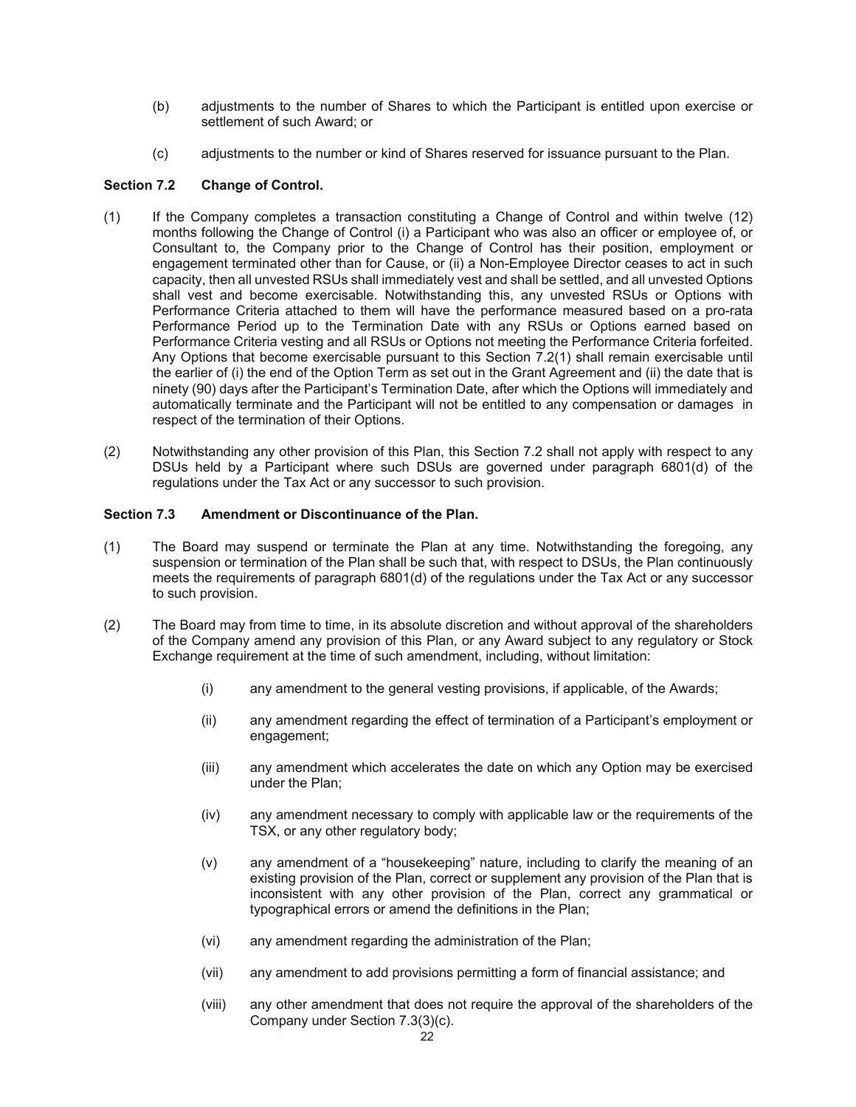- (b) adjustments to the number of Shares to which the Participant is entitled upon exercise or settlement of such Award; or
- (c) adjustments to the number or kind of Shares reserved for issuance pursuant to the Plan.

## **Section 7.2 Change of Control.**

- (1) If the Company completes a transaction constituting a Change of Control and within twelve (12) months following the Change of Control (i) a Participant who was also an officer or employee of, or Consultant to, the Company prior to the Change of Control has their position, employment or engagement terminated other than for Cause, or (ii) a Non-Employee Director ceases to act in such capacity, then all unvested RSUs shall immediately vest and shall be settled, and all unvested Options shall vest and become exercisable. Notwithstanding this, any unvested RSUs or Options with Performance Criteria attached to them will have the performance measured based on a pro-rata Performance Period up to the Termination Date with any RSUs or Options earned based on Performance Criteria vesting and all RSUs or Options not meeting the Performance Criteria forfeited. Any Options that become exercisable pursuant to this Section 7.2(1) shall remain exercisable until the earlier of (i) the end of the Option Term as set out in the Grant Agreement and (ii) the date that is ninety (90) days after the Participant's Termination Date, after which the Options will immediately and automatically terminate and the Participant will not be entitled to any compensation or damages in respect of the termination of their Options.
- (2) Notwithstanding any other provision of this Plan, this Section 7.2 shall not apply with respect to any DSUs held by a Participant where such DSUs are governed under paragraph 6801(d) of the regulations under the Tax Act or any successor to such provision.

# **Section 7.3 Amendment or Discontinuance of the Plan.**

- (1) The Board may suspend or terminate the Plan at any time. Notwithstanding the foregoing, any suspension or termination of the Plan shall be such that, with respect to DSUs, the Plan continuously meets the requirements of paragraph 6801(d) of the regulations under the Tax Act or any successor to such provision.
- (2) The Board may from time to time, in its absolute discretion and without approval of the shareholders of the Company amend any provision of this Plan, or any Award subject to any regulatory or Stock Exchange requirement at the time of such amendment, including, without limitation:
	- (i) any amendment to the general vesting provisions, if applicable, of the Awards;
	- (ii) any amendment regarding the effect of termination of a Participant's employment or engagement;
	- (iii) any amendment which accelerates the date on which any Option may be exercised under the Plan;
	- (iv) any amendment necessary to comply with applicable law or the requirements of the TSX, or any other regulatory body;
	- (v) any amendment of a "housekeeping" nature, including to clarify the meaning of an existing provision of the Plan, correct or supplement any provision of the Plan that is inconsistent with any other provision of the Plan, correct any grammatical or typographical errors or amend the definitions in the Plan;
	- (vi) any amendment regarding the administration of the Plan;
	- (vii) any amendment to add provisions permitting a form of financial assistance; and
	- (viii) any other amendment that does not require the approval of the shareholders of the Company under Section 7.3(3)(c).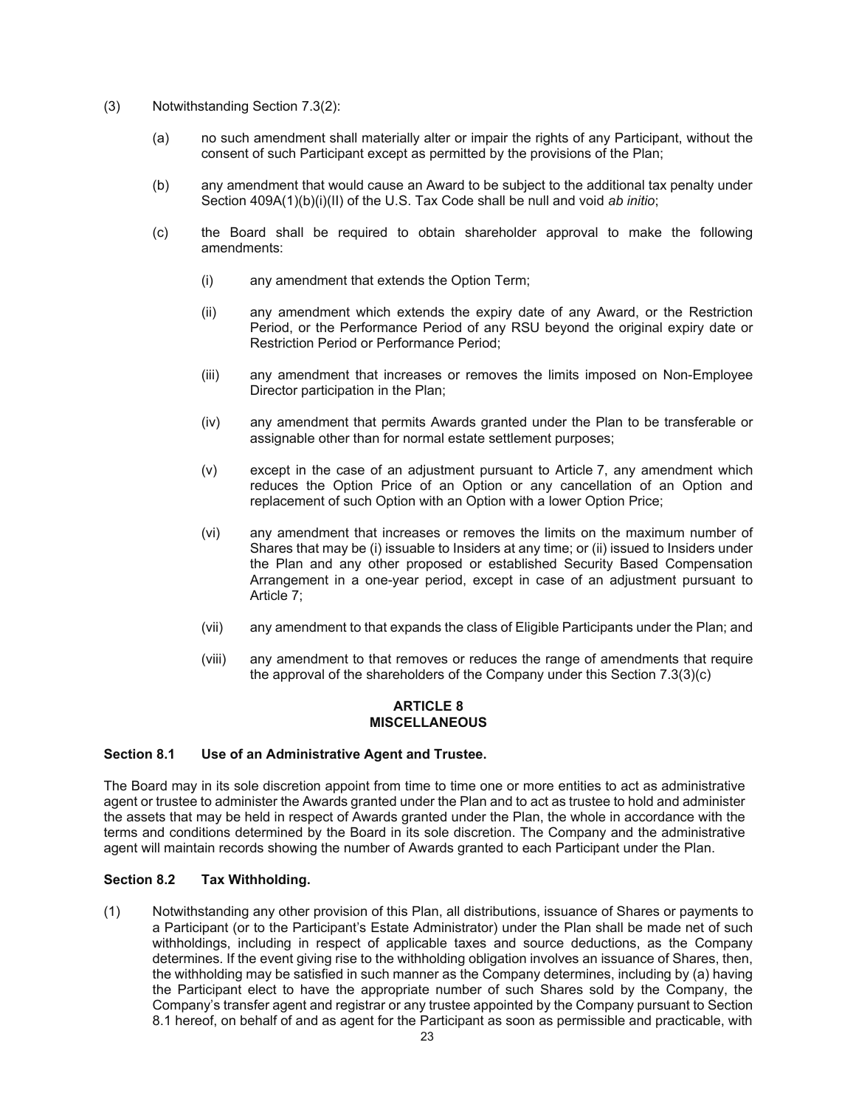- (3) Notwithstanding Section 7.3(2):
	- (a) no such amendment shall materially alter or impair the rights of any Participant, without the consent of such Participant except as permitted by the provisions of the Plan;
	- (b) any amendment that would cause an Award to be subject to the additional tax penalty under Section 409A(1)(b)(i)(II) of the U.S. Tax Code shall be null and void *ab initio*;
	- (c) the Board shall be required to obtain shareholder approval to make the following amendments:
		- (i) any amendment that extends the Option Term;
		- (ii) any amendment which extends the expiry date of any Award, or the Restriction Period, or the Performance Period of any RSU beyond the original expiry date or Restriction Period or Performance Period;
		- (iii) any amendment that increases or removes the limits imposed on Non-Employee Director participation in the Plan;
		- (iv) any amendment that permits Awards granted under the Plan to be transferable or assignable other than for normal estate settlement purposes;
		- (v) except in the case of an adjustment pursuant to Article 7, any amendment which reduces the Option Price of an Option or any cancellation of an Option and replacement of such Option with an Option with a lower Option Price;
		- (vi) any amendment that increases or removes the limits on the maximum number of Shares that may be (i) issuable to Insiders at any time; or (ii) issued to Insiders under the Plan and any other proposed or established Security Based Compensation Arrangement in a one-year period, except in case of an adjustment pursuant to Article 7;
		- (vii) any amendment to that expands the class of Eligible Participants under the Plan; and
		- (viii) any amendment to that removes or reduces the range of amendments that require the approval of the shareholders of the Company under this Section 7.3(3)(c)

#### **ARTICLE 8 MISCELLANEOUS**

#### **Section 8.1 Use of an Administrative Agent and Trustee.**

The Board may in its sole discretion appoint from time to time one or more entities to act as administrative agent or trustee to administer the Awards granted under the Plan and to act as trustee to hold and administer the assets that may be held in respect of Awards granted under the Plan, the whole in accordance with the terms and conditions determined by the Board in its sole discretion. The Company and the administrative agent will maintain records showing the number of Awards granted to each Participant under the Plan.

# **Section 8.2 Tax Withholding.**

(1) Notwithstanding any other provision of this Plan, all distributions, issuance of Shares or payments to a Participant (or to the Participant's Estate Administrator) under the Plan shall be made net of such withholdings, including in respect of applicable taxes and source deductions, as the Company determines. If the event giving rise to the withholding obligation involves an issuance of Shares, then, the withholding may be satisfied in such manner as the Company determines, including by (a) having the Participant elect to have the appropriate number of such Shares sold by the Company, the Company's transfer agent and registrar or any trustee appointed by the Company pursuant to Section 8.1 hereof, on behalf of and as agent for the Participant as soon as permissible and practicable, with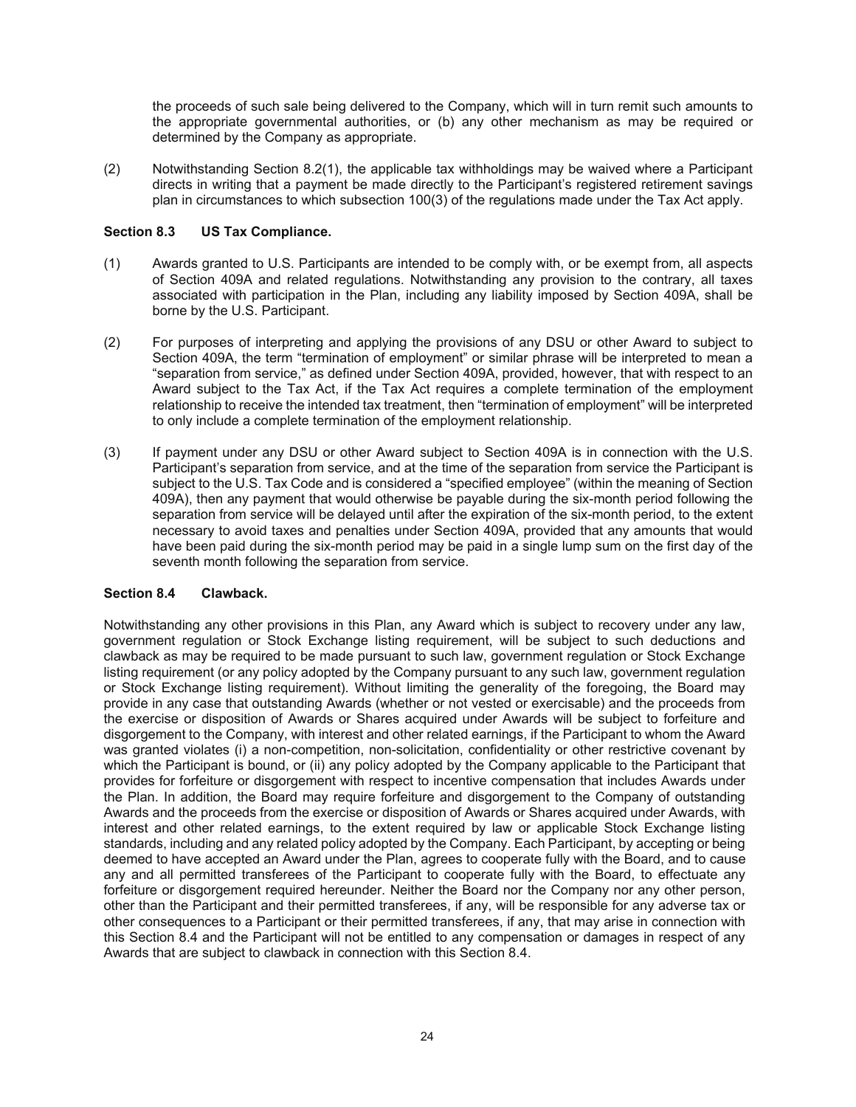the proceeds of such sale being delivered to the Company, which will in turn remit such amounts to the appropriate governmental authorities, or (b) any other mechanism as may be required or determined by the Company as appropriate.

(2) Notwithstanding Section 8.2(1), the applicable tax withholdings may be waived where a Participant directs in writing that a payment be made directly to the Participant's registered retirement savings plan in circumstances to which subsection 100(3) of the regulations made under the Tax Act apply.

#### **Section 8.3 US Tax Compliance.**

- (1) Awards granted to U.S. Participants are intended to be comply with, or be exempt from, all aspects of Section 409A and related regulations. Notwithstanding any provision to the contrary, all taxes associated with participation in the Plan, including any liability imposed by Section 409A, shall be borne by the U.S. Participant.
- (2) For purposes of interpreting and applying the provisions of any DSU or other Award to subject to Section 409A, the term "termination of employment" or similar phrase will be interpreted to mean a "separation from service," as defined under Section 409A, provided, however, that with respect to an Award subject to the Tax Act, if the Tax Act requires a complete termination of the employment relationship to receive the intended tax treatment, then "termination of employment" will be interpreted to only include a complete termination of the employment relationship.
- (3) If payment under any DSU or other Award subject to Section 409A is in connection with the U.S. Participant's separation from service, and at the time of the separation from service the Participant is subject to the U.S. Tax Code and is considered a "specified employee" (within the meaning of Section 409A), then any payment that would otherwise be payable during the six-month period following the separation from service will be delayed until after the expiration of the six-month period, to the extent necessary to avoid taxes and penalties under Section 409A, provided that any amounts that would have been paid during the six-month period may be paid in a single lump sum on the first day of the seventh month following the separation from service.

#### **Section 8.4 Clawback.**

Notwithstanding any other provisions in this Plan, any Award which is subject to recovery under any law, government regulation or Stock Exchange listing requirement, will be subject to such deductions and clawback as may be required to be made pursuant to such law, government regulation or Stock Exchange listing requirement (or any policy adopted by the Company pursuant to any such law, government regulation or Stock Exchange listing requirement). Without limiting the generality of the foregoing, the Board may provide in any case that outstanding Awards (whether or not vested or exercisable) and the proceeds from the exercise or disposition of Awards or Shares acquired under Awards will be subject to forfeiture and disgorgement to the Company, with interest and other related earnings, if the Participant to whom the Award was granted violates (i) a non-competition, non-solicitation, confidentiality or other restrictive covenant by which the Participant is bound, or (ii) any policy adopted by the Company applicable to the Participant that provides for forfeiture or disgorgement with respect to incentive compensation that includes Awards under the Plan. In addition, the Board may require forfeiture and disgorgement to the Company of outstanding Awards and the proceeds from the exercise or disposition of Awards or Shares acquired under Awards, with interest and other related earnings, to the extent required by law or applicable Stock Exchange listing standards, including and any related policy adopted by the Company. Each Participant, by accepting or being deemed to have accepted an Award under the Plan, agrees to cooperate fully with the Board, and to cause any and all permitted transferees of the Participant to cooperate fully with the Board, to effectuate any forfeiture or disgorgement required hereunder. Neither the Board nor the Company nor any other person, other than the Participant and their permitted transferees, if any, will be responsible for any adverse tax or other consequences to a Participant or their permitted transferees, if any, that may arise in connection with this Section 8.4 and the Participant will not be entitled to any compensation or damages in respect of any Awards that are subject to clawback in connection with this Section 8.4.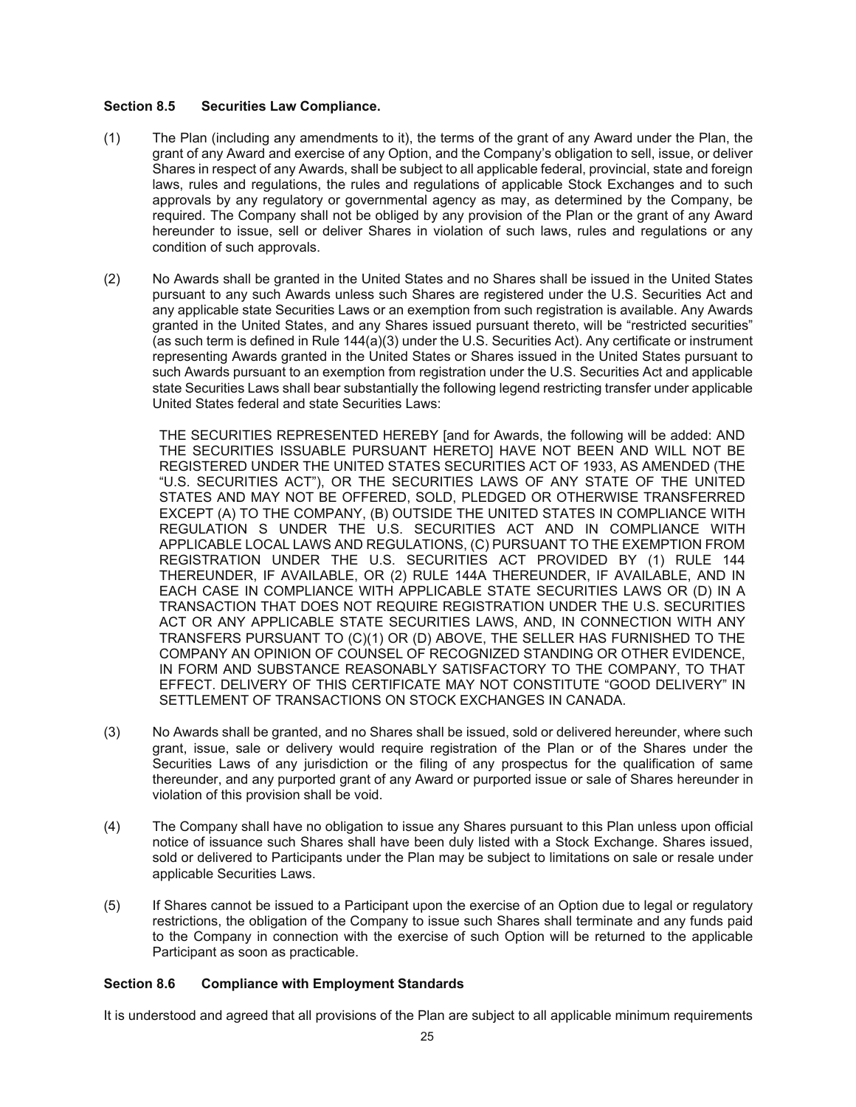#### **Section 8.5 Securities Law Compliance.**

- (1) The Plan (including any amendments to it), the terms of the grant of any Award under the Plan, the grant of any Award and exercise of any Option, and the Company's obligation to sell, issue, or deliver Shares in respect of any Awards, shall be subject to all applicable federal, provincial, state and foreign laws, rules and regulations, the rules and regulations of applicable Stock Exchanges and to such approvals by any regulatory or governmental agency as may, as determined by the Company, be required. The Company shall not be obliged by any provision of the Plan or the grant of any Award hereunder to issue, sell or deliver Shares in violation of such laws, rules and regulations or any condition of such approvals.
- (2) No Awards shall be granted in the United States and no Shares shall be issued in the United States pursuant to any such Awards unless such Shares are registered under the U.S. Securities Act and any applicable state Securities Laws or an exemption from such registration is available. Any Awards granted in the United States, and any Shares issued pursuant thereto, will be "restricted securities" (as such term is defined in Rule 144(a)(3) under the U.S. Securities Act). Any certificate or instrument representing Awards granted in the United States or Shares issued in the United States pursuant to such Awards pursuant to an exemption from registration under the U.S. Securities Act and applicable state Securities Laws shall bear substantially the following legend restricting transfer under applicable United States federal and state Securities Laws:

THE SECURITIES REPRESENTED HEREBY [and for Awards, the following will be added: AND THE SECURITIES ISSUABLE PURSUANT HERETO] HAVE NOT BEEN AND WILL NOT BE REGISTERED UNDER THE UNITED STATES SECURITIES ACT OF 1933, AS AMENDED (THE "U.S. SECURITIES ACT"), OR THE SECURITIES LAWS OF ANY STATE OF THE UNITED STATES AND MAY NOT BE OFFERED, SOLD, PLEDGED OR OTHERWISE TRANSFERRED EXCEPT (A) TO THE COMPANY, (B) OUTSIDE THE UNITED STATES IN COMPLIANCE WITH REGULATION S UNDER THE U.S. SECURITIES ACT AND IN COMPLIANCE WITH APPLICABLE LOCAL LAWS AND REGULATIONS, (C) PURSUANT TO THE EXEMPTION FROM REGISTRATION UNDER THE U.S. SECURITIES ACT PROVIDED BY (1) RULE 144 THEREUNDER, IF AVAILABLE, OR (2) RULE 144A THEREUNDER, IF AVAILABLE, AND IN EACH CASE IN COMPLIANCE WITH APPLICABLE STATE SECURITIES LAWS OR (D) IN A TRANSACTION THAT DOES NOT REQUIRE REGISTRATION UNDER THE U.S. SECURITIES ACT OR ANY APPLICABLE STATE SECURITIES LAWS, AND, IN CONNECTION WITH ANY TRANSFERS PURSUANT TO (C)(1) OR (D) ABOVE, THE SELLER HAS FURNISHED TO THE COMPANY AN OPINION OF COUNSEL OF RECOGNIZED STANDING OR OTHER EVIDENCE, IN FORM AND SUBSTANCE REASONABLY SATISFACTORY TO THE COMPANY, TO THAT EFFECT. DELIVERY OF THIS CERTIFICATE MAY NOT CONSTITUTE "GOOD DELIVERY" IN SETTLEMENT OF TRANSACTIONS ON STOCK EXCHANGES IN CANADA.

- (3) No Awards shall be granted, and no Shares shall be issued, sold or delivered hereunder, where such grant, issue, sale or delivery would require registration of the Plan or of the Shares under the Securities Laws of any jurisdiction or the filing of any prospectus for the qualification of same thereunder, and any purported grant of any Award or purported issue or sale of Shares hereunder in violation of this provision shall be void.
- (4) The Company shall have no obligation to issue any Shares pursuant to this Plan unless upon official notice of issuance such Shares shall have been duly listed with a Stock Exchange. Shares issued, sold or delivered to Participants under the Plan may be subject to limitations on sale or resale under applicable Securities Laws.
- (5) If Shares cannot be issued to a Participant upon the exercise of an Option due to legal or regulatory restrictions, the obligation of the Company to issue such Shares shall terminate and any funds paid to the Company in connection with the exercise of such Option will be returned to the applicable Participant as soon as practicable.

# **Section 8.6 Compliance with Employment Standards**

It is understood and agreed that all provisions of the Plan are subject to all applicable minimum requirements